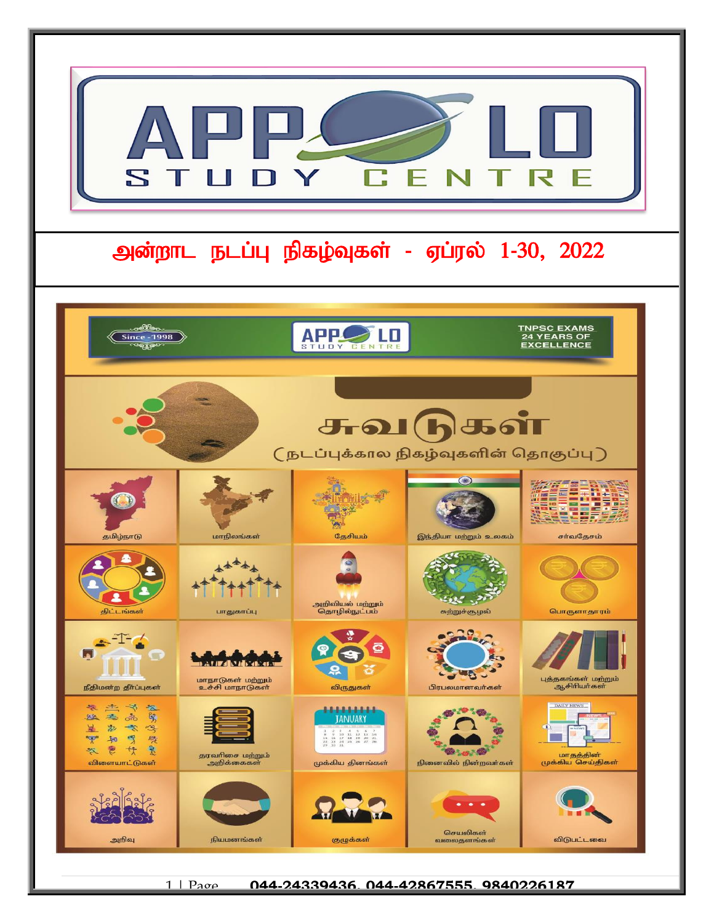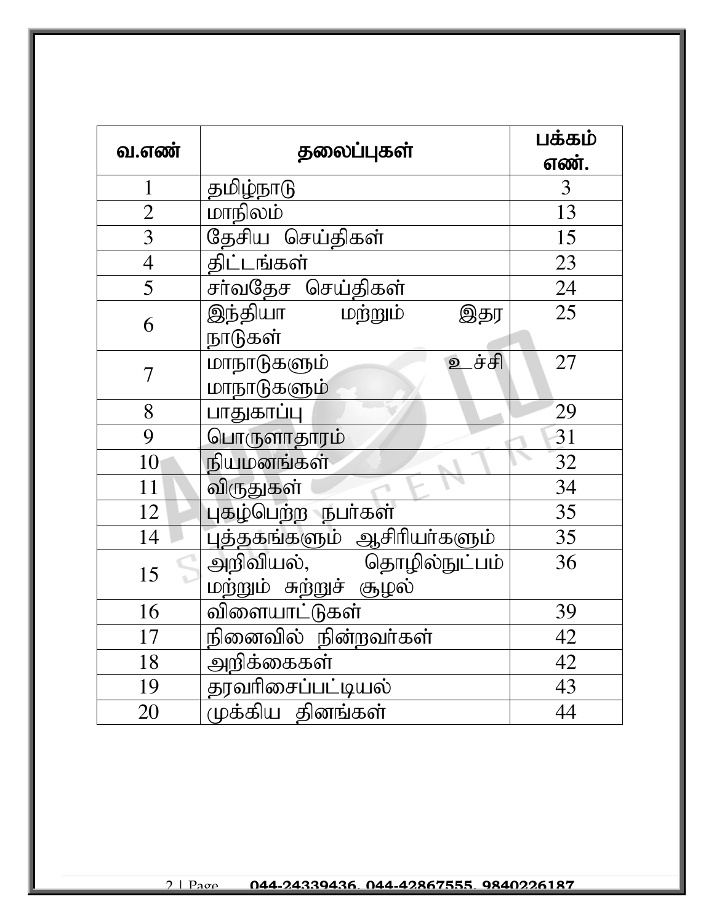| வ.எண்          | தலைப்புகள்                                          | பக்கம்<br>எண்.  |
|----------------|-----------------------------------------------------|-----------------|
| $\mathbf{1}$   | தமிழ்நாடு                                           | $\overline{3}$  |
| $\overline{2}$ | மாநிலம்                                             | 13              |
| $\overline{3}$ | தேசிய செய்திகள்                                     | 15              |
| $\overline{4}$ | திட்டங்கள்                                          | 23              |
| $\overline{5}$ | சா்வதேச செய்திகள்                                   | 24              |
| 6              | இந்தியா<br>மற்றும்<br>இதர<br>நாடுகள்                | $\overline{25}$ |
| $\overline{7}$ | _ச்சி<br>மாநாடுகளும்<br>$\mathbf{D}$<br>மாநாடுகளும் | 27              |
| 8              | பாதுகாப்பு                                          | 29              |
| 9              | பொருளாதாரம்                                         | 31              |
| 10             | நியமனங்கள்                                          | 32              |
| 11             | விருதுகள்                                           | $\overline{34}$ |
| 12             | புகழ்பெற்ற நபா்கள்                                  | 35              |
| 14             | புத்தகங்களும் ஆசிரியா்களும்                         | 35              |
| 15             | அறிவியல், தொழில்நுட்பம்<br>மற்றும் சுற்றுச் சூழல்   | 36              |
| 16             | விளையாட்டுகள்                                       | 39              |
| 17             | நினைவில் நின்றவர்கள்                                | 42              |
| 18             | அறிக்கைகள்                                          | 42              |
| 19             | தரவரிசைப்பட்டியல்                                   | 43              |
| 20             | முக்கிய தினங்கள்                                    | 44              |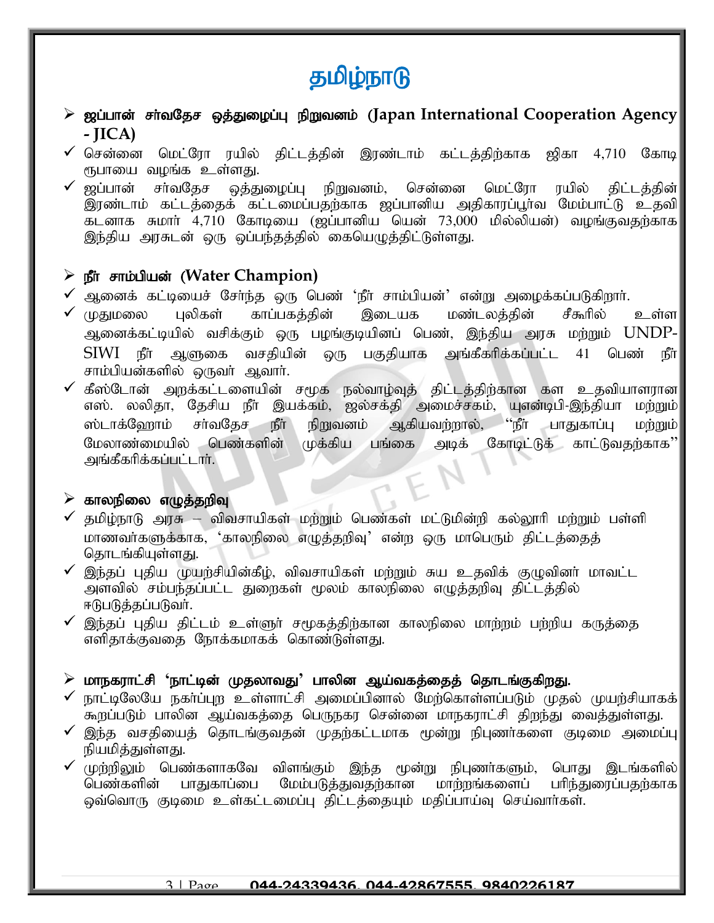# தமிழ்நாடு

- ➢ [g;ghd; rh;tNjr xj;Jiog;G epWtdk; (**Japan International Cooperation Agency - JICA)**
- $\checkmark$  சென்னை மெட்ரோ ரயில் திட்டத்தின் இரண்டாம் கட்டத்திற்காக ஜிகா 4,710 கோடி $\parallel$ ரூபாயை வழங்க உள்ளது.
- $\checkmark$  ஜப்பான் சர்வதேச ஒத்துழைப்பு நிறுவனம், சென்னை மெட்ரோ ரயில் திட்டத்தின்| இரண்டாம் கட்டத்தைக் கட்டமைப்பதற்காக ஜப்பானிய அதிகாரப்பூர்வ மேம்பாட்டு உதவி கடனாக சுமார் 4,710 கோடியை (ஜப்பானிய யென் 73,000 மில்லியன்) வழங்குவதற்காக இந்திய அரசுடன் ஒரு ஒப்பந்தத்தில் கையெழுத்திட்டுள்ளது.

# $\triangleright$  நீர் சாம்பியன் (Water Champion)

- $\checkmark$  ஆனைக் கட்டியைச் சேர்ந்த ஒரு பெண் 'நீர் சாம்பியன்' என்று அழைக்கப்படுகிறார்.
- முதுமலை புலிகள் காப்பகத்தின் இடையக மண்டலத்தின் சீகூரில் உள்ள அனைக்கட்டியில் வசிக்கும் ஒரு பழங்குடியினப் பெண், இந்திய அரசு மற்றும் UNDP- $\text{SIWI}$  நீா ஆளுகை வசதியின் ஒரு பகுதியாக அங்கீகரிக்கப்பட்ட 41 பெண் நீா சாம்பியன்களில் ஒருவர் ஆவார்.
- $\checkmark$  கீஸ்டோன் அறக்கட்டளையின் சமூக நல்வாழ்வுத் திட்டத்திற்கான கள உதவியாளரான $\parallel$ எஸ். லலிதா, தேசிய நீா இயக்கம், ஜல்சக்தி அமைச்சகம், யுஎன்டிபி-இந்தியா மற்றும் ஸ்டாக்ஹோம் சா்வதேச நீா் நிறுவனம் ஆகியவற்றால், ''நீா் பாதுகாப்பு மற்றும்<sup>'</sup> மேலாண்மையில் பெண்களின் முக்கிய பங்கை அடிக் கோடிட்டுக் காட்டுவதற்காக'' அங்கீகரிக்கப்பட்டார்.

# $\triangleright$  காலநிலை எழுத்தறிவு

- $\checkmark$  தமிழ்நாடு அரசு விவசாயிகள் மற்றும் பெண்கள் மட்டுமின்றி கல்லூரி மற்றும் பள்ளி மாணவர்களுக்காக, 'காலநிலை எமுக்குறிவு' என்ற ஒரு மாபெரும் கிட்டக்கைக் தொடங்கியுள்ளது.
- $\checkmark$  இந்தப் புதிய முயற்சியின்கீழ், விவசாயிகள் மற்றும் சுய உதவிக் குழுவினர் மாவட்ட அளவில் சம்பந்தப்பட்ட துறைகள் மூலம் காலநிலை எழுத்தறிவு திட்டத்தில் ஈடுபடுத்தப்படுவர்.
- $\checkmark$  இந்தப் புதிய திட்டம் உள்ளுர் சமூகத்திற்கான காலநிலை மாற்றம் பற்றிய கருத்தை எளிதாக்குவதை நோக்கமாகக் கொண்டுள்ளது.

# ➢ khefuhl;rp **'**ehl;bd; KjyhtJ**'** ghypd Ma;tfj;ijj; njhlq;FfpwJ.

- $\checkmark$  நாட்டிலேயே நகர்ப்புற உள்ளாட்சி அமைப்பினால் மேற்கொள்ளப்படும் முதல் முயற்சியாகக் $\parallel$ கூறப்படும் பாலின ஆய்வகத்தை பெருநகர சென்னை மாநகராட்சி திறந்து வைத்துள்ளது.
- $\checkmark$  இந்த வசதியைத் தொடங்குவதன் முதற்கட்டமாக மூன்று நிபுணர்களை குடிமை அமைப்பு $\parallel$ நியமித்துள்ளது.
- $\checkmark$  (முற்றிலும் பெண்களாகவே விளங்கும் இந்த மூன்று நிபுணா்களும், பொது இடங்களில் $\parallel$ பெண்களின் பாதுகாப்பை மேம்படுத்துவதற்கான மாற்றங்களைப் பரிந்துரைப்பதற்காக ஒவ்வொரு குடிமை உள்கட்டமைப்பு திட்டத்தையும் மதிப்பாய்வு செய்வாா்கள்.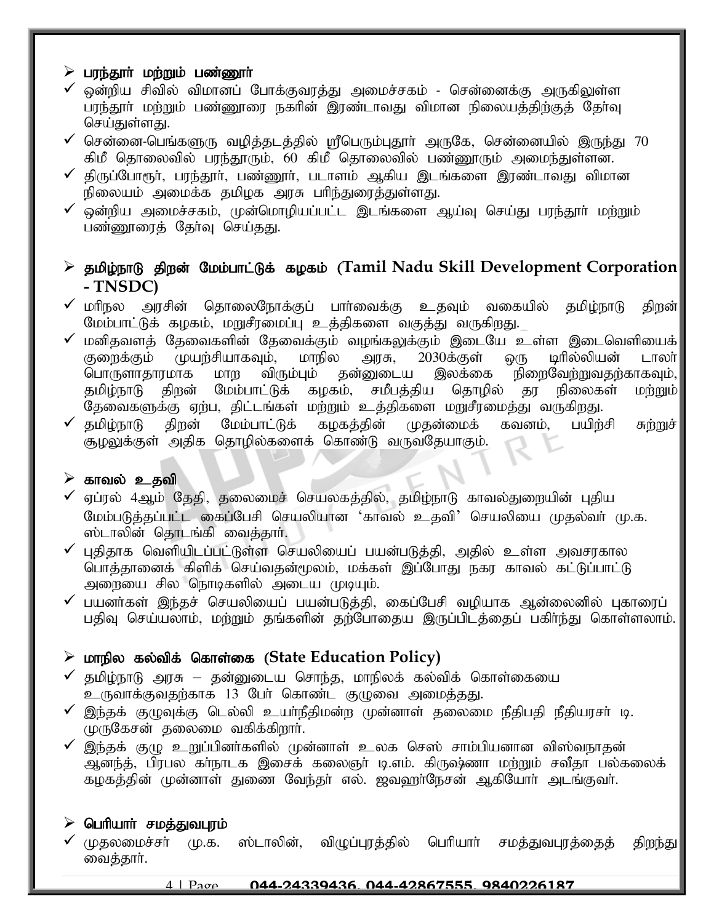#### $\triangleright$  பரந்தூர் மற்றும் பண்ணூர்

- $\checkmark$  ஒன்றிய சிவில் விமானப் போக்குவரத்து அமைச்சகம் சென்னைக்கு அருகிலுள்ள பரந்தூர் மற்றும் பண்ணூரை நகரின் இரண்டாவது விமான நிலையத்திற்குத் தேர்வு செய்துள்ளது.
- $\checkmark$  சென்னை-பெங்களுரு வழித்தடத்தில் ஸ்ரீபெரும்புதூர் அருகே, சென்னையில் இருந்து 70 கிமீ தொலைவில் பரந்தூரும், 60 கிமீ தொலைவில் பண்ணூரும் அமைந்துள்ளன.
- $\checkmark$  திருப்போரூர், பரந்தூர், பண்ணூர், படாளம் ஆகிய இடங்களை இரண்டாவது விமான நிலையம் அமைக்க தமிழக அரசு பரிந்துரைத்துள்ளது.
- $\checkmark$  ஒன்றிய அமைச்சகம், முன்மொழியப்பட்ட இடங்களை ஆய்வு செய்து பாந்தூர் மற்றும் பண்ணூரைத் தேர்வு செய்தது.
- > தமிழ்நாடு திறன் மேம்பாட்டுக் கழகம் (Tamil Nadu Skill Development Corporation **- TNSDC)**
- $\checkmark$  மரிநல அரசின் தொலைநோக்குப் பார்வைக்கு உதவும் வகையில் தமிழ்நாடு திறன் $\parallel$ மேம்பாட்டுக் கழகம், மறுசீரமைப்பு உத்திகளை வகுத்து வருகிறது.
- ✔ மனிதவளத் தேவைகளின் தேவைக்கும் வழங்கலுக்கும் இடையே உள்ள இடைவெளியைக்<br>குளைக்கும் முயர்சியாகவும், மாநில அரசு, 2030க்குள் ஒரு டிரில்லியன் டாலா் கு குறைக்கும் முயற்சியாகவும், மாநில அரசு, 2030க்குள் ஒரு டிரில்லியன் டாலா்<br>பொருளாதாரமாக மாற விரும்பும் தன்னுடைய இலக்கை நிறைவேற்றுவதற்காகவும், பொருளாதாரமாக மாற விரும்பும் தன்னுடைய இலக்கை நிறைவேற்றுவதற்காகவும், தமிழ்நாடு திறன் மேம்பாட்டுக் கழகம், சமீபத்திய தொழில் தர நிலைகள் மற்றும் $\vert$ .<br>தேவைகளுக்கு ஏற்ப, திட்டங்கள் மற்றும் உத்திகளை மறுசீரமைத்து வருகிறது.
- $\checkmark$  தமிழ்நாடு திறன் மேம்பாட்டுக் கழகத்தின் முதன்மைக் கவனம், பயிற்சி சுற்றுச் $|$ சூழலுக்குள் அதிக தொழில்களைக் கொண்டு வருவதேயாகும்.

#### $\blacktriangleright$  காவல் உதவி

- $\checkmark$  ஏப்ரல் 4ஆம் தேதி, தலைமைச் செயலகத்தில், தமிழ்நாடு காவல்துறையின் புதிய மேம்படுத்தப்பட்ட கைப்பேசி செயலியான 'காவல் உதவி' செயலியை முதல்வர் மு.க. ஸ்டாலின் தொடங்கி வைத்தார்.
- $\checkmark$  புதிதாக வெளியிடப்பட்டுள்ள செயலியைப் பயன்படுத்தி, அதில் உள்ள அவசரகால பொத்தானைக் கிளிக் செய்வதன்மூலம், மக்கள் இப்போது நகர காவல் கட்டுப்பாட்டு அறையை சில நொடிகளில் அடைய முடியும்.
- $\checkmark$  பயனர்கள் இந்தச் செயலியைப் பயன்படுத்தி, கைப்பேசி வழியாக ஆன்லைனில் புகாரைப் பதிவு செய்யலாம், மற்றும் தங்களின் தற்போதைய இருப்பிடத்தைப் பகிா்ந்து கொள்ளலாம்.

# ➢ khepy fy;tpf; nfhs;if (**State Education Policy)**

- $\checkmark$  தமிழ்நாடு அரசு தன்னுடைய சொந்த, மாநிலக் கல்விக் கொள்கையை உருவாக்குவதற்காக 13 பேர் கொண்ட குழுவை அமைத்தது.
- $\checkmark$  இந்தக் குழுவுக்கு டெல்லி உயா்நீதிமன்ற முன்னாள் தலைமை நீதிபதி நீதியரசா் டி. முருகேசன் தலைமை வகிக்கிறார்.
- $\checkmark$  இந்தக் குழு உறுப்பினர்களில் முன்னாள் உலக செஸ் சாம்பியனான விஸ்வநாதன் ஆனந்த், பிரபல கா்நாடக இசைக் கலைஞா் டி.எம். கிருஷ்ணா மற்றும் சவீதா பல்கலைக் கழகத்தின் முன்னாள் துணை வேந்தர் எல். ஜவஹர்நேசன் ஆகியோர் அடங்குவர்.

#### $\triangleright$  பெரியார் சமத்துவபுரம்

 $\checkmark$  முதலமைச்சா் மு.க. ஸ்டாலின், விழுப்புரத்தில் பெரியாா் சமத்துவபுரத்தைத் திறந்து வைத்தார்.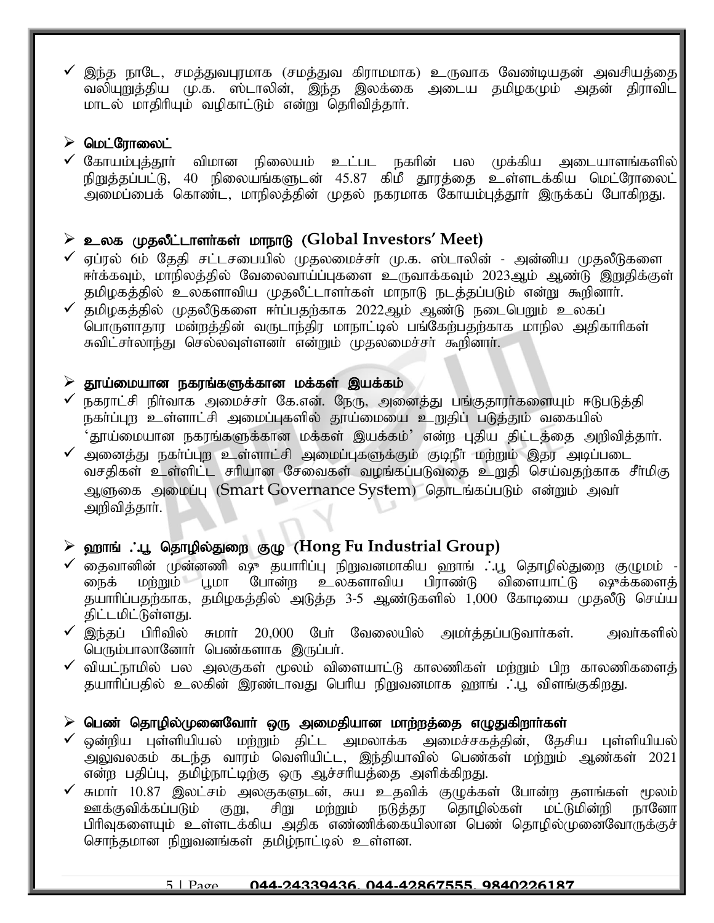இந்த நாடே, சமத்துவபுரமாக (சமத்துவ கிராமமாக) உருவாக வேண்டியதன் அவசியத்தை $\parallel$ வலியுறுத்திய மு.க. ஸ்டாலின், இந்த இலக்கை அடைய தமிழகமும் அதன் திராவிட மாடல் மாதிரியும் வழிகாட்டும் என்று தெரிவித்தார்.

### $\triangleright$  மெட்ரோலைட்

 $\checkmark$  கோயம்புத்தூா் விமான நிலையம் உட்பட நகாின் பல முக்கிய அடையாளங்களில் $|$ நிறுத்தப்பட்டு, 40 நிலையங்களுடன் 45.87 கிமீ தூரத்தை உள்ளடக்கிய மெட்ரோலைட் அமைப்பைக் கொண்ட, மாநிலத்தின் முதல் நகரமாக கோயம்புத்தூர் இருக்கப் போகிறது.

# $\triangleright$  உலக முதலீட்டாளர்கள் மாநாடு (Global Investors' Meet)

- $\checkmark$  ஏப்ரல் 6ம் தேதி சட்டசபையில் முதலமைச்சர் மு.க. ஸ்டாலின் அன்னிய முதலீடுகளை ஈர்க்கவும், மாநிலத்தில் வேலைவாய்ப்புகளை உருவாக்கவும் 2023ஆம் ஆண்டு இறுதிக்குள் தமிழகத்தில் உலகளாவிய முதலீட்டாளர்கள் மாநாடு நடத்தப்படும் என்று கூறினார்.
- $\checkmark$  தமிழகத்தில் முதலீடுகளை ஈர்ப்பதற்காக 2022ஆம் ஆண்டு நடைபெறும் உலகப் ்பொருளாதார மன்றத்தின் வருடாந்திர மாநாட்டில் பங்கேற்பதற்காக மாநில அதிகாரிகள் சுவிட்சாலாந்து செல்லவுள்ளனா் என்றும் முதலமைச்சா் கூறினாா்.

#### $\triangleright$  தூய்மையான நகரங்களுக்கான மக்கள் இயக்கம்

- $\checkmark$  நகராட்சி நிர்வாக அமைச்சர் கே.என். நேரு, அனைத்து பங்குதாரர்களையும் ஈடுபடுத்தி நகா்ப்புற உள்ளாட்சி அமைப்புகளில் தூய்மையை உறுதிப் படுத்தும் வகையில் 'தூய்மையான நகரங்களுக்கான மக்கள் இயக்கம்' என்ற புதிய திட்டத்தை அறிவித்தாா்.
- $\checkmark$  அனைத்து நகா்ப்புற உள்ளாட்சி அமைப்புகளுக்கும் குடிநீா மற்றும் இதர அடிப்படை வசதிகள் உள்ளிட்ட சரியான சேவைகள் வழங்கப்படுவதை உறுதி செய்வதற்காக சீா்மிகு ஆளுகை அமைப்பு (Smart Governance System) தொடங்கப்படும் என்றும் அவர் அறிவித்தார்.

# $\triangleright$  ஹாங் . பூ தொழில்துறை குழு (Hong Fu Industrial Group)

- $\checkmark$  தைவானின் முன்னணி ஷு தயாரிப்பு நிறுவனமாகிய ஹாங் . பூ தொழில்துறை குழுமம் ்.<br>நைக் மற்றும் பூமா போன்ற உலகளாவிய பிராண்டு விளையாட்டு ஷுக்களைத் தயாரிப்பதற்காக, தமிழகத்தில் அடுத்த 3-5 ஆண்டுகளில் 1,000 கோடியை முதலீடு செய்ய திட்டமிட்டுள்ளது.
- $\checkmark$  இந்தப் பிரிவில் சுமார் 20,000 பேர் வேலையில் அமர்த்தப்படுவார்கள். அவர்களில் $\parallel$ பெரும்பாலானோர் பெண்களாக இருப்பர்.
- $\checkmark$  வியட்நாமில் பல அலகுகள் மூலம் விளையாட்டு காலணிகள் மற்றும் பிற காலணிகளைக் $\checkmark$ தயாரிப்பதில் உலகின் இரண்டாவது பெரிய நிறுவனமாக ஹாங் ∴பூ விளங்குகிறது.

# $\triangleright$  பெண் தொழில்முனைவோா் ஒரு அமைதியான மாற்றத்தை எழுதுகிறாா்கள்

- $\checkmark$  ஒன்றிய புள்ளியியல் மற்றும் திட்ட அமலாக்க அமைச்சகத்தின், தேசிய புள்ளியியல் $\parallel$ அலுவலகம் கடந்த வாரம் வெளியிட்ட, இந்தியாவில் பெண்கள் மற்றும் ஆண்கள் 2021 $\parallel$ என்ற பதிப்பு, தமிழ்நாட்டிற்கு ஒரு ஆச்சரியத்தை அளிக்கிறது.
- ✔ சுமாா் 10.87 இலட்சம் அலகுகளுடன், சுய உதவிக் குழுக்கள் போன்ற தளங்கள் மூலம்│<br>→ ஊக்குவிக்கப்படும் குறு, சிறு மற்றும் நடுத்தர தொழில்கள் மட்டுமின்றி நானோ நடுத்தர தொழில்கள் பிரிவுகளையும் உள்ளடக்கிய அதிக எண்ணிக்கையிலான பெண் தொழில்முனைவோருக்குச் சொந்தமான நிறுவனங்கள் தமிழ்நாட்டில் உள்ளன.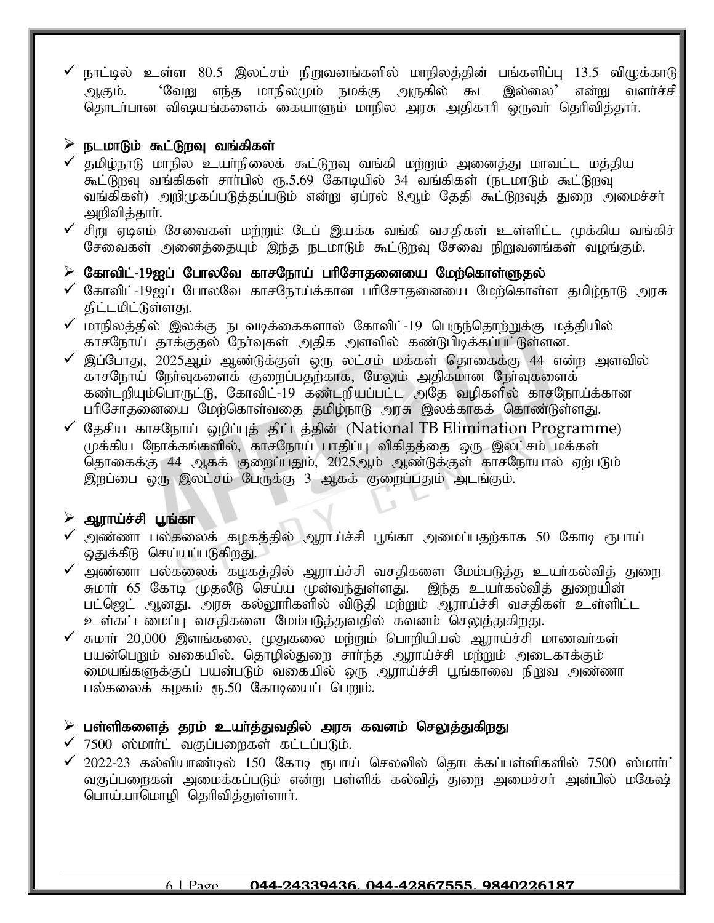$\checkmark$  நாட்டில் உள்ள 80.5 இலட்சம் நிறுவனங்களில் மாநிலத்தின் பங்களிப்பு 13.5 விழுக்காடு ஆகும். 'வேறு எந்த மாநிலமும் நமக்கு அருகில் கூட இல்லை' என்று வளர்ச்சி $|$ தொடர்பான விஷயங்களைக் கையாளும் மாநில அரசு அதிகாரி ஒருவர் தெரிவித்தார்.

#### $\triangleright$  நடமாடும் கூட்டுறவு வங்கிகள்

- $\checkmark$  தமிழ்நாடு மாநில உயா்நிலைக் கூட்டுறவு வங்கி மற்றும் அனைத்து மாவட்ட மத்திய கூட்டுறவு வங்கிகள் சாா்பில் ரூ.5.69 கோடியில் 34 வங்கிகள் (நடமாடும் கூட்டுறவு வங்கிகள்) அறிமுகப்படுத்தப்படும் என்று ஏப்ரல் 8ஆம் தேதி கூட்டுறவுத் துறை அமைச்சர் அறிவித்தார்.
- $\checkmark$  சிறு ஏடிஎம் சேவைகள் மற்றும் டேப் இயக்க வங்கி வசதிகள் உள்ளிட்ட முக்கிய வங்கிச் சேவைகள் அனைத்தையும் இந்த நடமாடும் கூட்டுறவு சேவை நிறுவனங்கள் வழங்கும்.

#### $\triangleright$  கோவிட்-19ஐப் போலவே காசநோய் பரிசோதனையை மேற்கொள்ளுதல்

- $\checkmark$  கோவிட்-19ஐப் போலவே காசநோய்க்கான பரிசோதனையை மேற்கொள்ள தமிழ்நாடு அரசு திட்டமிட்டுள்ளது.
- $\checkmark$  மாநிலத்தில் இலக்கு நடவடிக்கைகளால் கோவிட்-19 பெருந்தொற்றுக்கு மத்தியில் காசநோய் தாக்குதல் நேர்வுகள் அதிக அளவில் கண்டுபிடிக்கப்பட்டுள்ளன.
- $\checkmark$  இப்போது, 2025ஆம் ஆண்டுக்குள் ஒரு லட்சம் மக்கள் தொகைக்கு 44 என்ற அளவில் காசநோய் நேர்வுகளைக் குறைப்பதற்காக, மேலும் அதிகமான நேர்வுகளைக் கண்டறியும்பொருட்டு, கோவிட்-19 கண்டறியப்பட்ட அதே வழிகளில் காசநோய்க்கான பரிசோதனையை மேற்கொள்வதை தமிழ்நாடு அரசு இலக்காகக் கொண்டுள்ளது.
- $\checkmark$  தேசிய காசநோய் ஒழிப்புத் திட்டத்தின் (National TB Elimination Programme) முக்கிய நோக்கங்களில், காசநோய் பாதிப்பு விகிதத்தை ஒரு இலட்சம் மக்கள் தொகைக்கு 44 ஆகக் குறைப்பதும், 2025ஆம் ஆண்டுக்குள் காசநோயால் ஏற்படும் இறப்பை ஒரு இலட்சம் பேருக்கு 3 ஆகக் குறைப்பதும் அடங்கும்.

#### $\triangleright$  ஆராய்ச்சி பூங்கா

- அண்ணா பல்கலைக் கழகத்தில் ஆராய்ச்சி பூங்கா அமைப்பதற்காக 50 கோடி ரூபாய் ஒதுக்கீடு செய்யப்படுகிறது.
- $\checkmark$  அண்ணா பல்கலைக் கழகத்தில் ஆராய்ச்சி வசதிகளை மேம்படுத்த உயர்கல்வித் துரை ு.<br>சுமார் 65 கோடி முதலீடு செய்ய முன்வந்துள்ளது. இந்த உயர்கல்வித் துறையின் பட்ஜெட் ஆனது, அரசு கல்லூரிகளில் விடுதி மற்றும் ஆராய்ச்சி வசதிகள் உள்ளிட்ட உள்கட்டமைப்பு வசதிகளை மேம்படுத்துவதில் கவனம் செலுத்துகிறது.
- சுமார் 20,000 இளங்கலை, முதுகலை மற்றும் பொறியியல் ஆராய்ச்சி மாணவர்கள் பயன்பெறும் வகையில், தொழில்துறை சாா்ந்த ஆராய்ச்சி மற்றும் அடைகாக்கும் மையங்களுக்குப் பயன்படும் வகையில் ஒரு ஆராய்ச்சி பூங்காவை நிறுவ அண்ணா பல்கலைக் கழகம் ரூ.50 கோடியைப் பெறும்.

#### $\triangleright$  பள்ளிகளைத் தரம் உயர்த்துவதில் அரசு கவனம் செலுத்துகிறது

- $\checkmark$  7500 ஸ்மார்ட் வகுப்பறைகள் கட்டப்படும்.
- $\checkmark$  2022-23 கல்வியாண்டில் 150 கோடி ரூபாய் செலவில் தொடக்கப்பள்ளிகளில் 7500 ஸ்மார்ட் வகுப்பறைகள் அமைக்கப்படும் என்று பள்ளிக் கல்விக் துறை அமைச்சர் அன்பில் மகேஷ் பொய்யாமொழி தெரிவித்துள்ளார்.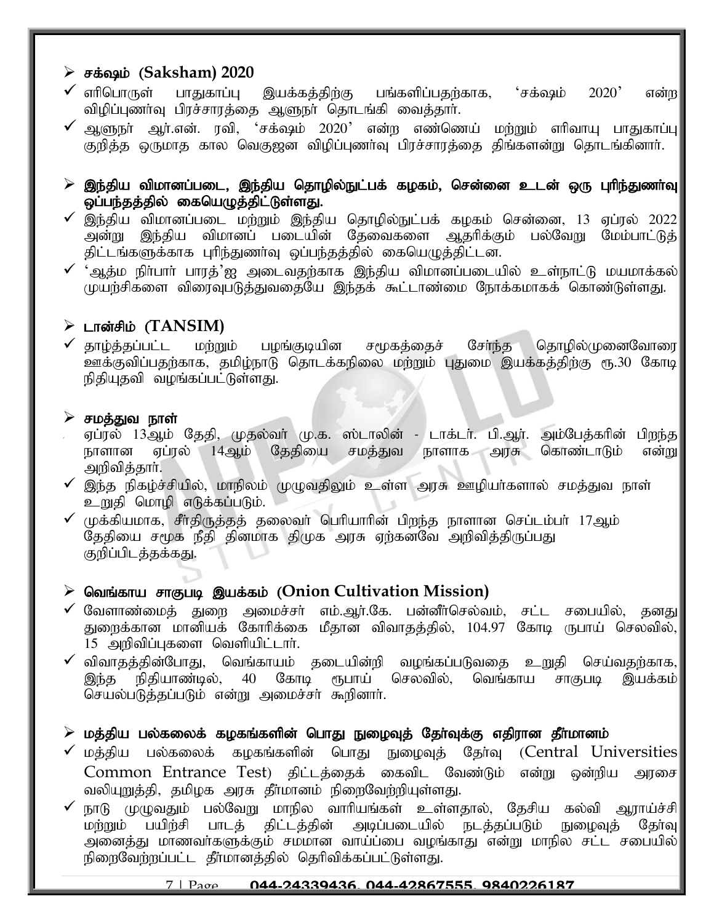# ➢ rf;~k ; (**Saksham) 2020**

- $\checkmark$  எாிபொருள் பாதுகாப்பு இயக்கத்திற்கு பங்களிப்பதற்காக, 'சக்ஷம் 2020' என்ற $\parallel$ விழிப்புணர்வு பிரச்சாரத்தை ஆளுநர் தொடங்கி வைத்தார்.
- $\checkmark$  ஆளுநா் ஆா்.என். ரவி, 'சக்ஷம் 2020' என்ற எண்ணெய் மற்றும் எாிவாயு பாதுகாப்பு $\parallel$ குறித்த ஒருமாத கால வெகுஜன விழிப்புணா்வு பிரச்சாரத்தை திங்களன்று தொடங்கினாா்.
- $\triangleright$  இந்திய விமானப்படை, இந்திய தொழில்நுட்பக் கழகம், சென்னை உடன் ஒரு புரிந்துணா்வு $\mid$ ஒப்பந்தத்தில் கையெழுத்திட்டுள்ளது.
- $\checkmark$  இந்திய விமானப்படை மற்றும் இந்திய தொழில்நுட்பக் கழகம் சென்னை, 13 ஏப்ரல் 2022 $|$ அன்று இந்திய விமானப் படையின் தேவைகளை ஆதரிக்கும் பல்வேறு மேம்பாட்டுத்| திட்டங்களுக்காக புரிந்துணாவு ஒப்பந்தத்தில் கையெழுத்திட்டன.
- $\checkmark$  'ஆத்ம நிா்பாா் பாரத்'ஐ அடைவதற்காக இந்திய விமானப்படையில் உள்நாட்டு மயமாக்கல் $\vert$ முயற்சிகளை விரைவுபடுத்துவதையே இந்தக் கூட்டாண்மை நோக்கமாகக் கொண்டுள்ளது.

### $\triangleright$  டான்சிம் ( $TANSIM$ )

 $\checkmark$  தாழ்த்தப்பட்ட மற்றும் பழங்குடியின சமூகத்தைச் சோ்ந்த தொழில்முனைவோரை உளக்குவிப்பதற்காக, தமிழ்நாடு தொடக்கநிலை மற்றும் புதுமை இயக்கத்திற்கு ரூ.30 கோடி நிதியுதவி வழங்கப்பட்டுள்ளது.

#### $\blacktriangleright$  சமத்துவ நாள்

- ஏப்ரல் 13ஆம் தேதி, முதல்வா் மு.க. ஸ்டாலின் டாக்டா். பி.ஆா். அம்பேத்காின் பிறந்த நாளான ஏப்ரல் 14ஆம் தேதியை சமத்துவ நாளாக அரசு கொண்டாடும் என்று அறிவித்தார்.
- $\checkmark$  இந்த நிகழ்ச்சியில், மாநிலம் முழுவதிலும் உள்ள அரசு ஊழியா்களால் சமத்துவ நாள் உறுதி மொழி எடுக்கப்படும்.
- $\checkmark$  (ழக்கியமாக, சீர்திருத்தத் தலைவர் பெரியாரின் பிறந்த நாளான செப்டம்பர் 17ஆம் தேதியை சமூக நீதி தினமாக திமுக அரசு ஏற்கனவே அறிவித்திருப்பது குறிப்பிடத்தக்கது.

# > வெங்காய சாகுபடி இயக்கம் (Onion Cultivation Mission)

- $\checkmark$  வேளாண்மைத் துறை அமைச்சர் எம்.ஆர்.கே. பன்னீர்செல்வம், சட்ட சபையில், தனது $\parallel$ துறைக்கான மானியக் கோரிக்கை மீதான விவாதத்தில், 104.97 கோடி ருபாய் செல்வில்,  $15$  அறிவிப்புகளை வெளியிட்டார்.
- $\checkmark$  விவாதத்தின்போது, வெங்காயம் தடையின்றி வழங்கப்படுவதை உறுதி செய்வதற்காக, $\checkmark$ இந்த நிதியாண்டில், 40 கோடி ரூபாய் செலவில், வெங்காய சாகுபடி இயக்கம்|| செயல்படுத்தப்படும் என்று அமைச்சர் கூறினார்.

#### $\triangleright$  மத்திய பல்கலைக் கழகங்களின் பொது நுழைவுத் தேர்வுக்கு எதிரான தீர்மானம்

- $\checkmark$  மத்திய பல்கலைக் கழகங்களின் பொது நுழைவுத் தேர்வு (Central Universities $\parallel$  $\emph{Common}$  Entrance Test) திட்டத்தைக் கைவிட வேண்டும் என்று ஒன்றிய அரசை வலியுறுத்தி, தமிழக அரசு தீர்மானம் நிறைவேற்றியுள்ளது.
- நாடு முழுவதும் பல்வேறு மாநில வாரியங்கள் உள்ளதால், தேசிய கல்வி ஆராய்ச்சி<br>மற்றும் பயிற்சி பாடத் திட்டத்தின் அடிப்படையில் நடத்தப்படும் நுழைவுத் தேர்வு .<br>மற்றும் பயிற்சி பாடத் திட்டத்தின் அனைத்து மாணவர்களுக்கும் சமமான வாய்ப்பை வழங்காது என்று மாநில சட்ட சபையில்| நிறைவேற்றப்பட்ட தீா்மானத்தில் தெரிவிக்கப்பட்டுள்ளது.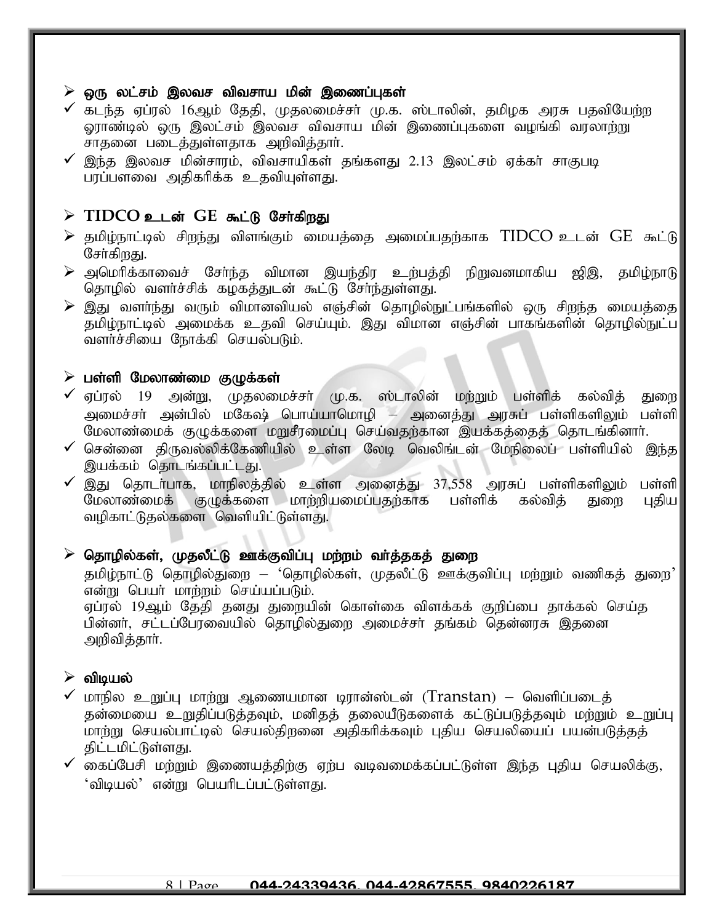#### $\triangleright$  ஒரு லட்சம் இலவச விவசாய மின் இணைப்புகள்

- $\checkmark$  கடந்த ஏப்ரல் 16ஆம் தேதி, முதலமைச்சர் மு.க. ஸ்டாலின், தமிழக அரசு பதவியேற்ற ஓராண்டில் ஒரு இலட்சம் இலவச விவசாய மின் இணைப்புகளை வழங்கி வரலாற்று சாதனை படைத்துள்ளதாக அறிவித்தார்.
- $\checkmark$  இந்த இலவச மின்சாரம், விவசாயிகள் தங்களது 2.13 இலட்சம் ஏக்கா் சாகுபடி பாப்பளவை அதிகரிக்க உதவியுள்ளது.

#### $\triangleright$  TIDCO உடன் GE கூட்டு சேர்கிறது

- $\triangleright$  தமிழ்நாட்டில் சிறந்து விளங்கும் மையத்தை அமைப்பதற்காக  $TIDCO$  உடன்  $GE$  கூட்டு சேர்கிறது.
- $\triangleright$  அமெரிக்காவைச் சேர்ந்த விமான இயந்திர உற்பத்தி நிறுவனமாகிய ஜிஇ, தமிழ்நாடு தொழில் வளர்ச்சிக் கழகத்துடன் கூட்டு சேர்ந்துள்ளது.
- $\blacktriangleright$  இது வளா்ந்து வரும் விமானவியல் எஞ்சின் தொழில்நுட்பங்களில் ஒரு சிறந்த மையத்தை $\mid$ ்தமிழ்நாட்டில் அமைக்க உதவி செய்யும். இது விமான எஞ்சின் பாகங்களின் தொழில்நுட்ப வளர்ச்சியை நோக்கி செயல்படும்.

#### $\triangleright$  பள்ளி மேலாண்மை குழுக்கள்

- $\checkmark$  ஏப்ரல் 19 அன்று, முதலமைச்சர் மு.க. ஸ்டாலின் மற்றும் பள்ளிக் கல்வித் துறை அமைச்சா் அன்பில் மகேஷ் பொய்யாமொழி – அனைத்து அரசுப் பள்ளிகளிலும் பள்ளி மேலாண்மைக் குழுக்களை மறுசீரமைப்பு செய்வதற்கான இயக்கத்தைத் தொடங்கினாா்.
- $\checkmark$  சென்னை திருவல்லிக்கேணியில் உள்ள லேடி வெலிங்டன் மேநிலைப் பள்ளியில் இந்த இயக்கம் தொடங்கப்பட்டது.
- ✓ இது தொடா்பாக, மாநிலத்தில் உள்ள அனைத்து 37,558 அரசுப் பள்ளிகளிலும் பள்ளி<br>மேலாண்மைக் குழுக்களை மாற்றியமைப்பதற்காக பள்ளிக் கல்வித் துறை புதிய மேலாண்மைக் குழுக்களை மாற்றியமைப்பதற்காக பள்ளிக் கல்வித் துறை வழிகாட்டுதல்களை வெளியிட்டுள்ளது.

#### $\triangleright$  தொழில்கள், முதலீட்டு ஊக்குவிப்பு மற்றம் வா்த்தகத் துறை

தமிழ்நாட்டு தொழில்துறை – 'தொழில்கள், முதலீட்டு ஊக்குவிப்பு மற்றும் வணிகத் துறை'  $\sigma$ ன்று பெயர் மாற்றம் செய்யப்படும். ஏப்ரல் 19ஆம் தேதி தனது துறையின் கொள்கை விளக்கக் குறிப்பை தாக்கல் செய்த பின்னர், சட்டப்பேரவையில் தொழில்துறை அமைச்சர் தங்கம் தென்னரசு இதனை அறிவித்தார்.

#### $\triangleright$  விடியல்

- $\checkmark$  மாநில உறுப்பு மாற்று ஆணையமான டிரான்ஸ்டன் (Transtan) வெளிப்படைத் தன்மையை உறுதிப்படுத்தவும், மனிதத் தலையீடுகளைக் கட்டுப்படுத்தவும் மற்றும் உறுப்பு மாற்று செயல்பாட்டில் செயல்திறனை அதிகரிக்கவும் புதிய செயலியைப் பயன்படுத்தத் கிட்டமிட்டுள்ளது.
- $\checkmark$  கைப்பேசி மற்றும் இணையத்திற்கு ஏற்ப வடிவமைக்கப்பட்டுள்ள இந்த புதிய செயலிக்கு, 'விடியல்' என்று பெயரிடப்பட்டுள்ளது.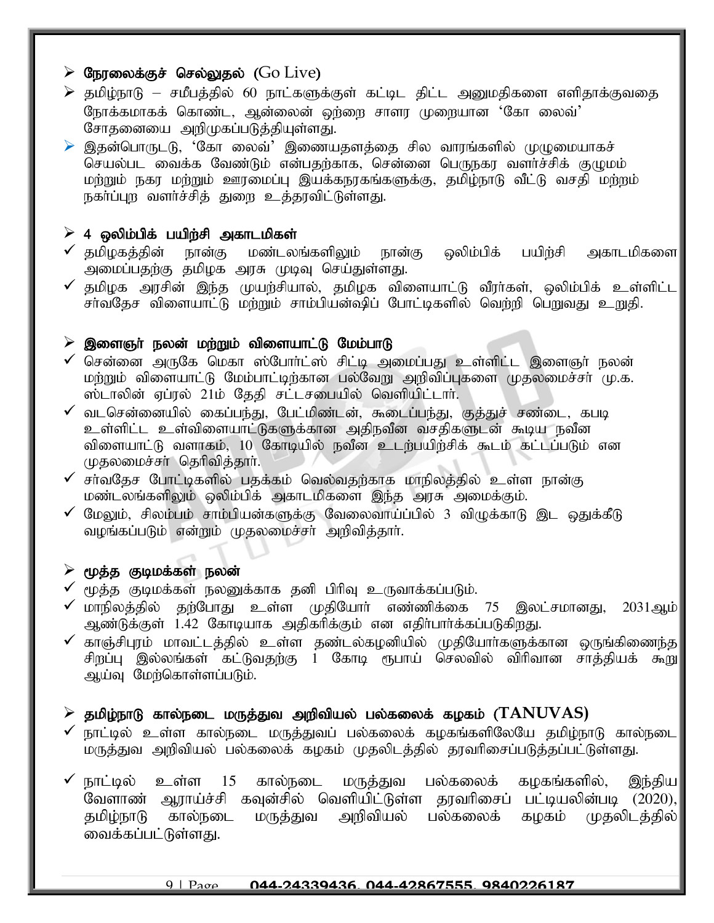# $\triangleright$  நேரலைக்குச் செல்லுதல் ( $Go \text{Live}$ )

- $\triangleright$  தமிழ்நாடு சமீபத்தில் 60 நாட்களுக்குள் கட்டிட திட்ட அனுமதிகளை எளிதாக்குவதை ரோக்கமாகக் கொண்ட, ஆன்லைன் ஒர்ளை சாளர முறையான 'கோ லைவ்' சோதனையை அறிமுகப்படுத்தியுள்ளது.
- $\triangleright$  இதன்பொருடடு, 'கோ லைவ்' இணையதளத்தை சில வாரங்களில் முழுமையாகச் செயல்பட வைக்க வேண்டும் என்பதற்காக, சென்னை பெருநகர வளர்ச்சிக் குமுமம் மற்றும் நகர மற்றும் ஊரமைப்பு இயக்கநரகங்களுக்கு, தமிழ்நாடு வீட்டு வசதி மற்றம் நகா்ப்புற வளா்ச்சித் துறை உத்தரவிட்டுள்ளது.

### $\geq 4$  ஒலிம்பிக் பயிற்சி அகாடமிகள்

- $\checkmark$  தமிழகத்தின் நான்கு மண்டலங்களிலும் நான்கு ஒலிம்பிக் பயிற்சி அகாடமிகளை $\checkmark$ அமைப்பதற்கு தமிழக அரசு முடிவு செய்துள்ளது.
- $\checkmark$  தமிழக அரசின் இந்த முயற்சியால், தமிழக விளையாட்டு வீரா்கள், ஒலிம்பிக் உள்ளிட்ட $\vert$ .<br>சாவதேச விளையாட்டு மற்றும் சாம்பியன்ஷிப் போட்டிகளில் வெற்றி பெறுவது உறுதி.

#### $\triangleright$  இளைஞர் நலன் மற்றும் விளையாட்டு மேம்பாடு

- $\checkmark$  சென்னை அருகே மெகா ஸ்போர்ட்ஸ் சிட்டி அமைப்பது உள்ளிட்ட இளைஞர் நலன் மற்றும் விளையாட்டு மேம்பாட்டிற்கான பல்வேறு அறிவிப்புகளை முதலமைச்சர் மு.க. ஸ்டாலின் ஏப்ரல் 21ம் தேதி சட்டசபையில் வெளியிட்டார்.
- $\checkmark$  வடசென்னையில் கைப்பந்து, பேட்மிண்டன், கூடைப்பந்து, குத்துச் சண்டை, கபடி உள்ளிட்ட உள்விளையாட்டுகளுக்கான அதிநவீன வசதிகளுடன் கூடிய நவீன விளையாட்டு வளாகம், 10 கோடியில் நவீன உடர்பயிர்சிக் கூடம் கட்டப்படும் என முதலமைச்சா் தெரிவித்தாா்.
- $\checkmark$  சா்வதேச போட்டிகளில் பகக்கம் வெல்வகற்காக மாநிலத்தில் உள்ள நான்கு மண்டலங்களிலும் ஒலிம்பிக் அகாடமிகளை இந்த அரசு அமைக்கும்.
- $\checkmark$  மேலும், சிலம்பம் சாம்பியன்களுக்கு வேலைவாய்ப்பில் 3 விழுக்காடு இட ஒதுக்கீடு வழங்கப்படும் என்றும் முதலமைச்சா் அறிவித்தாா்.

#### $\triangleright$  மூத்த குடிமக்கள் நலன்

- $\checkmark$  மூத்த குடிமக்கள் நலனுக்காக தனி பிரிவு உருவாக்கப்படும்.
- $\checkmark$  மாநிலத்தில் தற்போது உள்ள முதியோர் எண்ணிக்கை 75 இலட்சமானது, 2031ஆம் $\parallel$ அண்டுக்குள் 1.42 கோடியாக அதிகரிக்கும் என எதிா்பாா்க்கப்படுகிறது.
- $\checkmark$  காஞ்சிபுரம் மாவட்டத்தில் உள்ள தண்டல்கழனியில் முதியோர்களுக்கான ஒருங்கிணைந்த $\parallel$ சிறப்பு இல்லங்கள் கட்டுவதற்கு 1 கோடி ரூபாய் செலவில் விரிவான சாத்தியக் கூறு ஆய்வு மேற்கொள்ளப்படும்.

#### $\triangleright$  தமிழ்நாடு கால்நடை மருத்துவ அறிவியல் பல்கலைக் கழகம் ( $\mathrm{TANUVAS}$ )

 $\checkmark$  நாட்டில் உள்ள கால்நடை மருத்துவப் பல்கலைக் கழகங்களிலேயே தமிழ்நாடு கால்நடை மருத்துவ அறிவியல் பல்கலைக் கழகம் முதலிடத்தில் தரவரிசைப்படுத்தப்பட்டுள்ளது.

 $\checkmark$  நாட்டில் உள்ள 15 கால்நடை மருத்துவ பல்கலைக் கழகங்களில், இந்திய $\parallel$ வேளாண் ஆராய்ச்சி கவுன்சில் வெளியிட்டுள்ள தரவரிசைப் பட்டியலின்படி (2020), தமிழ்நாடு கால்நடை மருத்துவ அறிவியல் பல்கலைக் கழகம் முதலிடத்தில்|| வைக்கப்பட்டுள்ளது.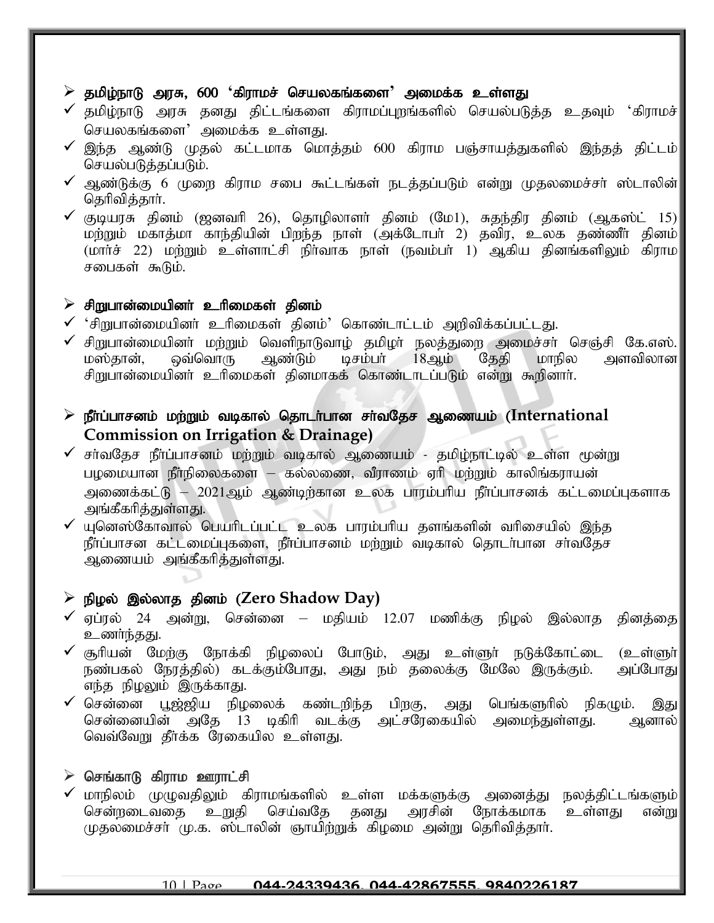#### $\ge$  தமிழ்நாடு அரசு, 600 'கிராமச் செயலகங்களை' அமைக்க உள்ளது

- $\checkmark$  தமிழ்நாடு அரசு தனது திட்டங்களை கிராமப்புறங்களில் செயல்படுத்த உதவும் 'கிராமச் $\parallel$ செயலகங்களை $^{\prime}$  அமைக்க உள்ளது.
- $\checkmark$  இந்த ஆண்டு முதல் கட்டமாக மொத்தம் 600 கிராம பஞ்சாயத்துகளில் இந்தத் திட்டம் $\|$ செயல்படுத்தப்படும்.
- $\checkmark$  ஆண்டுக்கு 6 முறை கிராம சபை கூட்டங்கள் நடக்கப்படும் என்று முகலமைச்சர் ஸ்டாலின் $\parallel$ தெரிவித்தார்.
- $\checkmark$  குடியரசு தினம் (ஜனவரி 26), தொழிலாளர் தினம் (மே1), சுதந்திர தினம் (ஆகஸ்ட் 15) $\parallel$ மற்றும் மகாத்மா காந்தியின் பிறந்த நாள் (அக்டோபா் 2) தவிர, உலக தண்ணீா் தினம்  $(\text{mmin} \; \hat{\mathbf{r}} \; 22)$  மற்றும் உள்ளாட்சி நிர்வாக நாள் (நவம்பர் 1) ஆகிய தினங்களிலும் கிராம சபைகள் கூடும்.

#### $\triangleright$  சிறுபான்மையினா் உரிமைகள் தினம்

- $\checkmark$  'சிறுபான்மையினர் உரிமைகள் தினம்' கொண்டாட்டம் அறிவிக்கப்பட்டது.
- ✔ சிறுபான்மையினா் மற்றும் வெளிநாடுவாழ் தமிழா் நலத்துறை அமைச்சா் செஞ்சி கே.எஸ்.<br>மஸ்தான், ஒவ்வொரு ஆண்டும் டிசம்பா் 18ஆம் தேதி மாநில அளவிலான டிசம்பர்  $18$ ஆம் சிறுபான்மையினா் உரிமைகள் தினமாகக் கொண்டாடப்படும் என்று கூறினாா்.
- ➢ ePh;g;ghrdk; kw;Wk; tbfhy; njhlh;ghd rh;tNjr Mizak; (**International Commission on Irrigation & Drainage)**
- $\checkmark$  சா்வதேச நீா்ப்பாசனம் மற்றும் வடிகால் ஆணையம் தமிழ்நாட்டில் உள்ள மூன்று பழமையான நீா்நிலைகளை – கல்லணை, வீராணம் ஏாி மற்றும் காலிங்கராயன் அணைக்கட்டு – 2021ஆம் ஆண்டிற்கான உலக பாரம்பரிய நீா்ப்பாசனக் கட்டமைப்புகளாக அங்கீகரித்துள்ளது.
- $\checkmark$  யுனெஸ்கோவால் பெயரிடப்பட்ட உலக பாரம்பரிய தளங்களின் வரிசையில் இந்த நீர்ப்பாசன கட்டமைப்புகளை, நீர்ப்பாசனம் மற்றும் வடிகால் தொடர்பான சர்வதேச ஆணையம் அங்கீகரித்துள்ளது.

# $\triangleright$  நிழல் இல்லாத தினம் (Zero Shadow Day)

- $\checkmark$  ஏப்ரல் 24 அன்று, சென்னை மதியம் 12.07 மணிக்கு நிழல் இல்லாத தினத்தை உணர்ந்தது.
- ✔ சூரியன் மேற்கு நோக்கி நிழலைப் போடும், அது உள்ளுா் நடுக்கோட்டை (உள்ளுா்)<br>நண்பகல் நேரத்தில்) கடக்கும்போது, அது நம் தலைக்கு மேலே இருக்கும். அப்போது நண்பகல் நேரத்தில்) கடக்கும்போது, அது நம் தலைக்கு மேலே இருக்கும். எந்த நிழலும் இருக்காது.
- $\checkmark$  சென்னை பூஜ்ஜிய நிழலைக் கண்டறிந்த பிறகு, அது பெங்களுரில் நிகழும். இது சென்னையின் அதே 13 டிகிரி வடக்கு அட்சரேகையில் அமைந்துள்ளது. ஆனால் $\parallel$ வெவ்வேறு தீர்க்க ரேகையில உள்ளது.

#### $\triangleright$  செங்காடு கிராம ஊராட்சி

 $\checkmark$  மாநிலம் முழுவதிலும் கிராமங்களில் உள்ள மக்களுக்கு அனைத்து நலத்திட்டங்களும் $\mid$ சென்றடைவதை உறுதி செய்வதே தனது அரசின் நோக்கமாக உள்ளது என்று முதலமைச்சர் மு.க. ஸ்டாலின் ஞாயிற்றுக் கிழமை அன்று தெரிவித்தார்.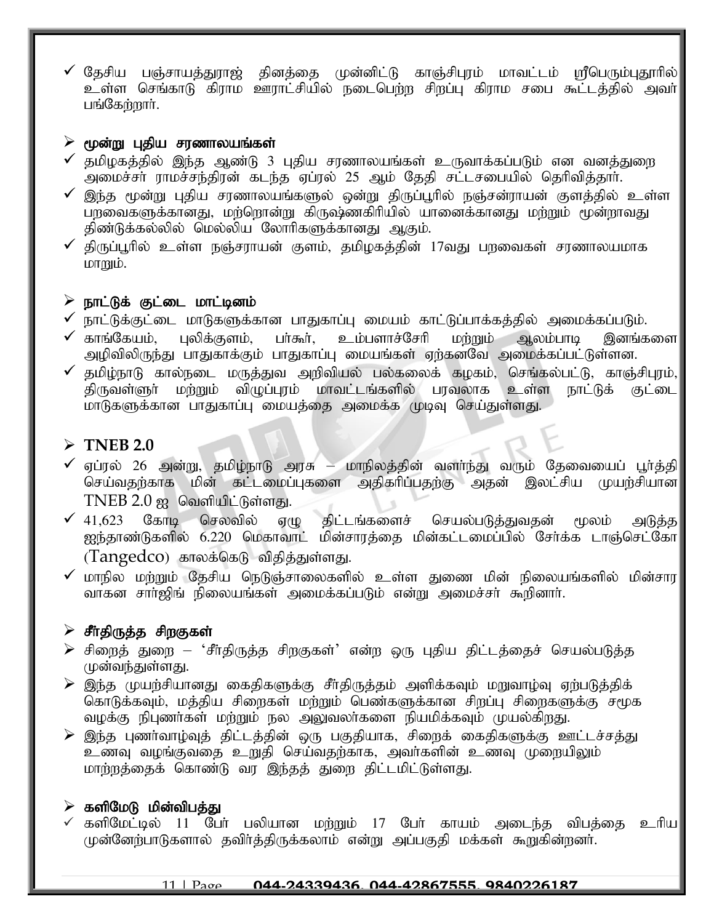$\checkmark$  தேசிய பஞ்சாயத்துராஜ் தினத்தை முன்னிட்டு காஞ்சிபுரம் மாவட்டம் மரீபெரும்புதூரில் $|$ உள்ள செங்காடு கிராம ஊராட்சியில் நடைபெற்ற சிறப்பு கிராம சபை கூட்டத்தில் அவர்| பங்கேற்றார்.

### $\triangleright$  மூன்று புதிய சரணாலயங்கள்

- $\checkmark$  தமிழகத்தில் இந்த ஆண்டு 3 புதிய சரணாலயங்கள் உருவாக்கப்படும் என வனத்துறை அமைச்சா் ராமச்சந்திரன் கடந்த ஏப்ரல் 25 ஆம் தேதி சட்டசபையில் தெரிவித்தாா்.
- $\checkmark$  இந்த மூன்று புதிய சரணாலயங்களுல் ஒன்று திருப்பூரில் நஞ்சன்ராயன் குளத்தில் உள்ள பறவைகளுக்கானது, மர்ளொன்று கிருஷ்ணகிரியில் யானைக்கானது மர்றும் மூன்றாவது திண்டுக்கல்லில் மெல்லிய லோரிகளுக்கானது ஆகும்.
- $\checkmark$  திருப்பூரில் உள்ள நஞ்சராயன் குளம், தமிழகத்தின் 17வது பறவைகள் சரணாலயமாக  $L$ or $m$ i $\dot{\text{b}}$ .

### $\triangleright$  நாட்டுக் குட்டை மாட்டினம்

- $\checkmark$  நாட்டுக்குட்டை மாடுகளுக்கான பாதுகாப்பு மையம் காட்டுப்பாக்கத்தில் அமைக்கப்படும்.
- $\checkmark$  காங்கேயம், பலிக்குளம், பா்கூா், உம்பளாச்சோி மா்றும் ஆலம்பாடி இனங்களை அழிவிலிருந்து பாதுகாக்கும் பாதுகாப்பு மையங்கள் ஏற்கனவே அமைக்கப்பட்டுள்ளன.
- $\checkmark$  தமிழ்நாடு கால்நடை மருத்துவ அறிவியல் பல்கலைக் கழகம், செங்கல்பட்டு, காஞ்சிபுரம், $\checkmark$ திருவள்ளுா் மற்றும் விழுப்புரம் மாவட்டங்களில் பரவலாக உள்ள நாட்டுக் குட்டை மாடுகளுக்கான பாதுகாப்பு மையத்தை அமைக்க முடிவு செய்துள்ளது.

# ➢ **TNEB 2.0**

- $\checkmark$  ஏப்ரல் 26 அன்று, தமிழ்நாடு அரசு மாநிலத்தின் வளா்ந்து வரும் தேவையைப் பூா்த்தி செய்வதற்காக மின் கட்டமைப்புகளை அதிகரிப்பதற்கு அதன் இலட்சிய முயற்சியான
- $\text{TNEB 2.0\ \text{gg}}$  வெளியிட்டுள்ளது.<br>41.623 கோடி செலவில் ஏழு  $\checkmark$  41,623 கோடி செலவில் ஏழு திட்டங்களைச் செயல்படுத்துவதன் மூலம் அடுத்த ஐந்தாண்டுகளில் 6.220 மெகாவாட் மின்சாரத்தை மின்கட்டமைப்பில் சேர்க்க டாஞ்செட்கோ  $(Tangedco)$  காலக்கெடு விதித்துள்ளது.
- $\checkmark$  மாநில மற்றும் தேசிய நெடுஞ்சாலைகளில் உள்ள துணை மின் நிலையங்களில் மின்சார $|$ வாகன சாா்ஜிங் நிலையங்கள் அமைக்கப்படும் என்று அமைச்சா் கூறினாா்.

# $\triangleright$  சீர்திருத்த சிறகுகள்

- $\triangleright$  சிறைத் துறை 'சீர்திருத்த சிறகுகள்' என்ற ஒரு புதிய திட்டத்தைச் செயல்படுத்த முன்வந்துள்ளது.
- $\triangleright$  இந்த முயற்சியானது கைதிகளுக்கு சீர்திருத்தம் அளிக்கவும் மறுவாழ்வு ஏற்படுத்திக் கொடுக்கவும், மத்திய சிறைகள் மற்றும் பெண்களுக்கான சிறப்பு சிறைகளுக்கு சமூக வழக்கு நிபுணர்கள் மற்றும் நல அலுவலர்களை நியமிக்கவும் முயல்கிறது.
- $\triangleright$  இந்த புணர்வாழ்வுத் திட்டத்தின் ஒரு பகுதியாக, சிறைக் கைதிகளுக்கு ஊட்டச்சத்து உணவு வழங்குவதை உறுதி செய்வதற்காக, அவர்களின் உணவு முறையிலும் மாற்றத்தைக் கொண்டு வர இந்தத் துறை திட்டமிட்டுள்ளது.

# $\triangleright$  களிமேடு மின்விபத்து

 $\checkmark$  களிமேட்டில் 11 பேர் பலியான மற்றும் 17 பேர் காயம் அடைந்த விபத்தை உரிய $\parallel$ முன்னேற்பாடுகளால் தவிர்த்திருக்கலாம் என்று அப்பகுதி மக்கள் கூறுகின்றனர்.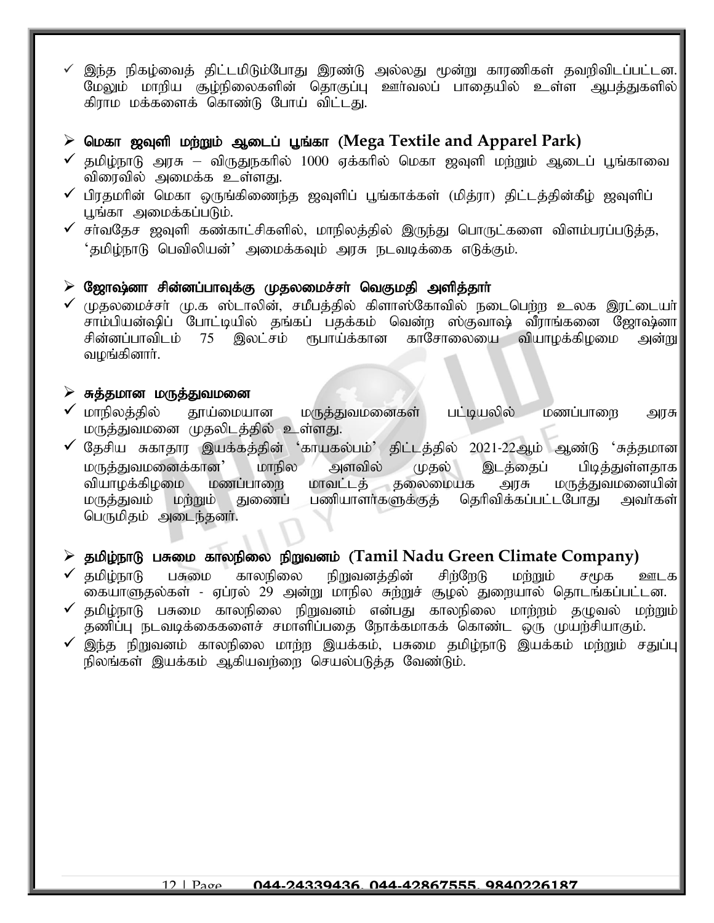$\checkmark$  இந்த நிகழ்வைத் திட்டமிடும்போது இரண்டு அல்லது மூன்று காரணிகள் தவறிவிடப்பட்டன. மேலும் மாறிய சூழ்நிலைகளின் தொகுப்பு ஊர்வலப் பாதையில் உள்ள ஆபக்துகளில் கிராம மக்களைக் கொண்டு போய் விட்டது.

### $\triangleright$  மெகா ஜவுளி மற்றும் ஆடைப் பூங்கா (Mega Textile and Apparel Park)

- $\checkmark$  தமிழ்நாடு அரசு விருதுநகரில் 1000 ஏக்கரில் மெகா ஜவுளி மற்றும் ஆடைப் பூங்காவை விரைவில் அமைக்க உள்ளது.
- $\checkmark$  பிரதமரின் மெகா ஒருங்கிணைந்த ஜவுளிப் புங்காக்கள் (மிக்ரா) கிட்டக்கின்கீம் ஜவுளிப் பூங்கா அமைக்கப்படும்.
- $\checkmark$  சா்வதேச ஜவுளி கண்காட்சிகளில், மாநிலத்தில் இருந்து பொருட்களை விளம்பரப்படுத்த,  $\cdot$ தமிழ்நாடு பெவிலியன் $\cdot$  அமைக்கவும் அரசு நடவடிக்கை எடுக்கும்.

### $\triangleright$  ஜோஷ்னா சின்னப்பாவுக்கு முதலமைச்சா் வெகுமதி அளித்தாா்

 $\checkmark$  முதலமைச்சா் மு.க ஸ்டாலின், சமீபத்தில் கிளாஸ்கோவில் நடைபெற்ற உலக இரட்டையா் $\parallel$ சாம்பியன்ஷிப் போட்டியில் தங்கப் பதக்கம் வென்ற ஸ்குவாஷ் வீராங்கனை ஜோஷ்னா<br>சின்னப்பாவிடம் 75 இலட்சம் ரூபாய்க்கான காசோலையை வியாழக்கிழமை அன்று காசோலையை வியாழக்கிழமை அன்று வமங்கினார்.

#### $\triangleright$  சுத்தமான மருத்துவமனை

- $\checkmark$  மாநிலத்தில் தூய்மையான மருத்துவமனைகள் பட்டியலில் மணப்பாறை அரசு மருத்துவமனை முதலிடத்தில் உள்ளது.
- $\checkmark$  தேசிய சுகாதார இயக்கத்தின் 'காயகல்பம்' திட்டத்தில் 2021-22ஆம் ஆண்டு 'சுத்தமான $\parallel$ மருத்துவமனைக்கான' மாநில அளவில் முதல் இடத்தைப் பிடித்துள்ளதாக|<br>வியாழக்கிழமை மணப்பாறை மாவட்டத் தலைமையக அரசு மருக்துவமனையின்| வியாழக்கிழமை மணப்பாறை மாவட்டத் தலைமையக அரசு<br>மருத்துவம் மற்றும் துணைப் பணியாளர்களுக்குத் தெரிவிக்கப்ப பணியாளர்களுக்குத் தெரிவிக்கப்பட்டபோது அவர்கள் பெருமிதம் அடைந்தனர்.

# > தமிழ்நாடு பசுமை காலநிலை நிறுவனம் (Tamil Nadu Green Climate Company)

- $\checkmark$  தமிழ்நாடு பசுமை காலநிலை நிறுவனத்தின் சிற்றேடு மற்றும் சமூக ஊடக கையாளுதல்கள் - ஏப்ரல் 29 அன்று மாநில சுற்றுச் சூழல் துறையால் தொடங்கப்பட்டன.
- $\checkmark$  தமிழ்நாடு பசுமை காலநிலை நிறுவனம் என்பது காலநிலை மாற்றம் தழுவல் மற்றும் $\vert$ தணிப்பு நடவடிக்கைகளைச் சமாளிப்பதை நோக்கமாகக் கொண்ட ஒரு முயற்சியாகும்.
- $\checkmark$  இந்த நிறுவனம் காலநிலை மாற்ற இயக்கம், பசுமை தமிழ்நாடு இயக்கம் மற்றும் சதுப்பு $\parallel$ நிலங்கள் இயக்கம் ஆகியவர்ளை செயல்படுத்த வேண்டும்.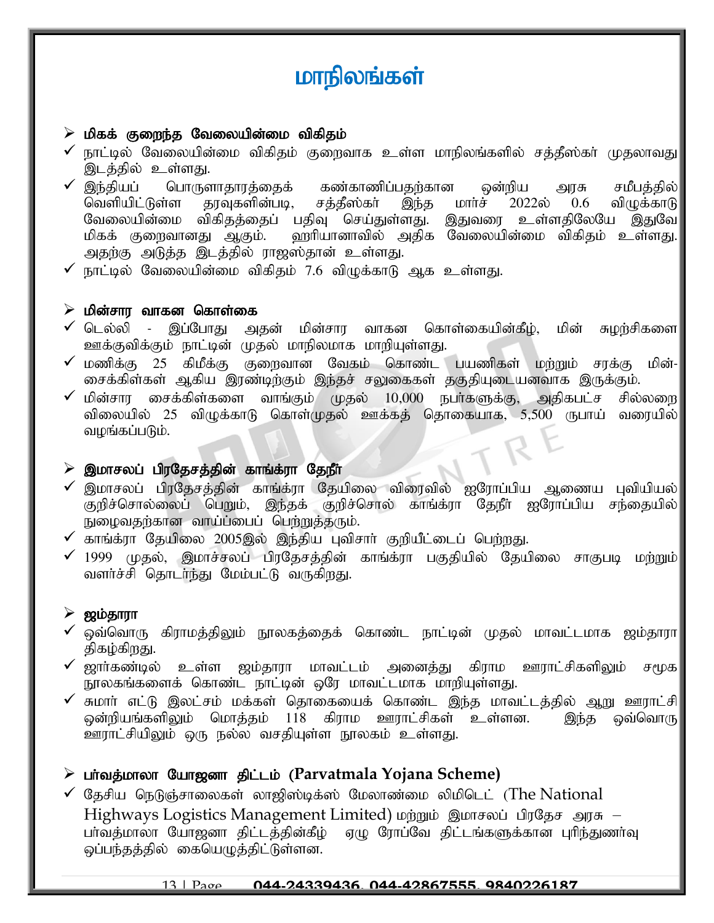# மாநிலங்கள்

### $\triangleright$  மிகக் குறைந்த வேலையின்மை விகிதம்

- $\checkmark$  நாட்டில் வேலையின்மை விகிதம் குறைவாக உள்ள மாநிலங்களில் சத்தீஸ்கா் முதலாவது $|$ இடத்தில் உள்ளது.
- ✔ இந்தியப் பொருளாதாரத்தைக் கண்காணிப்பதற்கான ஒன்றிய அரசு சமீபத்தில்|<br>|வெளியிட்டுள்ள காவகளின்படி, சக்கீஸ்கா் இந்க மாா்ச் 2022ல் 0.6 விமுக்காடு வெளியிட்டுள்ள தரவுகளின்படி, சத்தீஸ்கா் இந்த மாா்ச் 2022ல் 0.6 விழுக்காடு வேலையின்மை விகிதத்தைப் பதிவு செய்துள்ளது. இதுவரை உள்ளதிலேயே இதுவே| மிகக் குறைவானது ஆகும். ஹரியானாவில் அதிக வேலையின்மை விகிதம் உள்ளது. அதற்கு அடுத்த இடத்தில் ராஜஸ்தான் உள்ளது.
- $\checkmark$  நாட்டில் வேலையின்மை விகிதம் 7.6 விழுக்காடு ஆக உள்ளது.

#### $\triangleright$  மின்சாா வாகன கொள்கை

- $\checkmark$  டெல்லி இப்போது அதன் மின்சார வாகன கொள்கையின்கீழ், மின் சுழற்சிகளை $\mid$ ஊக்குவிக்கும் நாட்டின் முதல் மாநிலமாக மாறியுள்ளது.
- $\checkmark$  மணிக்கு 25 கிமீக்கு குறைவான வேகம் கொண்ட பயணிகள் மற்றும் சரக்கு மின்- $\checkmark$ சைக்கிள்கள் ஆகிய இரண்டிற்கும் இந்தச் சலுகைகள் தகுதியுடையனவாக இருக்கும்.
- $\checkmark$  மின்சார சைக்கிள்களை வாங்கும் முதல் 10,000 நபா்களுக்கு, அதிகபட்ச சில்லறை விலையில் 25 விழுக்காடு கொள்முதல் ஊக்கத் தொகையாக, 5,500 ருபாய் வரையில் வழங்கப்படும்.

# $\triangleright$  இமாசலப் பிரதேசத்தின் காங்க்ரா தேநீர்

- $\checkmark$  இமாசலப் பிரதேசத்தின் காங்க்ரா தேயிலை விரைவில் ஐரோப்பிய ஆணைய புவியியல் $\checkmark$ குறிச்சொல்லைப் பெறும், இந்தக் குறிச்சொல் காங்க்ரா தேநீா் ஐரோப்பிய சந்தையில் நுழைவதற்கான வாய்ப்பைப் பெற்றுத்தரும்.
- $\checkmark$  காங்க்ரா தேயிலை 2005இல் இந்திய புவிசாா் குறியீட்டைப் பெற்றது.
- $\checkmark$  1999 முதல், இமாச்சலப் பிரதேசத்தின் காங்க்ரா பகுதியில் தேயிலை சாகுபடி மற்றும் வளர்ச்சி தொடர்ந்து மேம்பட்டு வருகிறது.

# $\triangleright$  ஜம்தாரா

- $\checkmark$  ஒவ்வொரு கிராமத்திலும் நூலகத்தைக் கொண்ட நாட்டின் முதல் மாவட்டமாக ஜம்தாரா $\parallel$ திகழ்கிறது.
- $\checkmark$  ஜாா்கண்டில் உள்ள ஜம்தாரா மாவட்டம் அனைத்து கிராம ஊராட்சிகளிலும் சமூக $\parallel$ நூலகங்களைக் கொண்ட நாட்டின் ஒரே மாவட்டமாக மாறியுள்ளது.
- ✔ சுமாா் எட்டு இலட்சம் மக்கள் தொகையைக் கொண்ட இந்த மாவட்டத்தில் ஆறு ஊராட்சி $\mid$ ஒன்றியங்களிலும் மொத்தம் 118 கிராம ஊராட்சிகள் உள்ளன. இந்த ஒவ்வொரு ஒன்றியங்களிலும் மொத்தம் 118 கிராம ஊராட்சிகள் உள்ளன. <u>ஊராட்சியிலு</u>ம் ஒரு நல்ல வசதியுள்ள நூலகம் உள்ளது.

# $\triangleright$  பர்வத்மாலா யோஜனா திட்டம் (Parvatmala Yojana Scheme)

 $\checkmark$  தேசிய நெடுஞ்சாலைகள் லாஜிஸ்டிக்ஸ் மேலாண்மை லிமிடெட் (The National  $Highways$  Logistics Management Limited)  $\omega$  ingular  $\omega$  and  $\omega$  and  $\omega$ பர்வத்மாலா யோஜனா திட்டத்தின்கீழ் ஏழு ரோப்வே திட்டங்களுக்கான புரிந்துணர்வு ஒப்பந்தத்தில் கையெழுத்திட்டுள்ளன.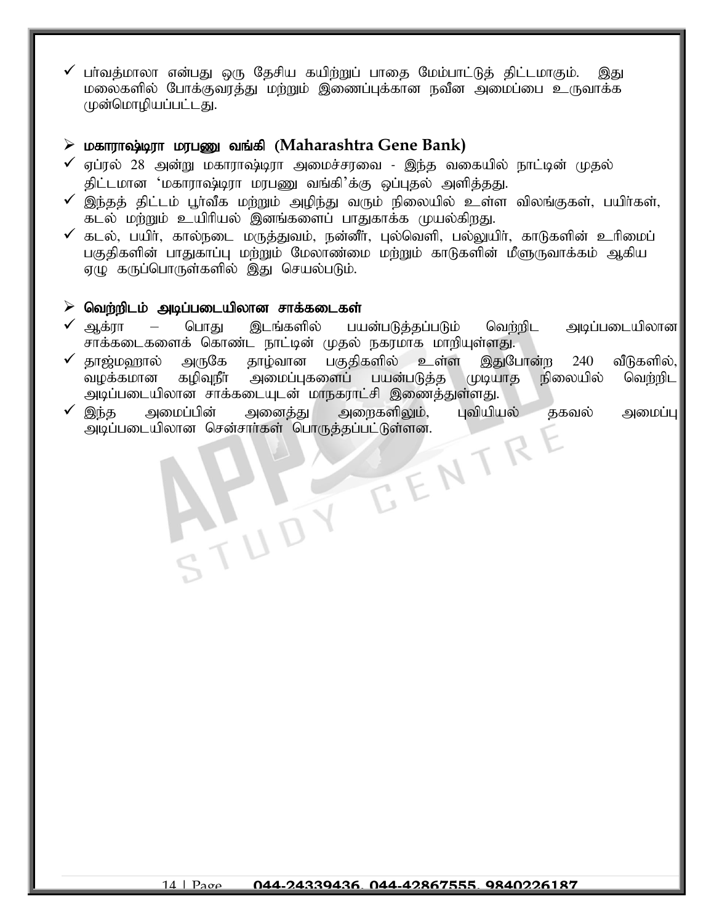பர்வத்மாலா என்பது ஒரு தேசிய கயிற்றுப் பாதை மேம்பாட்டுத் திட்டமாகும். இது மலைகளில் போக்குவரத்து மற்றும் இணைப்புக்கான நவீன அமைப்பை உருவாக்க முன்மொழியப்பட்டது.

# $\triangleright$  மகாராஷ்டிரா மரபணு வங்கி (Maharashtra Gene Bank)

- $\checkmark$  ஏப்ரல் 28 அன்று மகாராஷ்டிரா அமைச்சரவை இந்த வகையில் நாட்டின் முதல் திட்டமான 'மகாராஷ்டிரா மரபணு வங்கி'க்கு ஒப்புதல் அளித்தது.
- $\checkmark$  இந்தத் திட்டம் பூர்வீக மற்றும் அழிந்து வரும் நிலையில் உள்ள விலங்குகள், பயிர்கள், கடல் மற்றும் உயிரியல் இனங்களைப் பாதுகாக்க முயல்கிறது.
- $\checkmark$  கடல், பயிர், கால்நடை மருத்துவம், நன்னீர், புல்வெளி, பல்லுயிர், காடுகளின் உரிமைப் பகுதிகளின் பாதுகாப்பு மற்றும் மேலாண்மை மற்றும் காடுகளின் மீளுருவாக்கம் ஆகிய ஏழு கருப்பொருள்களில் இது செயல்படும்.

#### $\triangleright$  வெற்றிடம் அடிப்படையிலான சாக்கடைகள்

 $\sqrt{2}$ 

- $\checkmark$  ஆக்ரா பொது இடங்களில் பயன்படுத்தப்படும் வெற்றிட அடிப்படையிலான $\vert$ சாக்கடைகளைக் கொண்ட நாட்டின் முதல் நகரமாக மாறியுள்ளது.
- $\checkmark$  தூஜ்மஹால் அருகே தாழ்வான பகுதிகளில் உள்ள இதுபோன்ற 240 வீடுகளில், வழக்கமான கழிவுநீா் அமைப்புகளைப் பயன்படுத்த முடியாத நிலையில் வெற்றிட அடிப்படையிலான சாக்கடையுடன் மாநகராட்சி இணைத்துள்ளது.
- ✓ ,e;j mikg;gpd; midj;J miwfspYk;> Gtpapay; jfty; mikg;G அடிப்படையிலான சென்சாா்கள் பொருத்தப்பட்டுள்ளன.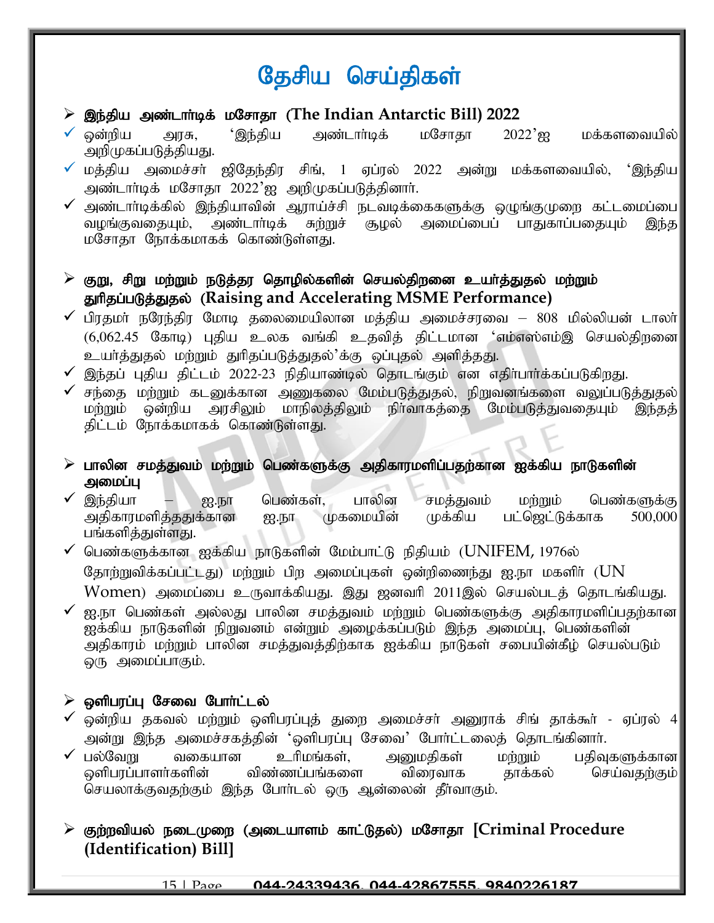# தேசிய செய்திகள்

- $\geq$  இந்திய அண்டார்டிக் மசோதா (The Indian Antarctic Bill) 2022
- $\checkmark$  ஒன்றிய அரசு, 'இந்திய அண்டாா்டிக் மசோதா 2022'ஐ மக்களவையில் $\parallel$ அறிமுகப்படுத்தியது.
- மத்திய அமைச்சர் ஜிதேந்திர சிங், 1 ஏப்ரல் 2022 அன்று மக்களவையில், 'இந்திய $\parallel$ அண்டார்டிக் மசோதா 2022'ஐ அறிமுகப்படுத்தினார்.
- $\checkmark$  அண்டாா்டிக்கில் இந்தியாவின் ஆராய்ச்சி நடவடிக்கைகளுக்கு ஒழுங்குமுறை கட்டமைப்பை $\checkmark$ வழங்குவதையும், அண்டாா்டிக் சுற்றுச் சூழல் அமைப்பைப் பாதுகாப்பதையும் இந்த| மசோதா நோக்கமாகக் கொண்டுள்ளது.

 $\triangleright$  குறு, சிறு மற்றும் நடுத்தர தொழில்களின் செயல்திறனை உயர்த்துதல் மற்றும் துரிதப்படுத்துதல் (Raising and Accelerating MSME Performance)

- $\checkmark$  பிரதமா் நரேந்திர மோடி தலைமையிலான மத்திய அமைச்சரவை 808 மில்லியன் டாலா் $\parallel$  $(6,062.45$  கோடி) புதிய உலக வங்கி உதவித் திட்டமான 'எம்எஸ்எம்இ செயல்திறனை உயர்த்துதல் மற்றும் துரிதப்படுத்துதல்'க்கு ஒப்புதல் அளித்தது.
- $\checkmark$  இந்தப் புதிய திட்டம் 2022-23 நிதியாண்டில் தொடங்கும் என எதிா்பாா்க்கப்படுகிறது.
- $\checkmark$  சந்தை மற்றும் கடனுக்கான அணுகலை மேம்படுத்துதல், நிறுவனங்களை வலுப்படுத்துதல் $\mid$ மற்றும் ஒன்றிய அரசிலும் மாநிலத்திலும் நிர்வாகத்தை மேம்படுத்துவதையும் இந்தத் திட்டம் நோக்கமாகக் கொண்டுள்ளது.
- $\triangleright$  பாலின சமத்துவம் மற்றும் பெண்களுக்கு அதிகாரமளிப்பதற்கான ஐக்கிய நாடுகளின் அமைப்ப
- ✔ இந்தியா ஐ.நா பெண்கள், பாலின சமத்துவம் மற்றும் பெண்களுக்கு<br>அகிகாரமளிக்கதுக்கான ஐ.நா முகமையின் முக்கிய பட்ஜெட்டுக்காக 500,000 அதிகாரமளித்ததுக்கான ஐ.நா முகமையின் முக்கிய பங்களித்துள்ளது.
- $\checkmark$  பெண்களுக்கான ஐக்கிய நாடுகளின் மேம்பாட்டு நிதியம் ( $\text{UNIFEM}$ , 1976ல் தோற்றுவிக்கப்பட்டது) மற்றும் பிற அமைப்புகள் ஒன்றிணைந்து ஐ.நா மகளிர் ( ${\rm UN}$  $Women$ ) அமைப்பை உருவாக்கியது. இது ஜனவரி 2011இல் செயல்படத் தொடங்கியது.
- $\checkmark$  ஐ.நா பெண்கள் அல்லது பாலின சமத்துவம் மற்றும் பெண்களுக்கு அதிகாரமளிப்பதற்கான $\checkmark$ ஐக்கிய நாடுகளின் நிறுவனம் என்றும் அழைக்கப்படும் இந்த அமைப்பு, பெண்களின் அதிகாரம் மற்றும் பாலின சமத்துவத்திற்காக ஐக்கிய நாடுகள் சபையின்கீழ் செயல்படும் ஒரு அமைப்பாகும்.

# $\triangleright$  ஒளிபரப்பு சேவை போர்ட்டல்

- ஒன்றிய தகவல் மற்றும் ஒளிபரப்புத் துறை அமைச்சர் அனுராக் சிங் தாக்கூர் ஏப்ரல் 4 $\parallel$ அன்று இந்த அமைச்சகத்தின் 'ஒளிபரப்பு சேவை' போர்ட்டலைத் தொடங்கினார்.
- $\checkmark$  பல்வேறு வகையான உரிமங்கள், அனுமதிகள் மற்றும் பதிவுகளுக்கான $|$ ஓளிபரப்பாளர்களின் விண்ணப்பங்களை விரைவாக தாக்கல் செய்வதற்கும் செயலாக்குவதற்கும் இந்த போர்டல் ஒரு ஆன்லைன் தீர்வாகும்.

➢ Fw;wtpay; eilKiw (milahsk; fhl;Ljy;) kNrhjh **[Criminal Procedure (Identification) Bill]**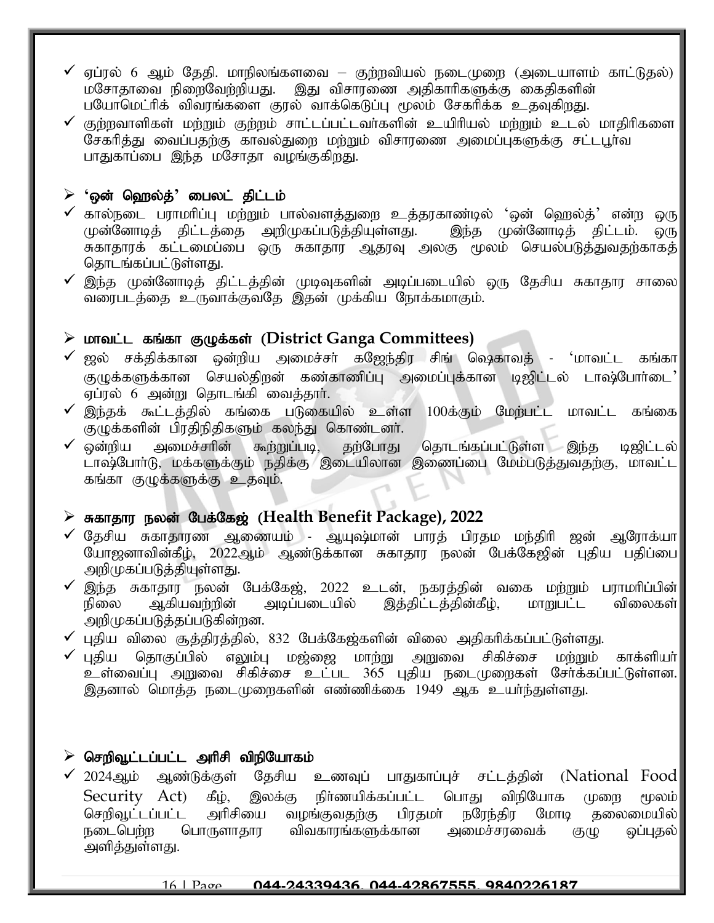- $\checkmark$  ஏப்ரல் 6 ஆம் தேதி. மாநிலங்களவை குற்றவியல் நடைமுறை (அடையாளம் காட்டுதல்) மசோதாவை நிறைவேற்றியது. இது விசாரணை அதிகாரிகளுக்கு கைதிகளின் பயோமெட்ரிக் விவரங்களை குரல் வாக்கெடுப்பு மூலம் சேகரிக்க உதவுகிறது.
- $\checkmark$  குற்றவாளிகள் மற்றும் குற்றம் சாட்டப்பட்டவர்களின் உயிரியல் மற்றும் உடல் மாதிரிகளை சேகரித்து வைப்பதற்கு காவல்துறை மற்றும் விசாரணை அமைப்புகளுக்கு சட்டபூர்வ பாதுகாப்பை இந்த மசோதா வழங்குகிறது.

# $\triangleright$  'ஒன் ஹெல்த்' பைலட் திட்டம்

- $\checkmark$  கால்நடை பராமரிப்பு மற்றும் பால்வளத்துறை உத்தரகாண்டில் 'ஒன் ஹெல்த்' என்ற ஒரு $\parallel$ முன்னோடித் திட்டத்தை அறிமுகப்படுத்தியுள்ளது. இந்த முன்னோடித் திட்டம். ஒரு சுகாதாரக் கட்டமைப்பை ஒரு சுகாதார ஆதரவு அலகு மூலம் செயல்படுத்துவதற்காகத் தொடங்கப்பட்டுள்ளது.
- $\checkmark$  இந்த முன்னோடித் திட்டத்தின் முடிவுகளின் அடிப்படையில் ஒரு தேசிய சுகாதார சாலை $\parallel$ ...<br>வரைபடத்தை உருவாக்குவதே இதன் முக்கிய நோக்கமாகும்.

# ➢ khtl ;l fq;fh FOf;fs; (**District Ganga Committees)**

- $\checkmark$  ஜல் சக்திக்கான ஒன்றிய அமைச்சா் கஜேந்திர சிங் ஷெகாவத் 'மாவட்ட கங்கா $\checkmark$ குழுக்களுக்கான செயல்திறன் கண்காணிப்பு அமைப்புக்கான டிஜிட்டல் டாஷ்போர்டை கு ஏப்ரல் 6 அன்று தொடங்கி வைத்தார்.
- $\checkmark$  இந்தக் கூட்டத்தில் கங்கை படுகையில் உள்ள 100க்கும் மேற்பட்ட மாவட்ட கங்கை $\parallel$ குழுக்களின் பிரதிநிதிகளும் கலந்து கொண்டனர்.
- $\checkmark$  ஒன்றிய அமைச்சரின் கூற்றுப்படி, தற்போது தொடங்கப்பட்டுள்ள இந்த டிஜிட்டல் $\parallel$ ்டாஷ்போர்டு, மக்களுக்கும் நதிக்கு இடையிலான இணைப்பை மேம்படுத்துவதற்கு, மாவட்ட கங்கா குழுக்களுக்கு உதவும்.

# ➢ Rfhjhu eyd; Ngf;Nf[; (**Health Benefit Package), 2022**

- $\checkmark$  தேசிய சுகாதாரண ஆணையம் ஆயுஷ்மான் பாரத் பிரதம மந்திரி ஜன் ஆரோக்யா $\parallel$ யோஜனாவின்கீழ், 2022ஆம் ஆண்டுக்கான சுகாதார நலன் பேக்கேஜின் புதிய பதிப்பை அறிமுகப்படுத்தியுள்ளது.
- ✔ இந்த சுகாதார நலன் பேக்கேஜ், 2022 உடன், நகரத்தின் வகை மற்றும் பராமரிப்பின்|<br>நிலை ஆகியவற்றின் அடிப்படையில் இக்கிட்டக்கின்கீம். மாறுபட்ட விலைகள்| இத்திட்டத்தின்கீழ், மாறுபட்ட விலைகள்| அறிமுகப்படுத்தப்படுகின்றன.
- ✔ புதிய விலை சூத்திரத்தில், 832 பேக்கேஜ்களின் விலை அதிகரிக்கப்பட்டுள்ளது.<br>✔ புதிய தொகுப்பில் எலும்பு மஜ்ஜை மாற்று அறுவை சிகிச்சை மா்றும்
- தொகுப்பில் எலும்பு மஜ்ஜை மாற்று அறுவை சிகிச்சை மற்றும் காக்ளியா் உள்வைப்பு அறுவை சிகிச்சை உட்பட 365 புதிய நடைமுறைகள் சேர்க்கப்பட்டுள்ளன. இதனால் மொத்த நடைமுறைகளின் எண்ணிக்கை 1949 ஆக உயர்ந்துள்ளது.

# $\triangleright$  செறிவூட்டப்பட்ட அரிசி விநியோகம்

 $\checkmark$  2024ஆம் ஆண்டுக்குள் தேசிய உணவுப் பாதுகாப்புச் சட்டத்தின் (National Food $\parallel$  $Security$   $Act)$   $\vec{sl}_P$ , இலக்கு நிர்ணயிக்கப்பட்ட பொது விநியோக முறை மூலம் செறிவூட்டப்பட்ட அரிசியை வழங்குவதற்கு பிரதமா் நரேந்திர மோடி தலைமையில்|<br>நடைபெர்ற பொருளாதார விவகாரங்களுக்கான அமைச்சாவைக் குமு வப்பதல்| ்விவகாரங்களுக்கான அமைச்சரவைக் குழு ஒப்புதல் அளித்துள்ளது.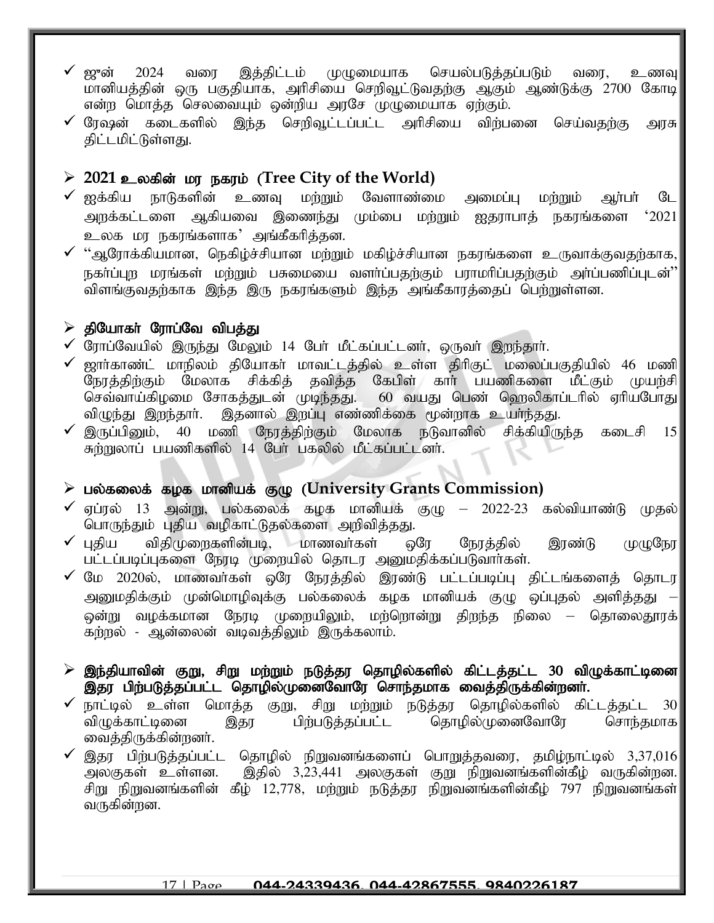- $\checkmark$  ஜுன் 2024 வரை இத்திட்டம் முழுமையாக செயல்படுத்தப்படும் வரை, உணவு மானியத்தின் ஒரு பகுதியாக, அரிசியை செறிவூட்டுவதற்கு ஆகும் ஆண்டுக்கு 2700 கோடி என்ற பொத்த செலவையும் ஒன்றிய அரசே முழுமையாக ஏற்கும்.
- $\checkmark$  ரேஷன் கடைகளில் இந்த செறிவூட்டப்பட்ட அரிசியை விற்பனை செய்வகற்கு அரசு $\parallel$ திட்டமிட்டுள்ளது.

# $\geq 2021$  உலகின் மர நகரம் (Tree City of the World)

- $\checkmark$  ஐக்கிய நாடுகளின் உணவு மற்றும் வேளாண்மை அமைப்பு மற்றும் ஆர்பர் டே அறக்கட்டளை ஆகியவை இணைந்து மும்பை மற்றும் ஐதராபாத் நகரங்களை ' $2021$ உலக மர நகரங்களாக' அங்கீகரித்தன.
- $\checkmark$  "ஆரோக்கியமான, நெகிழ்ச்சியான மற்றும் மகிழ்ச்சியான நகரங்களை உருவாக்குவதற்காக, $\checkmark$ .<br>நகா்ப்புற மரங்கள் மற்றும் பசுமையை வளா்ப்பதற்கும் பராமாிப்பதற்கும் அா்ப்பணிப்புடன்<sup>?</sup> விளங்குவதற்காக இந்த இரு நகரங்களும் இந்த அங்கீகாரத்தைப் பெற்றுள்ளன.

### $\triangleright$  தியோகா் ரோப்வே விபத்து

- $\checkmark$  ரோப்வேயில் இருந்து மேலும் 14 பேர் மீட்கப்பட்டனர், ஒருவர் இறந்தார்.
- $\checkmark$  ஜாா்காண்ட் மாநிலம் தியோகா் மாவட்டத்தில் உள்ள திாிகுட் மலைப்பகுதியில் 46 மணி $\parallel$ .<br>நேரத்திற்கும் மேலாக சிக்கித் தவித்த கேபிள் கார் பயணிகளை மீட்கும் முயற்சி செவ்வாய்கிழமை சோகத்துடன் முடிந்தது. 60 வயது பெண் ஹெலிகாப்டரில் ஏரியபோது விழுந்து இறந்தாா். இதனால் இறப்பு எண்ணிக்கை மூன்றாக உயா்ந்தது.
- இருப்பினும், 40 மணி நேரத்திற்கும் மேலாக நடுவானில் சிக்கியிருந்த கடைசி 15 சுற்றுலாப் பயணிகளில் 14 பேர் பகலில் மீட்கப்பட்டனர்.

# ➢ gy;fiyf; fof khdpaf; FO (**University Grants Commission)**

- $\checkmark$  ஏப்ரல் 13 அன்று, பல்கலைக் கழக மானியக் கு $(\mathfrak{g})$  2022-23 கல்வியாண்டு முதல் பொருந்தும் புதிய வழிகாட்டுதல்களை அறிவித்தது.
- $\checkmark$  புதிய விதிமுறைகளின்படி, மாணவர்கள் ஒரே நேரத்தில் இரண்டு முழுநேர பட்டப்படிப்புகளை நேரடி முறையில் தொடர அனுமதிக்கப்படுவார்கள்.
- $\checkmark$  மே 2020ல், மாணவர்கள் ஒரே நேரத்தில் இரண்டு பட்டப்படிப்பு திட்டங்களைத் தொடர $\parallel$ அனுமதிக்கும் முன்மொழிவுக்கு பல்கலைக் கழக மானியக் குழு ஒப்புதல் அளித்தது ஒன்று வழக்கமான நேரடி முறையிலும், மற்றொன்று திறந்த நிலை — தொலைதூரக் $\vert$ கற்றல் - ஆன்லைன் வடிவத்திலும் இருக்கலாம்.
- $\triangleright$  இந்தியாவின் குறு, சிறு மற்றும் நடுத்தர தொழில்களில் கிட்டத்தட்ட 30 விழுக்காட்டினை $\Vert$ இதர பிற்படுத்தப்பட்ட தொழில்முனைவோரே சொந்தமாக வைத்திருக்கின்றனர்.
- ✔ நாட்டில் உள்ள மொத்த குறு, சிறு மற்றும் நடுத்தர தொழில்களில் கிட்டத்தட்ட 30|<br>|விழுக்காட்டினை இதர பிற்படுத்தப்பட்ட தொழில்முனைவோரே சொந்தமாக இதர பிற்படுத்தப்பட்ட தொழில்முனைவோரே வைத்திருக்கின்றனர்.
- இதர பிற்படுத்தப்பட்ட தொழில் நிறுவனங்களைப் பொறுத்தவரை, தமிழ்நாட்டில் 3,37,016 அலகுகள் உள்ளன. இதில் 3,23,441 அலகுகள் குறு நிறுவனங்களின்கீழ் வருகின்றன.| சிறு நிறுவனங்களின் கீழ்  $12,\!778$ , மற்றும் நடுத்தர நிறுவனங்களின்கீழ்  $797$  நிறுவனங்கள் $\|$ வருகின்றன.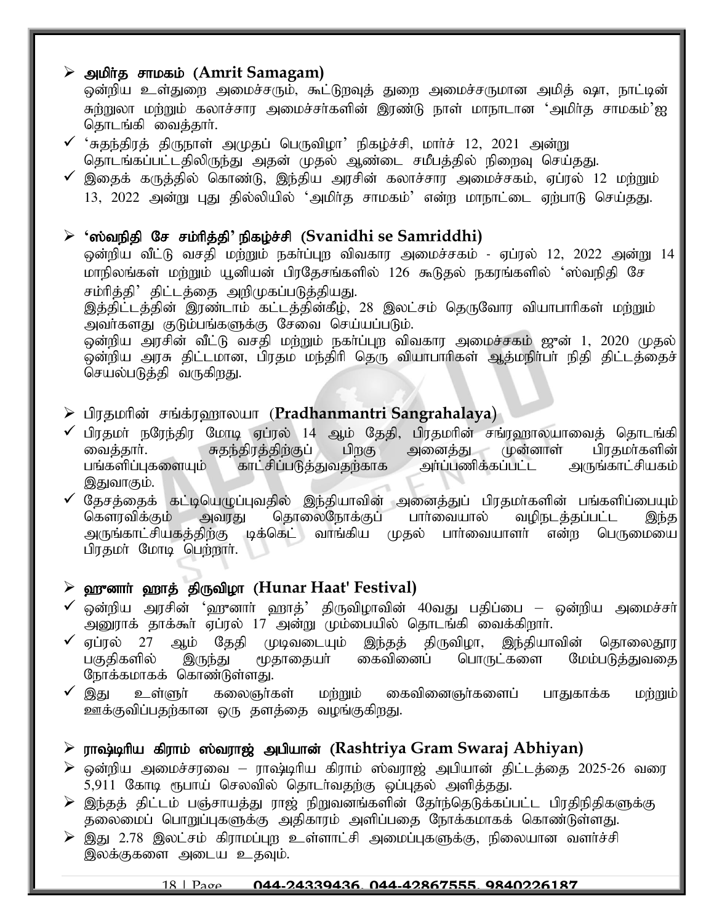# ➢ mkph ;j rhkfk; (**Amrit Samagam)**

ஒன்றிய உள்துறை அமைச்சரும், கூட்டுறவுத் துறை அமைச்சருமான அமித் ஷா, நாட்டின் சுற்றுலா மற்றும் கலாச்சார அமைச்சா்களின் இரண்டு நாள் மாநாடான 'அமிா்த சாமகம்'ஐ தொடங்கி வைத்தார்.

- $\checkmark$  'சுதந்திரத் திருநாள் அமுதப் பெருவிழா' நிகழ்ச்சி, மார்ச் 12, 2021 அன்று தொடங்கப்பட்டதிலிருந்து அதன் முதல் ஆண்டை சமீபத்தில் நிறைவு செய்தது.
- $\checkmark$  இதைக் கருத்தில் கொண்டு, இந்திய அரசின் கலாச்சார அமைச்சகம், ஏப்ரல் 12 மற்றும் 13, 2022 அன்று புது தில்லியில் 'அமிர்த சாமகம்' என்ற மாநாட்டை ஏற்பாடு செய்தது.

# $\triangleright$  'ஸ்வநிதி சே சம்ரித்தி' நிகழ்ச்சி (Svanidhi se Samriddhi)

ஒன்றிய வீட்டு வசதி மற்றும் நகா்ப்புற விவகார அமைச்சகம் - ஏப்ரல் 12, 2022 அன்று 14 மாநிலங்கள் மற்றும் யூனியன் பிரதேசங்களில் 126 கூடுதல் நகரங்களில் 'ஸ்வநிதி சே சம்ரித்தி' திட்டத்தை அறிமுகப்படுத்தியது.

இத்திட்டத்தின் இரண்டாம் கட்டத்தின்கீழ், 28 இலட்சம் தெருவோர வியாபாரிகள் மற்றும் அவர்களது குடும்பங்களுக்கு சேவை செய்யப்படும்.

ஒன்றிய அரசின் வீட்டு வசதி மற்றும் நகர்ப்புற விவகார அமைச்சகம் ஜுன் 1, 2020 முதல்|  $\tilde{\phi}$ ன்றிய அரசு திட்டமான, பிரதம மந்திரி தெரு வியாபாரிகள் ஆத்மநிா்பா் நிதி திட்டத்தைச் செயல்படுத்தி வருகிறது.

# ➢ gpujkhpd; rq;f;u`hyah (**[Pradhanmantri Sangrahalaya](https://www.jagranjosh.com/current-affairs/pradhanmantri-sangrahalaya-inauguration-all-you-need-to-know-1649830230-1?ref=list_ca)**)

- ✓ பிரதமா் நரேந்திர மோடி ஏப்ரல் 14 ஆம் தேதி, பிரதமாின் சங்ரஹாலயாவைத் தொடங்கி $\vert$ ைவக்காா். குதந்திரத்திற்குப் பிறகு அனைத்து முன்னாள் பிரதமா்களின் itj;jhh;. Rje;jpuj;jpw;Fg; gpwF midj;J Kd;dhs; gpujkh;fspd; ்காட்சிப்படுத்துவதற்காக அா்ப்பணிக்கப்பட்ட அருங்காட்சியகம் <mark>|</mark> இதுவாகும்.
- ✔ தேசத்தைக் கட்டியெழுப்புவதில் இந்தியாவின் அனைத்துப் பிரதமா்களின் பங்களிப்பையும்<br>கௌரவிக்கும் அவரது கொலைநோக்குப் பாா்வையால் வமிநடக்கப்பட்ட இந்த அவரது தொலைநோக்குப் பாா்வையால் வழிநடத்தப்பட்ட இந்த<br>திற்கு டிக்கெட் வாங்கிய முதல் பாா்வையாளா் என்ற பெருமையை அருங்காட்சியகத்திற்கு டிக்கெட் வாங்கிய முதல் பிரதமர் மோடி பெற்றார்.

# > ஹுனார் ஹாத் திருவிழா (Hunar Haat' Festival)

- $\checkmark$  ஒன்றிய அரசின் 'ஹுனாா் ஹாத்' திருவிழாவின் 40வது பதிப்பை ஒன்றிய அமைச்சா் $\parallel$ அனுராக் தாக்கூர் ஏப்ரல் 17 அன்று மும்பையில் தொடங்கி வைக்கிறார்.
- ✔ ஏப்ரல் 27 ஆம் தேதி முடிவடையும் இந்தத் திருவிழா, இந்தியாவின் தொலைதூர<br>பகுதிகளில் இருந்து மூதாதையா் கைவினைப் பொருட்களை மேம்படுத்துவதை பகுதிகளில் இருந்து மூதாதையா் கைவினைப் பொருட்களை மேம்படுத்துவதை நோக்கமாகக் கொண்டுள்ளது.
- $\checkmark$  இது உள்ளுா் கலைஞா்கள் மற்றும் கைவினைஞா்களைப் பாதுகாக்க மற்றும் $\|$ ஊக்குவிப்பதற்கான ஒரு தளத்தை வழங்குகிறது.

# $\triangleright$  ராஷ்டிரிய கிராம் ஸ்வராஜ் அபியான் (Rashtriya Gram Swaraj Abhiyan)

- $\triangleright$  ஒன்றிய அமைச்சரவை ராஷ்டிரிய கிராம் ஸ்வராஜ் அபியான் திட்டத்தை 2025-26 வரை 5,911 கோடி ரூபாய் செலவில் தொடர்வதற்கு ஒப்புதல் அளித்தது.
- $\blacktriangleright$  இந்தத் திட்டம் பஞ்சாயத்து ராஜ் நிறுவனங்களின் தேர்ந்தெடுக்கப்பட்ட பிரதிநிதிகளுக்கு தலைமைப் பொறுப்புகளுக்கு அதிகாரம் அளிப்பதை நோக்கமாகக் கொண்டுள்ளது.
- $\triangleright$  இது 2.78 இலட்சம் கிராமப்புற உள்ளாட்சி அமைப்புகளுக்கு, நிலையான வளர்ச்சி இலக்குகளை அடைய உதவும்.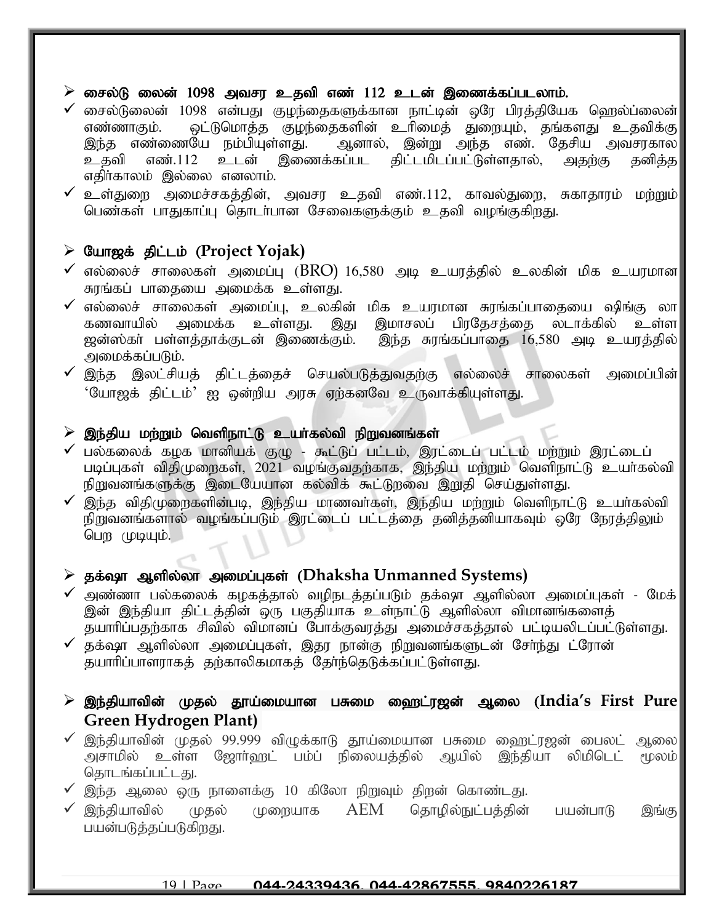#### $\triangleright$  சைல்டு லைன் 1098 அவசர உதவி எண் 112 உடன் இணைக்கப்படலாம்.

- $\checkmark$  சைல்டுலைன் 1098 என்பது குழந்தைகளுக்கான நாட்டின் ஒரே பிரத்தியேக ஹெல்ப்லைன் $\mid$ எண்ணாகும். ஒட்டுமொத்த குழந்தைகளின் உரிமைத் துறையும், தங்களது உதவிக்கு<br>இந்த எண்ணையே நம்பியுள்ளது. ஆனால், இன்று அந்த எண். கேசிய அவசாகால ரளது. ஆனால், இன்று அந்த எண். தேசிய அவசரகால<br>இணைக்கப்பட கிட்டமிடப்பட்டுள்ளதால், அதற்கு தனிக்க உதவி எண்.112 உடன் இணைக்கப்பட திட்டமிடப்பட்டுள்ளதால், அதற்கு தனித்த எதிர்காலம் இல்லை எனலாம்.
- $\checkmark$  உள்துறை அமைச்சகத்தின், அவசர உதவி எண்.112, காவல்துறை, சுகாதாரம் மற்றும் $\parallel$ பெண்கள் பாதுகாப்பு தொடர்பான சேவைகளுக்கும் உதவி வழங்குகிறது.

### ➢ Nah[f; jpl;lk; (**Project Yojak)**

- $\checkmark$  எல்லைச் சாலைகள் அமைப்பு ( $\rm BRO$ ) 16,580 அடி உயரத்தில் உலகின் மிக உயரமான $\parallel$ சுரங்கப் பாதையை அமைக்க உள்ளது.
- ✔ எல்லைச் சாலைகள் அமைப்பு, உலகின் மிக உயரமான சுரங்கப்பாதையை ஷிங்கு லா|<br>| கணவாயில் அமைக்க உள்ளது. இது இமாசலப் பிரதேசத்தை லடாக்கில் உள்ள| கணவாயில் அமைக்க உள்ளது. இது இமாசலப் பிரதேசத்தை லடாக்கில் உள்ள|<br>ஜன்ஸ்கர் பள்ளத்தாக்குடன் இணைக்கும். இந்த சுரங்கப்பாதை 16,580 அடி உயரத்தில்| இந்த சுரங்கப்பாதை  $16,580$  அடி உயரத்தில் அமைக்கப்படும்.
- $\checkmark$  இந்த இலட்சியத் திட்டத்தைச் செயல்படுத்துவதற்கு எல்லைச் சாலைகள் அமைப்பின் $\parallel$ <u>'யோஜக் திட்டம்' ஐ ஒன்றிய அரசு ஏற்கனவே உருவாக்கியுள்ளது.</u>

#### $\triangleright$  இந்திய மற்றும் வெளிநாட்டு உயா்கல்வி நிறுவனங்கள்

- $\checkmark$  பல்கலைக் கழக மானியக் குழு கூட்டுப் பட்டம், இரட்டைப் பட்டம் மற்றும் இரட்டைப் படிப்புகள் விதிமுறைகள்,  $2021$  வழங்குவதற்காக, இந்திய மற்றும் வெளிநாட்டு உயா்கல்வி நிறுவனங்களுக்கு இடையேயான கல்விக் கூட்டுறவை இறுதி செய்துள்ளது.
- $\checkmark$  இந்த விதிமுறைகளின்படி, இந்திய மாணவர்கள், இந்திய மற்றும் வெளிநாட்டு உயர்கல்வி நிறுவனங்களால் வழங்கப்படும் இரட்டைப் பட்டத்தை தனித்தனியாகவும் ஒரே நேரத்திலும் பெற முடியும்.

#### $\triangleright$  தக்ஷா ஆளில்லா அமைப்புகள் (Dhaksha Unmanned Systems)

- $\checkmark$  அண்ணா பல்கலைக் கழகத்தால் வழிநடத்தப்படும் தக்ஷா ஆளில்லா அமைப்புகள் மேக் $\dot{\bar{\phantom{s}}}$ இன் இந்தியா திட்டத்தின் ஒரு பகுதியாக உள்நாட்டு ஆளில்லா விமானங்களைத் தயாரிப்பதற்காக சிவில் விமானப் போக்குவரத்து அமைச்சகத்தால் பட்டியலிடப்பட்டுள்ளது.
- $\checkmark$  தக்ஷா ஆளில்லா அமைப்புகள், இதர நான்கு நிறுவனங்களுடன் சேர்ந்து ட்ரோன் தயாரிப்பாளராகத் தற்காலிகமாகத் தேர்ந்தெடுக்கப்பட்டுள்ளது.

### $\triangleright$  இந்தியாவின் முதல் தூய்மையான பசுமை ஹைட்ரஜன் ஆலை (India's First Pure| **Green Hydrogen Plant)**

- $\checkmark$  இந்தியாவின் முதல் 99.999 விழுக்காடு தூய்மையான பசுமை ஹைட்ரஜன் பைலட் ஆலை $\mathbin\Vert$ அசாமில் உள்ள ஜோர்ஹட் பம்ப் நிலையத்தில் ஆயில் இந்தியா லிமிடெட் மூலம்| தொடங்கப்பட்டது.
- $\checkmark$  இந்த ஆலை ஒரு நாளைக்கு 10 கிலோ நிறுவும் திறன் கொண்டது.
- $\checkmark$  இந்தியாவில் முதல் முறையாக  $\mathrm{AEM}$  தொழில்நுட்பத்தின் பயன்பாடு இங்கு பயன்படுத்தப்படுகிறது.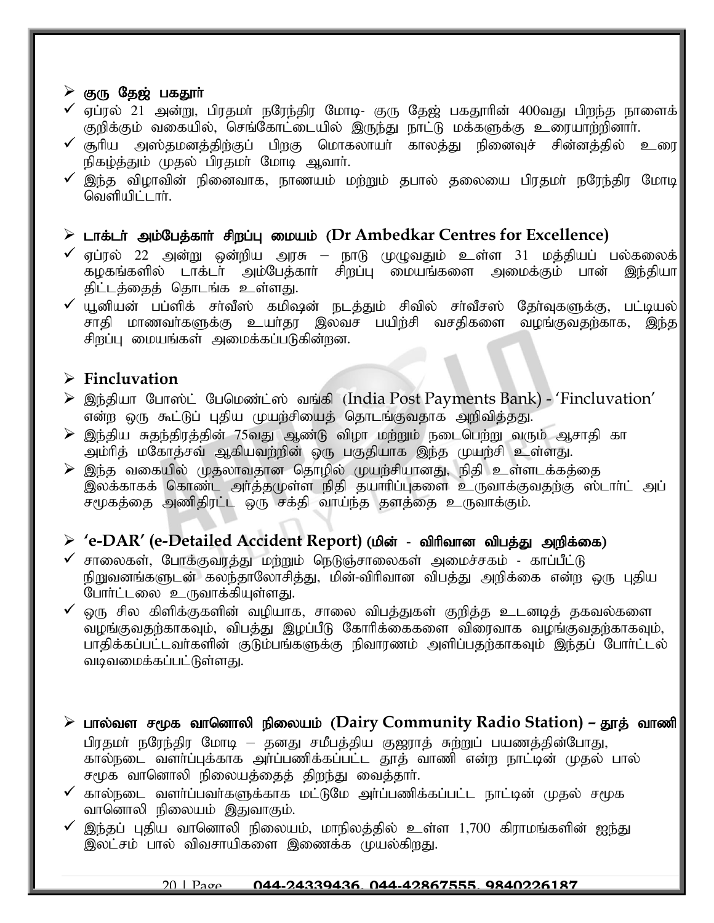#### $\triangleright$  குரு தேஜ் பகதூர்

- $\checkmark$  ஏப்ரல் 21 அன்று, பிரதமா் நரேந்திர மோடி- குரு தேஜ் பகதூரின் 400வது பிறந்த நாளைக் $\checkmark$ குறிக்கும் வகையில், செங்கோட்டையில் இருந்து நாட்டு மக்களுக்கு உரையாற்றினாா்.
- $\checkmark$  சூரிய அஸ்தமனத்திற்குப் பிறகு மொகலாயர் காலத்து நினைவுச் சின்னத்தில் உரை $|$ நிகழ்த்தும் முதல் பிரதமா் மோடி ஆவாா்.
- $\checkmark$  இந்த விழாவின் நினைவாக, நாணயம் மற்றும் தபால் தலையை பிரதமா் நரேந்திர மோடி $|$  $\omega$ வளியிட்டார்.

#### ➢ lhf;lh; mk;Ngj;fhh; rpwg;G ikak; (**Dr Ambedkar Centres for Excellence)**

- ✔ ஏப்ரல் 22 அன்று ஒன்றிய அரசு நாடு முழுவதும் உள்ள 31 மத்தியப் பல்கலைக்<br>கழகங்களில் டாக்டா் அம்பேத்காா் சிறப்பு மையங்களை அமைக்கும் பான் இந்தியா  $\widetilde{f}$ தழகங்களில் டாக்டர் அம்பேத்கார் சிறப்பு மையங்களை அமைக்கும் பான் திட்டத்தைத் தொடங்க உள்ளது.
- $\checkmark$  யூனியன் பப்ளிக் சா்வீஸ் கமிஷன் நடத்தும் சிவில் சா்வீசஸ் தோ்வுகளுக்கு, பட்டியல் $\parallel$ சாதி மாணவர்களுக்கு உயர்தா இலவச பயிற்சி வசதிகளை வழங்குவதற்காக, இந்த சிறப்பு மையங்கள் அமைக்கப்படுகின்றன.

# ➢ **Fincluvation**

- ▶ இந்தியா போஸ்ட் பேமெண்ட்ஸ் வங்கி (India Post Payments Bank) 'Fincluvation' என்ற ஒரு கூட்டுப் புதிய முயற்சியைத் தொடங்குவதாக அறிவித்தது.
- $\triangleright$  இந்திய சுதந்திரத்தின் 75வது ஆண்டு விழா மற்றும் நடைபெற்று வரும் ஆசாதி கா அம்ரித் மகோத்சவ் ஆகியவற்றின் ஒரு பகுதியாக இந்த முயற்சி உள்ளது.
- $\triangleright$  இந்த வகையில் முதலாவதான தொழில் முயற்சியானது, நிதி உள்ளடக்கத்தை இலக்காகக் கொண்ட அர்த்தமுள்ள நிதி தயாரிப்புகளை உருவாக்குவதற்கு ஸ்டார்ட் அப்  $\sigma$ முகத்தை அணிதிரட்ட ஒரு சக்தி வாய்ந்த தளத்தை உருவாக்கும்.

# ≻ 'e-DAR' (e-Detailed Accident Report) (மின் - விரிவான விபத்து அறிக்கை)

- $\checkmark$  சாலைகள், போக்குவரத்து மற்றும் நெடுஞ்சாலைகள் அமைச்சகம் காப்பீட்டு நிறுவனங்களுடன் கலந்தாலோசித்து, மின்-விரிவான விபத்து அறிக்கை என்ற ஒரு புதிய போர்ட்டலை உருவாக்கியுள்ளது.
- ஒரு சில கிளிக்குகளின் வழியாக, சாலை விபத்துகள் குறித்த உடனடித் தகவல்களை .<br>வழங்குவதற்காகவும், விபத்து இழப்பீடு கோரிக்கைகளை விரைவாக வழங்குவதற்காகவும், பாதிக்கப்பட்டவா்களின் குடும்பங்களுக்கு நிவாரணம் அளிப்பதற்காகவும் இந்தப் போா்ட்டல் வடிவமைக்கப்பட்டுள்ளது.
- $\triangleright$  பால்வள சமூக வானொலி நிலையம் (Dairy Community Radio Station) தூத் வாணி பிரதமா் நரேந்திர மோடி – தனது சமீபத்திய குஜராத் சுற்றுப் பயணத்தின்போது, கால்நடை வளர்ப்புக்காக அர்ப்பணிக்கப்பட்ட தூத் வாணி என்ற நாட்டின் முதல் பால் சமூக வானொலி நிலையத்தைத் திறந்து வைத்தார்.
- $\checkmark$  கால்நடை வளர்ப்பவர்களுக்காக மட்டுமே அர்ப்பணிக்கப்பட்ட நாட்டின் முதல் சமூக வானொலி நிலையம் இதுவாகும்.
- $\checkmark$  இந்தப் புதிய வானொலி நிலையம், மாநிலத்தில் உள்ள 1,700 கிராமங்களின் ஐந்து ு.<br>இலட்சம் பால் விவசாயிகளை இணைக்க முயல்கி<u>றத</u>ு.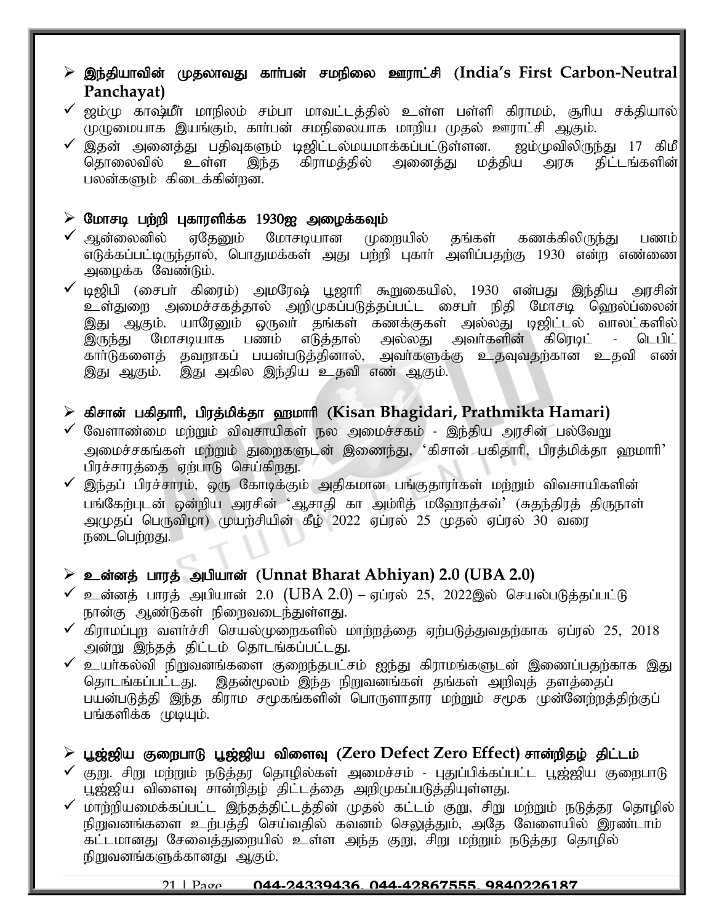# ➢ ,e;jpahtpd; KjyhtJ fhh;gd; rkepiy Cuhl;rp (**India's First Carbon-Neutral Panchayat)**

- $\checkmark$  ஜம்மு காஷ்மீர் மாநிலம் சம்பா மாவட்டத்தில் உள்ள பள்ளி கிராமம், சூரிய சக்தியால் $\parallel$ முழுமையாக இயங்கும், காா்பன் சமநிலையாக மாறிய முதல் ஊராட்சி ஆகும்.
- இதன் அனைத்து பதிவுகளும் டிஜிட்டல்மயமாக்கப்பட்டுள்ளன. ஜம்முவிலிருந்து 17 கிமீ|<br>தொலைவில் உள்ள இந்த கிராமக்கில் அனைக்து மக்கிய அரசு கிட்டங்களின்| இந்த கிராமத்தில் பலன்களும் கிடைக்கின்றன.

#### $\triangleright$  மோசடி பற்றி புகாரளிக்க 1930ஐ அழைக்கவும்

- $\checkmark$  ஆன்லைனில் ஏதேனும் மோசடியான முறையில் தங்கள் கணக்கிலிருந்து பணம் எடுக்கப்பட்டிருந்தால், பொதுமக்கள் அது பற்றி புகாா் அளிப்பதற்கு 1930 என்ற எண்ணை $\parallel$ அழைக்க வேண்டும்.
- $\checkmark$  டிஜிபி (சைபா் கிரைம்) அமரேஷ் பூஜாாி கூறுகையில், 1930 என்பது இந்திய அரசின் $\parallel$ உள்துறை அமைச்சகத்தால் அறிமுகப்படுத்தப்பட்ட சைபா் நிதி மோசடி ஹெல்ப்லைன் இது ஆகும். யாரேனும் ஒருவா் தங்கள் கணக்குகள் அல்லது டிஜிட்டல் வாலட்களில்|<br>இருந்து மோசடியாக பணம் எடுத்தால் அல்லது அவா்களின் கிரெடிட் - டெபிட்| ,<br>இருந்து மோசடியாக பணம் எடுத்தால் அல்லது அவர்களின் கிரெடிட் - டெபிட் கார்டுகளைத் தவறாகப் பயன்படுத்தினால், அவர்களுக்கு உதவுவதற்கான உதவி எண் இது ஆகும். இது அகில இந்திய உதவி எண் ஆகும்.

# $\triangleright$  கிசான் பகிதாரி, பிரத்மிக்தா ஹமாரி (Kisan Bhagidari, Prathmikta Hamari)

- $\checkmark$  வேளாண்மை மற்றும் விவசாயிகள் நல அமைச்சகம் இந்திய அரசின் பல்வேறு அமைச்சகங்கள் மற்றும் துறைகளுடன் இணைந்து, 'கிசான் பகிதாரி, பிரத்மிக்தா ஹமாரி' பிரச்சாரத்தை ஏற்பாடு செய்கிறது.
- $\checkmark$  இந்தப் பிரச்சாரம், ஒரு கோடிக்கும் அதிகமான பங்குதாரா்கள் மற்றும் விவசாயிகளின் பங்கேற்புடன் ஒன்றிய அரசின் 'ஆசாதி கா அம்ரித் மஹோத்சவ்' (சுதந்திரத் திருநாள் அமுதப் பெருவிழா) முயற்சியின் கீழ் 2022 ஏப்ரல் 25 முதல் ஏப்ரல் 30 வரை நடைபெற்றது.

# $\geq$  உன்னத் பாரத் அபியான் (Unnat Bharat Abhiyan) 2.0 (UBA 2.0)

- $\checkmark$  உன்னத் பாரத் அபியான் 2.0 (UBA 2.0) ஏப்ரல் 25, 2022இல் செயல்படுத்தப்பட்டு நான்கு ஆண்டுகள் நிறைவடைந்துள்ளது.
- $\checkmark$  கிராமப்புற வளர்ச்சி செயல்முறைகளில் மாற்றத்தை ஏற்படுத்துவதற்காக ஏப்ரல் 25, 2018 அன்று இந்தத் திட்டம் தொடங்கப்பட்டது.
- $\checkmark$  உயா்கல்வி நிறுவனங்களை குறைந்தபட்சம் ஐந்து கிராமங்களுடன் இணைப்பதற்காக இது தொடங்கப்பட்டது. இதன்மூலம் இந்த நிறுவனங்கள் தங்கள் அறிவுத் தளத்தைப் பயன்படுத்தி இந்த கிராம சமூகங்களின் பொருளாதார மற்றும் சமூக முன்னேற்றத்திற்குப் பங்களிக்க முடியும்.

# $\triangleright$  பூஜ்ஜிய குறைபாடு பூஜ்ஜிய விளைவு (Zero Defect Zero Effect) சான்றிதழ் திட்டம்

- $\checkmark$  குறு. சிறு மற்றும் நடுத்தூ தொழில்கள் அமைச்சம் புதுப்பிக்கப்பட்ட பூஜ்ஜிய குறைபாடு பூஜ்ஜிய விளைவு சான்றிதழ் திட்டத்தை அறிமுகப்படுத்தியுள்ளது.
- $\checkmark$  மாற்றியமைக்கப்பட்ட இந்தத்திட்டத்தின் முதல் கட்டம் குறு, சிறு மற்றும் நடுத்தர தொழில் நிறுவனங்களை உற்பத்தி செய்வதில் கவனம் செலுத்தும், அதே வேளையில் இரண்டாம் கட்டமானது சேவைத்துறையில் உள்ள அந்த குறு, சிறு மற்றும் நடுத்தர தொழில் நிறுவனங்களுக்கானது ஆகும்.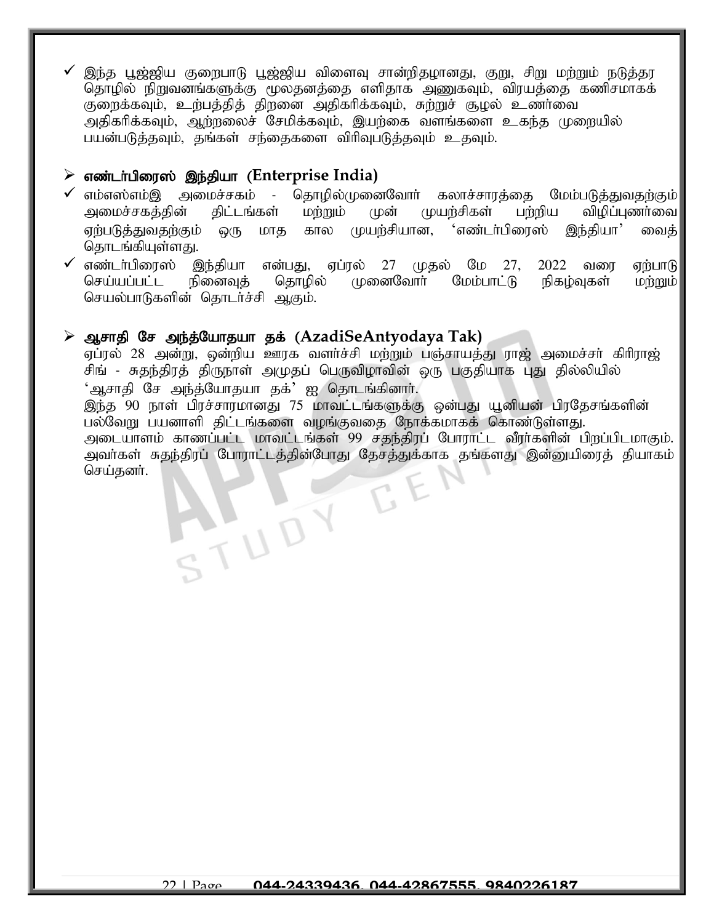இந்த பூஜ்ஜிய குறைபாடு பூஜ்ஜிய விளைவு சான்றிதழானது, குறு, சிறு மற்றும் நடுத்தர தொழில் நிறுவனங்களுக்கு மூலதனத்தை எளிதாக அணுகவும், விரயத்தை கணிசமாகக் குறைக்கவும், உற்பத்தித் திறனை அதிகரிக்கவும், சுற்றுச் சூழல் உணர்வை அதிகரிக்கவும், ஆற்றலைச் சேமிக்கவும், இயற்கை வளங்களை உகந்த முறையில் பயன்படுத்தவும், தங்கள் சந்தைகளை விரிவுபடுத்தவும் உதவும்.

# $\triangleright$  எண்டர்பிரைஸ் இந்தியா (Enterprise India)

- ✔ எம்எஸ்எம்இ அமைச்சகம் தொழில்முனைவோா் கலாச்சாரத்தை மேம்படுத்துவதற்கும்<br>அமைச்சகத்தின் திட்டங்கள் மற்றும் முன் முயற்சிகள் பற்றிய விழிப்புணா்வை முன் முயற்சிகள் பற்றிய விழிப்புணர்வை| ஏற்படுத்துவதற்கும் ஒரு மாத கால முயற்சியான, 'எண்டர்பிரைஸ் இந்தியா' வைத் $|$ தொடங்கியுள்ளது.
- $\checkmark$  எண்டா்பிரைஸ் இந்தியா என்பது, ஏப்ரல் 27 முதல் மே 27, 2022 வரை ஏற்பாடு செய்யப்பட்ட நினைவுத் தொழில் முனைவோர் மேம்பாட்டு நிகழ்வுகள் மற்றும் செயல்பாடுகளின் தொடர்ச்சி ஆகும்.

### ➢ Mrhjp Nr me;j;Nahjah jf; (**AzadiSeAntyodaya Tak)**

ATUDY

ஏப்ரல் 28 அன்று, ஒன்றிய ஊரக வளர்ச்சி மற்றும் பஞ்சாயத்து ராஜ் அமைச்சர் கிரிராஜ் சிங் - சுதந்திரத் திருநாள் அமுதப் பெருவிழாவின் ஒரு பகுதியாக புது தில்லியில் 'ஆசாதி சே அந்த்யோதயா தக்' ஐ தொடங்கினார்.

இந்த 90 நாள் பிரச்சாரமானது 75 மாவட்டங்களுக்கு ஒன்பது யூனியன் பிரதேசங்களின் பல்வேறு பயனாளி திட்டங்களை வழங்குவதை நோக்கமாகக் கொண்டுள்ளது. அடையாளம் காணப்பட்ட மாவட்டங்கள் 99 சகுந்திரப் போராட்ட வீரர்களின் பிறப்பிடமாகும். அவா்கள் சுதந்திரப் போராட்டத்தின்போது தேசத்துக்காக தங்களது இன்னுயிரைத் தியாகம் செய்கனர்.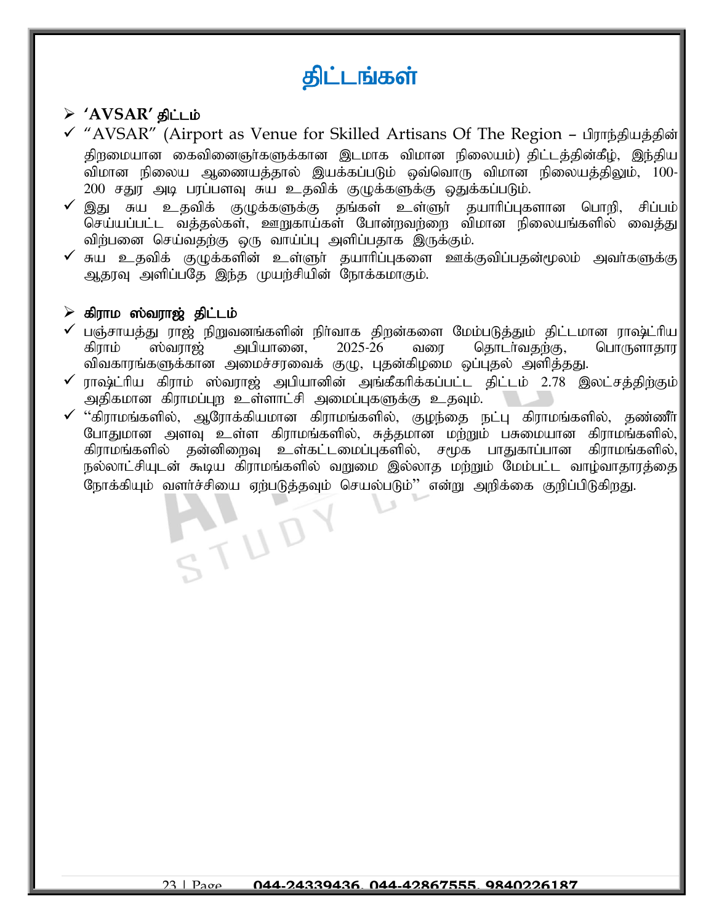# திட்டங்கள்

# ➢ **'AVSAR'** jpl;lk;

- √ "AVSAR" (Airport as Venue for Skilled Artisans Of The Region பிராந்தியத்தின்| திறமையான கைவினைஞர்களுக்கான இடமாக விமான நிலையம்) திட்டத்தின்கீழ், இந்திய விமான நிலைய ஆணையத்தால் இயக்கப்படும் ஒவ்வொரு விமான நிலையத்திலும், 100-200 சதுர அடி பரப்பளவு சுய உதவிக் குழுக்களுக்கு ஒதுக்கப்படும்.
- $\checkmark$  இது சுய உதவிக் குமுக்களுக்கு தங்கள் உள்ளுர் தயாரிப்புகளான பொறி, சிப்பம் $\mid$ செய்யப்பட்ட வத்தல்கள், ஊறுகாய்கள் போன்றவற்றை விமான நிலையங்களில் வைத்து விற்பனை செய்வதற்கு ஒரு வாய்ப்பு அளிப்பதாக இருக்கும்.
- $\checkmark$  சுய உதவிக் குழுக்களின் உள்ளுர் தயாரிப்புகளை ஊக்குவிப்பதன்மூலம் அவர்களுக்கு $\checkmark$ ஆதரவு அளிப்பதே இந்த முயற்சியின் நோக்கமாகும்.

### $\triangleright$  கிராம ஸ்வராஜ் திட்டம்

- ✔ பஞ்சாயத்து ராஜ் நிறுவனங்களின் நிா்வாக திறன்களை மேம்படுத்தும் திட்டமான ராஷ்ட்ரிய<br>திராம் ஸ்வராஜ் அபியானை, 2025-26 வரை தொடா்வதற்கு, பொருளாதார கிராம் ஸ்வராஜ் அபியானை, 2025-26 வரை தொடர்வதற்கு, விவகாரங்களுக்கான அமைச்சரவைக் குழு, புதன்கிழமை ஒப்புதல் அளித்தது.
- $\checkmark$  ராஷ்ட்ரிய கிராம் ஸ்வராஜ் அபியானின் அங்கீகரிக்கப்பட்ட திட்டம் 2.78 இலட்சத்திற்கும் $\parallel$ அதிகமான கிராமப்புற உள்ளாட்சி அமைப்புகளுக்கு உதவும்.
- $\checkmark$  "கிராமங்களில், ஆரோக்கியமான கிராமங்களில், குழந்தை நட்பு கிராமங்களில், தண்ணீர் $|$ போதுமான அளவு உள்ள கிராமங்களில், சுத்தமான மற்றும் பசுமையான கிராமங்களில், கிராமங்களில் தன்னிறைவு உள்கட்டமைப்புகளில், சமூக பாதுகாப்பான கிராமங்களில்,| நல்லாட்சியுடன் கூடிய கிராமங்களில் வறுமை இல்லாத மற்றும் மேம்பட்ட வாழ்வாதாரத்தை நோக்கியும் வளர்ச்சியை ஏற்படுத்தவும் செயல்படும்'' என்று அறிக்கை குறிப்பிடுகிறது.

STUD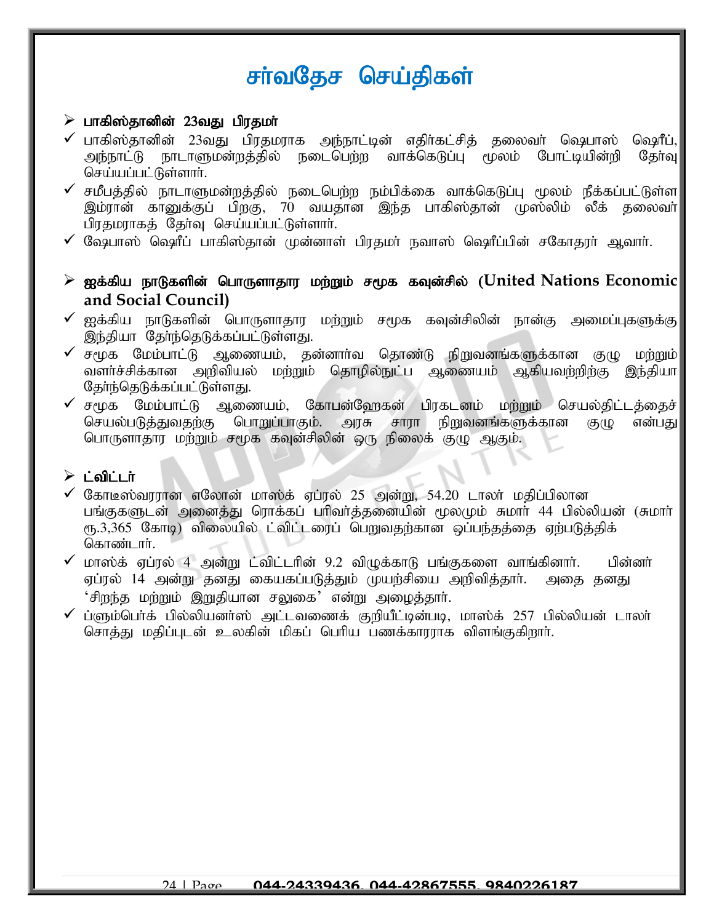# சர்வதேச செய்திகள்

### $\triangleright$  பாகிஸ்தானின் 23வது பிரதமா்

- $\checkmark$  பாகிஸ்தானின் 23வது பிரதமராக அந்நாட்டின் எதிர்கட்சித் தலைவர் ஷெபாஸ் ஷெரீப், அந்நாட்டு நாடாளுமன்றத்தில் நடைபெற்ற வாக்கெடுப்பு மூலம் போட்டியின்றி தேர்வு $\parallel$ செய்யப்பட்டுள்ளார்.
- $\checkmark$  சமீபத்தில் நாடாளுமன்றத்தில் நடைபெற்ற நம்பிக்கை வாக்கெடுப்பு மூலம் நீக்கப்பட்டுள்ள $\mid$ இம்ரான் கானுக்குப் பிறகு, 70 வயதான இந்த பாகிஸ்தான் முஸ்லிம் லீக் தலைவா் பிரதமராகத் தேர்வு செய்யப்பட்டுள்ளார்.
- $\checkmark$  வேூபாஸ் ஷெரீப் பாகிஸ்தான் முன்னாள் பிரதமர் நவாஸ் ஷெரீப்பின் சகோதரர் ஆவார்.
- ➢ If;fpa ehLfspd; nghUshjhu kw;Wk; r%f fTd;rpy; (**United Nations Economic and Social Council)**
- $\checkmark$  ஐக்கிய நாடுகளின் பொருளாதார மற்றும் சமூக கவுன்சிலின் நான்கு அமைப்புகளுக்கு $|$ இந்தியா தேர்ந்தெடுக்கப்பட்டுள்ளது.
- $\checkmark$  சமூக மேம்பாட்டு ஆணையம், தன்னாா்வ தொண்டு நிறுவனங்களுக்கான குழு மற்றும் வளர்ச்சிக்கான அறிவியல் மற்றும் தொழில்நுட்ப ஆணையம் ஆகியவற்றிற்கு இந்தியா தேர்ந்தெடுக்கப்பட்டுள்ளது.
- $\checkmark$  சமூக மேம்பாட்டு ஆணையம், கோபன்னேகன் பிரகடனம் மற்றும் செயல்கிட்டத்தைச் செயல்படுத்துவதற்கு பொறுப்பாகும். அரசு சாரா நிறுவனங்களுக்கான குழு என்பது பொருளாதார மற்றும் சமூக கவுன்சிலின் ஒரு நிலைக் குழு ஆகும்.

#### $\triangleright$  :  $\bigcirc$  in ;

- $\checkmark$  கோடீஸ்வரரான எலோன் மாஸ்க் ஏப்ரல் 25 அன்று, 54.20 டாலர் மதிப்பிலான பங்குகளுடன் அனைத்து ரொக்கப் பரிவர்த்தனையின் மூலமும் சுமார் 44 பில்லியன் (சுமார் ரூ.3,365 கோடி) விலையில் ட்விட்டரைப் பெறுவதற்கான ஒப்பந்தத்தை ஏற்படுத்திக் கொண்டார்.
- $\checkmark$  மாஸ்க் ஏப்ரல் 4 அன்று ட்விட்டரின் 9.2 விழுக்காடு பங்குகளை வாங்கினார். பின்னர் ஏப்ரல் 14 அன்று தனது கையகப்படுத்தும் முயற்சியை அறிவித்தார். அதை தனது  $\cdot$ சிறந்த மற்றும் இறுதியான சலுகை $\cdot$  என்று அழைத்தார்.
- $\checkmark$  ப்ளும்பெர்க் பில்லியனர்ஸ் அட்டவணைக் குறியீட்டின்படி, மாஸ்க் 257 பில்லியன் டாலர் சொத்து மதிப்புடன் உலகின் மிகப் பெரிய பணக்காரராக விளங்குகிறார்.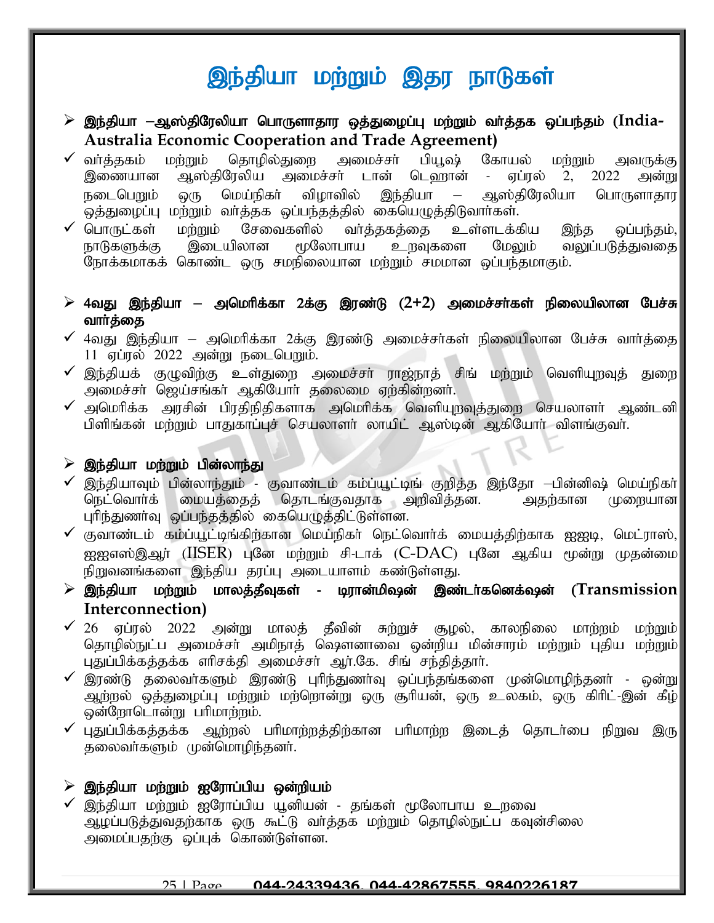# இந்தியா மற்றும் இதர நாடுகள்

- $\triangleright$  இந்தியா —ஆஸ்திரேலியா பொருளாதார ஒத்துழைப்பு மற்றும் வர்த்தக ஒப்பந்தம் (India-**Australia Economic Cooperation and Trade Agreement)**
- ✔ வா்த்தகம் மற்றும் தொழில்துறை அமைச்சா் பியூஷ் கோயல் மற்றும் அவருக்கு<br>இணையான ஆஸ்திரேலிய அமைச்சா் டான் டெவரான் ஏப்ரல் 2, 2022 அன்று இணையான ஆஸ்திரேலிய அமைச்சா் டான் டெஹான் - ஏப்ரல் 2, 2022 அன்று நடைபெறும் ஒரு மெய்நிகர் விழாவில் இந்தியா – ஆஸ்திரேலியா பொருளாதார ஒத்துழைப்பு மற்றும் வா்த்தக ஒப்பந்தத்தில் கையெழுத்திடுவாா்கள்.<br>v பொருட்கள் மற்றும் சேவைகளில் வா்த்தகத்தை உள்ளடக்ச
- பொருட்கள் மற்றும் சேவைகளில் வா்த்தகத்தை உள்ளடக்கிய இந்த ஒப்பந்தம்,|<br>நாடுகளுக்கு இடையிலான மூலோபாய உறவுகளை மேலும் வலுப்படுத்துவதை| வலுப்படுத்துவதை| நோக்கமாகக் கொண்ட ஒரு சமநிலையான மற்றும் சமமான ஒப்பந்தமாகும்.
- $\geq$  4வது இந்தியா அமெரிக்கா 2க்கு இரண்டு (2+2) அமைச்சர்கள் நிலையிலான பேச்சு வார்த்தை
- $\checkmark$  4வது இந்தியா அமெரிக்கா 2க்கு இரண்டு அமைச்சர்கள் நிலையிலான பேச்சு வார்த்தை $\parallel$  $11$  ஏப்ரல்  $2022$  அன்று நடைபெறும்.
- $\checkmark$  இந்தியக் குழுவிற்கு உள்துறை அமைச்சா் ராஜ்நாத் சிங் மற்றும் வெளியுறவுத் துறை $\parallel$ mikr;rh; n[a;rq;fh; MfpNahh; jiyik Vw;fpd;wdh;.
- $\checkmark$  அமெரிக்க அரசின் பிரதிநிதிகளாக அமெரிக்க வெளியுறவுத்துறை செயலாளர் ஆண்டனி $\parallel$ பிளிங்கன் மற்றும் பாதுகாப்புச் செயலாளா் லாயிட் ஆஸ்டின் ஆகியோா் விளங்குவா்.

# $\triangleright$  இந்தியா மற்றும் பின்லாந்து

- ✓ இந்தியாவும் பின்லாந்தும் குவாண்டம் கம்ப்யூட்டிங் குறித்த இந்தோ —பின்னிஷ் மெய்நிகா்<br>நெட்வொா்க் மையத்தைத் தொடங்குவதாக அறிவித்தன. அதற்கான முறையான மையத்தைத் தொடங்குவதாக அறிவித்தன. அதற்கான புரிந்துணர்வு ஒப்பந்தத்தில் கையெழுத்திட்டுள்ளன.
- $\checkmark$  குவாண்டம் கம்ப்யூட்டிங்கிற்கான மெய்நிகா் நெட்வொா்க் மையத்திற்காக ஐஐடி, மெட்ராஸ், $\parallel$  $\alpha$ ஐனஸ்இஆர் (IISER) புனே மற்றும் சி-டாக் (C-DAC) புனே ஆகிய மூன்று முதன்மை நிறுவனங்களை இந்திய தரப்பு அடையாளம் கண்டுள்ளது.
- ➢ ,e;jpah kw;Wk; khyj;jPTfs; buhd;kp~d; ,z;lh;fndf;~d; (**Transmission Interconnection)**
- $\checkmark$  26 ஏப்ரல் 2022 அன்று மாலத் தீவின் சுற்றுச் சூழல், காலநிலை மாற்றம் மற்றும் $\parallel$ தொழில்நுட்ப அமைச்சா் அமிநாத் ஷெளனாவை ஒன்றிய மின்சாரம் மற்றும் புதிய மற்றும் புதுப்பிக்கத்தக்க ளிசக்தி அமைச்சர் ஆர்.கே. சிங் சந்தித்தார்.
- $\checkmark$  இரண்டு தலைவர்களும் இரண்டு புரிந்துணர்வு ஒப்பந்தங்களை முன்மொழிந்தனர் ஒன்று $\|$  $\widetilde{\mathcal{L}}$ ழ்நடுல் ஒத்துழைப்பு மற்றும் மற்றொன்று ஒரு சூரியன், ஒரு உலகம், ஒரு கிரிட்-இன் கீழ் ஒன்றோடொன்று பரிமாற்றம்.
- $\checkmark$  புதுப்பிக்கத்தக்க ஆற்றல் பரிமாற்றத்திற்கான பரிமாற்ற இடைத் தொடர்பை நிறுவ இரு $\parallel$ தலைவா்களும் முன்மொழிந்தனா்.

# $\triangleright$  இந்தியா மற்றும் ஐரோப்பிய ஒன்றியம்

இந்தியா மற்றும் ஐரோப்பிய யூனியன் - தங்கள் மூலோபாய உறவை ஆழப்படுத்துவதற்காக ஒரு கூட்டு வா்த்தக மற்றும் தொழில்நுட்ப கவுன்சிலை அமைப்பதற்கு ஒப்புக் கொண்டுள்ளன.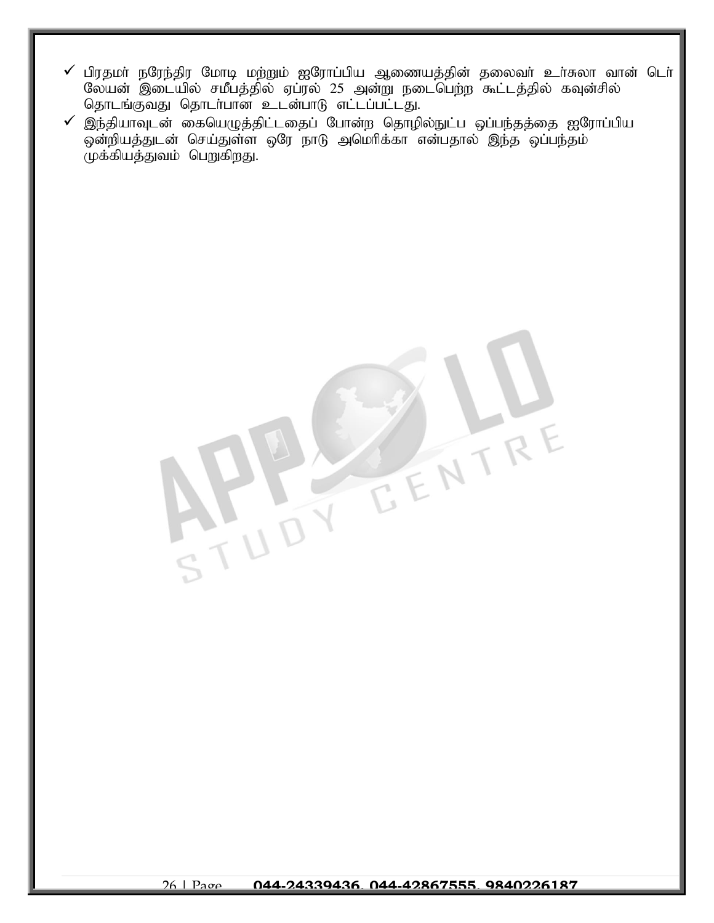$\checkmark$  பிரதமா் நரேந்திர மோடி மற்றும் ஐரோப்பிய ஆணையத்தின் தலைவா் உா்சுலா வான் டொ் லேயன் இடையில் சமீபத்தில் ஏப்ரல் 25 அன்று நடைபெற்ற கூட்டத்தில் கவுன்சில் தொடங்குவது தொடர்பான உடன்பாடு எட்டப்பட்டது.

E ENTRE

 $\checkmark$  இந்தியாவுடன் கையெழுத்திட்டதைப் போன்ற தொழில்நுட்ப ஒப்பந்தத்தை ஐரோப்பிய  $\widetilde{\phi}$ ன்றியத்துடன் செய்துள்ள ஒரே நாடு அமெரிக்கா என்பதால் இந்த ஒப்பந்தம்  $\mu$ க்கியத்துவம் பெறுகிறது.



 $\frac{1}{1}U$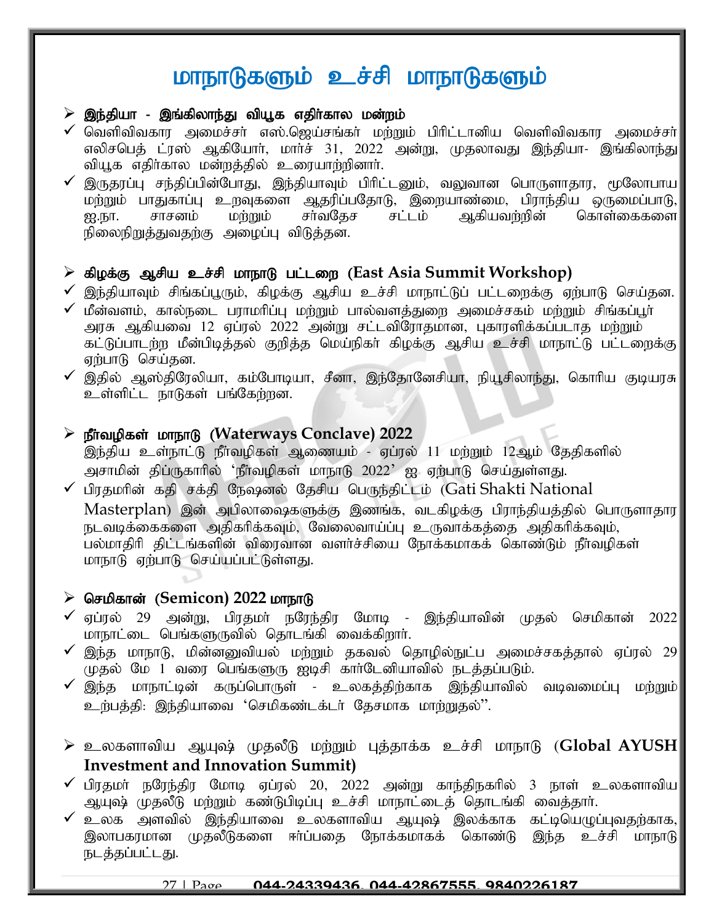# மாநாடுகளும் உச்சி மாநாடுகளும்

#### $\triangleright$  இந்தியா - இங்கிலாந்து வியூக எதிர்கால மன்றம்

- $\checkmark$  வெளிவிவகார அமைச்சா் எஸ்.ஜெய்சங்கா் மற்றும் பிாிட்டானிய வெளிவிவகார அமைச்சா் $\mid$ எலிசபெத் ட்ரஸ் ஆகியோர், மார்ச் 31, 2022 அன்று, முதலாவது இந்தியா- இங்கிலாந்து வியூக எதிர்கால மன்றத்தில் உரையாற்றினார்.
- இருதரப்பு சந்திப்பின்போது, இந்தியாவும் பிரிட்டனும், வலுவான பொருளாதார, மூலோபாய மற்றும் பாதுகாப்பு உறவுகளை ஆதரிப்பதோடு, இறையாண்மை, பிராந்திய ஒருமைப்பாடு,<br>ஐ.நா. சாசனம் மற்றும் சாவதேச சட்டம் ஆகியவற்றின் கொள்கைகளை ஐ.நா. சாசனம் மற்றும் சா்வதேச சட்டம் ஆகியவற்றின் கொள்கைகளை நிலைநிறுத்துவதற்கு அழைப்பு விடுத்தன.

### > கிழக்கு ஆசிய உச்சி மாநாடு பட்டறை (East Asia Summit Workshop)

- $\checkmark$  இந்தியாவும் சிங்கப்பூரும், கிழக்கு ஆசிய உச்சி மாநாட்டுப் பட்டறைக்கு ஏற்பாடு செய்தன.
- $\checkmark$  மீன்வளம், கால்நடை பராமரிப்பு மற்றும் பால்வளத்துறை அமைச்சகம் மற்றும் சிங்கப்பூர் அரசு ஆகியவை 12 ஏப்ரல் 2022 அன்று சட்டவிரோதமான, புகாரளிக்கப்படாத மற்றும் கட்டுப்பாடற்ற மீன்பிடித்தல் குறித்த மெய்நிகா் கிழக்கு ஆசிய உச்சி மாநாட்டு பட்டறைக்கு ஏற்பாடு செய்தன.
- $\checkmark$  இதில் ஆஸ்திரேலியா, கம்போடியா, சீனா, இந்தோனேசியா, நியூசிலாந்து, கொரிய குடியரசு உள்ளிட்ட நாடுகள் பங்கேற்றன.

#### ➢ ePh;topfs; khehL (**Waterways Conclave) 2022**

இந்திய உள்நாட்டு நீா்வழிகள் ஆணையம் - ஏப்ரல் 11 மற்றும் 12ஆம் தேதிகளில் அசாமின் திப்ருகாரில் 'நீர்வழிகள் மாநாடு 2022' ஐ ஏற்பாடு செய்துள்ளது.

 $\checkmark$  பிரதமரின் கதி சக்தி நேஷனல் தேசிய பெருந்திட்டம் (Gati Shakti National Masterplan) இன் அபிலாஷைகளுக்கு இணங்க, வடகிழக்கு பிராந்தியத்தில் பொருளாதார நடவடிக்கைகளை அதிகரிக்கவும், வேலைவாய்ப்பு உருவாக்கக்கை அதிகரிக்கவும், பல்மாதிரி திட்டங்களின் விரைவான வளர்ச்சியை நோக்கமாகக் கொண்டும் நீர்வமிகள் மாநாடு ஏற்பாடு செய்யப்பட்டுள்ளது.

#### > செமிகான் (Semicon) 2022 மாநாடு

- $\checkmark$  ஏப்ரல் 29 அன்று, பிரதமர் நரேந்திர மோடி இந்தியாவின் முதல் செமிகான் 2022 மாநாட்டை பெங்களுருவில் தொடங்கி வைக்கிறார்.
- $\checkmark$  இந்த மாநாடு, மின்னனுவியல் மற்றும் தகவல் தொழில்நுட்ப அமைச்சகத்தால் ஏப்ரல் 29 $\parallel$ ு.<br>முதல் மே 1 வரை பெங்களுரு ஐடிசி கார்டேனியாவில் நடத்தப்படும்.
- $\checkmark$  இந்த மாநாட்டின் கருப்பொருள் உலகத்திற்காக இந்தியாவில் வடிவமைப்பு மற்றும் $\|$ உர்பத்தி: இந்தியாவை 'செமிகண்டக்டர் தேசமாக மாற்றுதல்''.
- $\triangleright$  உலகளாவிய ஆயுஷ் முதலீடு மற்றும் புத்தாக்க உச்சி மாநாடு (**Global AYUSH**  $\|$ **[Investment and Innovation Summit\)](https://www.jagranjosh.com/current-affairs/pms-gujarat-visit-global-ayush-investment-and-innovation-summit-and-khel-mahakumbh-1650438080-1?ref=list_ca)**
- $\checkmark$  பிரதமா் நரேந்திர மோடி ஏப்ரல் 20, 2022 அன்று காந்திநகரில் 3 நாள் உலகளாவிய $\parallel$  $\sim$ ப்புஷ் முதலீடு மற்றும் கண்டுபிடிப்பு உச்சி மாநாட்டைத் தொடங்கி வைக்கார்.
- $\checkmark$  உலக அளவில் இந்தியாவை உலகளாவிய ஆயுஷ் இலக்காக கட்டியெழுப்புவதற்காக, $|$ இலாபகரமான முதலீடுகளை ஈர்ப்பதை நோக்கமாகக் கொண்டு இந்த உச்சி மாநாடு நடத்தப்பட்டது.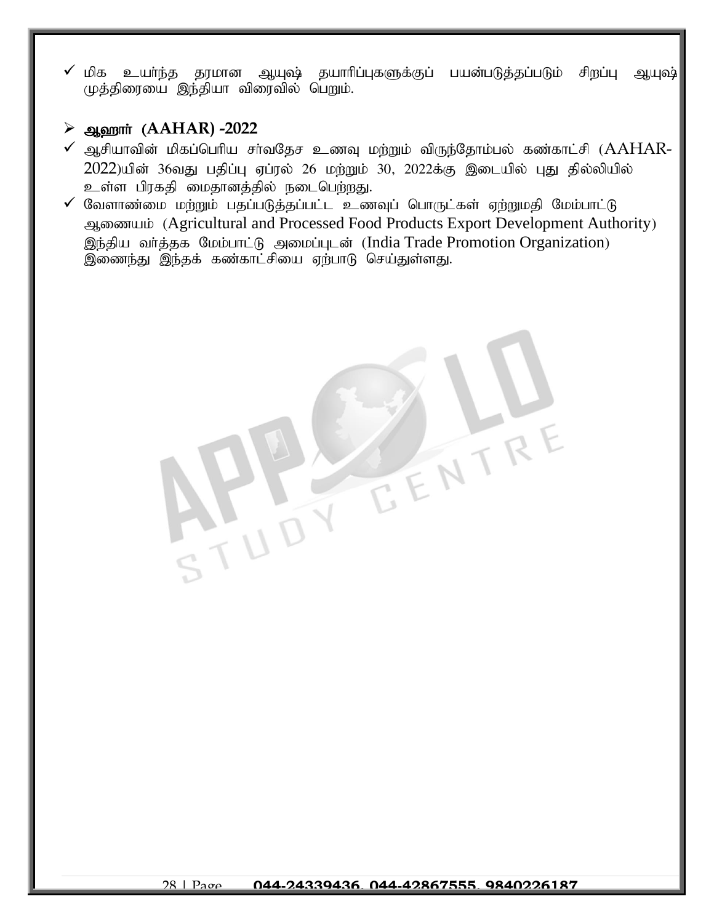$\checkmark$  மிக உயா்ந்த தரமான ஆயுஷ் தயாாிப்புகளுக்குப் பயன்படுத்தப்படும் சிறப்பு ஆயுஷ் முத்திரையை இந்தியா விரைவில் பெறும்.

### ➢ M`hh; (**AAHAR) -2022**

- $\checkmark$  ஆசியாவின் மிகப்பெரிய சா்வதேச உணவு மற்றும் விருந்தோம்பல் கண்காட்சி ( $AAHAR$ - $2022$ )யின் 36வது பதிப்பு ஏப்ரல் 26 மற்றும் 30, 2022க்கு இடையில் பது தில்லியில் உள்ள பிரகதி மைதானத்தில் நடைபெற்றது.
- $\checkmark$  வேளாண்மை மற்றும் பதப்படுத்தப்பட்ட உணவுப் பொருட்கள் ஏற்றுமதி மேம்பாட்டு ஆணையம் (Agricultural and Processed Food Products Export Development Authority) இந்திய வர்த்தக மேம்பாட்டு அமைப்புடன் (India Trade Promotion Organization) இணைந்து இந்தக் கண்காட்சியை ஏற்பாடு செய்துள்ளது.

EENTR

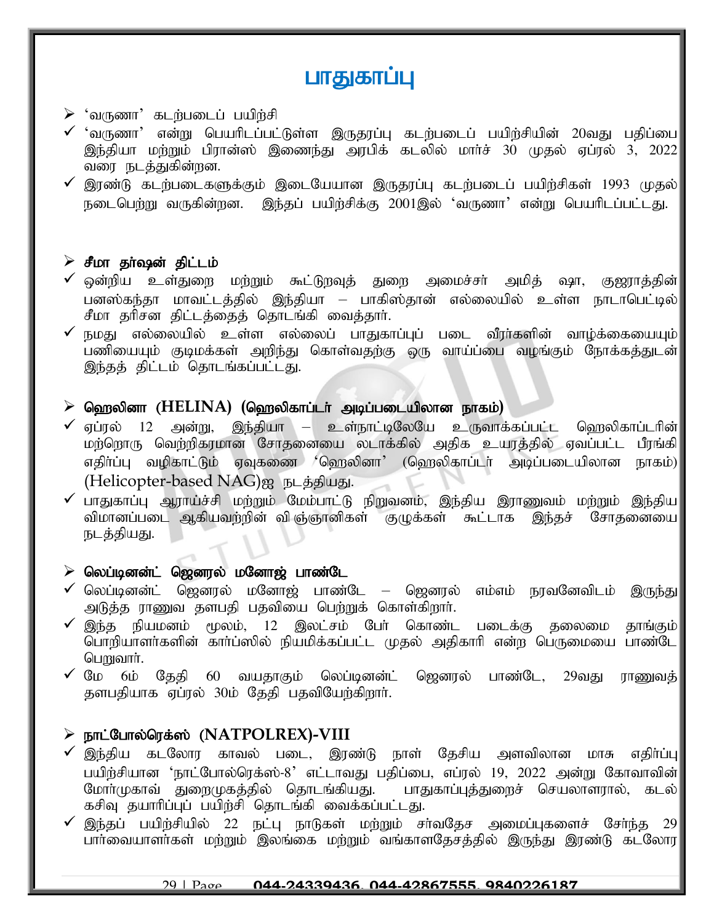# பாதுகாப்பு

#### $\triangleright$  'வருணா' கடற்படைப் பயிற்சி

- $\checkmark$  'வருணா' என்று பெயரிடப்பட்டுள்ள இருதரப்பு கடற்படைப் பயிற்சியின் 20வது பதிப்பை $\parallel$ இந்தியா மற்றும் பிரான்ஸ் இணைந்து அரபிக் கடலில் மார்ச் 30 முதல் ஏப்ரல் 3, 2022 வரை நடத்துகின்றன.
- $\checkmark$  இரண்டு கடற்படைகளுக்கும் இடையேயான இருதரப்பு கடற்படைப் பயிற்சிகள் 1993 முதல் $\parallel$ நடைபெற்று வருகின்றன. இந்தப் பயிற்சிக்கு 2001இல் 'வருணா' என்று பெயரிடப்பட்டது.

#### $\triangleright$  சீமா தா்ஷன் திட்டம்

- $\checkmark$  ஒன்றிய உள்துறை மற்றும் கூட்டுறவுத் துறை அமைச்சா் அமித் ஷா, குஜராத்தின் $|$ பனஸ்கந்தா மாவட்டத்தில் இந்தியா – பாகிஸ்தான் எல்லையில் உள்ள நாடாபெட்டில்| சீமா தரிசன திட்டத்தைத் தொடங்கி வைத்தார்.
- $\checkmark$  நமது எல்லையில் உள்ள எல்லைப் பாதுகாப்புப் படை வீரா்களின் வாழ்க்கையையும் $\parallel$ பணியையும் குடிமக்கள் அறிந்து கொள்வதற்கு ஒரு வாய்ப்பை வழங்கும் நோக்கத்துடன் இந்தத் திட்டம் தொடங்கப்பட்டது.

#### $\triangleright$  ஹெலினா ( $\text{HELINA}$ ) (ஹெலிகாப்டர் அடிப்படையிலான நாகம்)

- $\checkmark$  ஏப்ரல் 12 அன்று, இந்தியா உள்நாட்டிலேயே உருவாக்கப்பட்ட வெறலிகாப்டரின் $\checkmark$ மற்றொரு வெற்றிகரமான சோதனையை லடாக்கில் அதிக உயரத்தில் ஏவப்பட்ட பீரங்கி எதிர்ப்பு வழிகாட்டும் ஏவுகணை 'ஹெலினா' (ஹெலிகாப்டர் அடிப்படையிலான நாகம்)  $(Helicopter-based NAG)$ <sub>2</sub> நடத்தியது.
- $\checkmark$  பாதுகாப்பு ஆராய்ச்சி மற்றும் மேம்பாட்டு நிறுவனம். இந்திய இராணுவம் மற்றும் இந்திய $\vert$ விமானப்படை ஆகியவற்றின் விஞ்ஞானிகள் குழுக்கள் கூட்டாக இந்தச் சோதனையை நடத்தியது.

#### $\triangleright$  லெப்டினன்ட் ஜெனரல் மனோஜ் பாண்டே

- $\checkmark$  லெப்டினன்ட் ஜெனரல் மனோஜ் பாண்டே ஜெனரல் எம்எம் நரவனேவிடம் இருந்து அடுத்த ராணுவ தளபதி பதவியை பெற்றுக் கொள்கிறார்.
- $\checkmark$  இந்த நியமனம் மூலம், 12 இலட்சம் பேர் கொண்ட படைக்கு தலைமை தாங்கும் $\Vert$ பொறியாளர்களின் கார்ப்ஸில் நியமிக்கப்பட்ட முதல் அதிகாரி என்ற பெருமையை பாண்டே பொலார்.
- $\checkmark$  மே 6ம் தேதி 60 வயதாகும் லெப்டினன்ட் ஜெனரல் பாண்டே, 29வது ராணுவத் $|$ தளபதியாக ஏப்ரல் 30ம் தேதி பதவியேற்கிறார்.

# $\triangleright$  நாட்போல்ரெக்ஸ் (NATPOLREX)-VIII

- $\checkmark$  இந்திய கடலோர காவல் படை, இரண்டு நாள் தேசிய அளவிலான மாசு எதிா்ப்பு $\parallel$ பயிற்சியான 'நாட்போல்ரெக்ஸ்-8' எட்டாவது பதிப்பை, எப்ரல் 19, 2022 அன்று கோவாவின்|<br>மோா்முகாவ் துறைமுகக்கில் தொடங்கியது. பாதுகாப்புக்துறைச் செயலாளரால், கடல்| மோர்முகாவ் துறைமுகத்தில் தொடங்கியது. கசிவு தயாரிப்புப் பயிற்சி தொடங்கி வைக்கப்பட்டது.
- $\checkmark$  இந்தப் பயிற்சியில் 22 நட்பு நாடுகள் மற்றும் சா்வதேச அமைப்புகளைச் சோ்ந்த 29 $\parallel$ பார்வையாளர்கள் மற்றும் இலங்கை மற்றும் வங்காளதேசத்தில் இருந்து இரண்டு கடலோர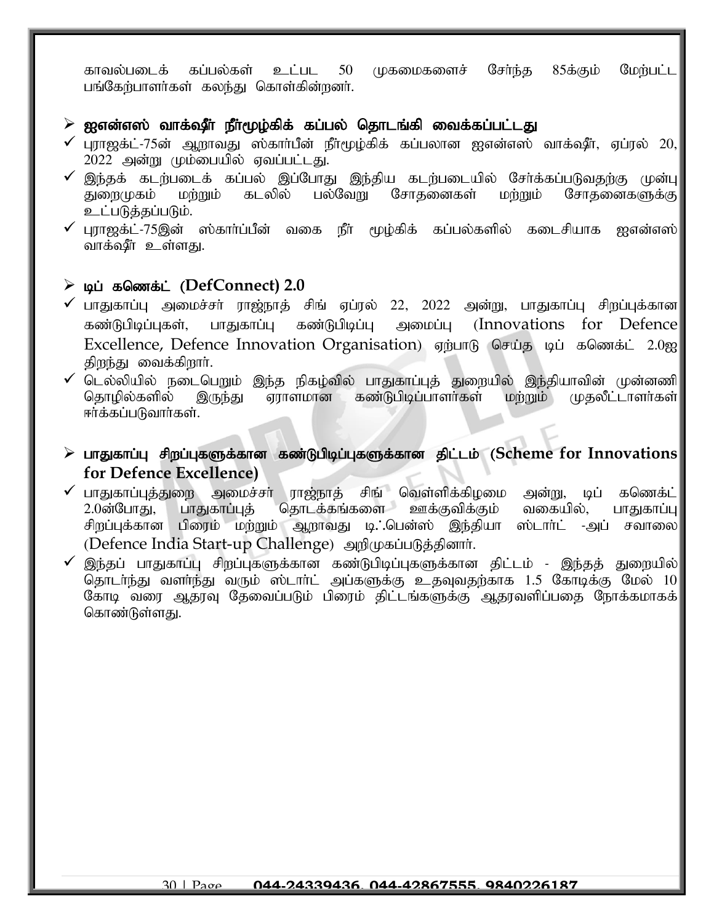காவல்படைக் கப்பல்கள் உட்பட 50 முகமைகளைச் சேர்ந்த 85க்கும் மேற்பட்ட பங்கேற்பாளர்கள் கலந்து கொள்கின்றனர்.

#### $\triangleright$  ஐஎன்எஸ் வாக்ஷீா நீாமூழ்கிக் கப்பல் தொடங்கி வைக்கப்பட்டது

- $\checkmark$  புராஜக்ட்-75ன் ஆறாவது ஸ்கார்பீன் நீர்மூழ்கிக் கப்பலான ஐஎன்எஸ் வாக்ஷீர், ஏப்ரல் 20, $\checkmark$ 2022 அன்று மும்பையில் ஏவப்பட்டது.
- ✓ ,e;jf; flw;gilf; fg;gy; ,g;NghJ ,e;jpa flw;gilapy; Nrh;f;fg;gLtjw;F Kd;G துரைமுகம் மற்றும் கடலில் பல்வேறு சோதனைகள் மற்றும் சோதனைகளுக்கு உட்படுத்தப்படும்.
- புராஜக்ட்-75இன் ஸ்காா்ப்பீன் வகை நீா் மூழ்கிக் கப்பல்களில் கடைசியாக ஐஎன்எஸ் வாக்ஷீர் உள்ளது.

#### $\triangleright$  டிப் கணெக்ட் ( $\text{DefConnect}$ ) 2.0

- $\checkmark$  பாதுகாப்பு அமைச்சா் ராஜ்நாத் சிங் ஏப்ரல் 22, 2022 அன்று, பாதுகாப்பு சிறப்புக்கான $\checkmark$ கண்டுபிடிப்புகள், பாதுகாப்பு கண்டுபிடிப்பு அமைப்பு (Innovations for Defence Excellence, Defence Innovation Organisation) ஏற்பாடு செய்த டிப் கணெக்ட் 2.0ஐ திறந்து வைக்கிறார்.
- $\checkmark$  டெல்லியில் நடைபெறும் இந்த நிகழ்வில் பாதுகாப்புத் துறையில் இந்தியாவின் முன்னணி தொழில்களில் இருந்து ஏராளமான கண்டுபிடிப்பாளர்கள் மற்றும் முதலீட்டாளர்கள் ஈர்க்கப்படுவார்கள்.
- ➢ ghJfhg;G rpwg;GfSf;fhd fz;Lgpbg;GfSf;fhd jpl;lk; (**Scheme for Innovations for Defence Excellence)**
- ✔ பாதுகாப்புத்துறை அமைச்சா் ராஜ்நாத் சிங் வெள்ளிக்கிழமை அன்று, டிப் கணெக்ட்<br>2.0ன்போகு, பாகுகாப்புக் மதாடக்கங்களை ஊக்குவிக்கும் வகையில், பாதுகாப்பு 2.0ன்போது, பாதுகாப்புத் தொடக்கங்களை ஊக்குவிக்கும் வகையில், பாதுகாப்பு சிறப்புக்கான பிரைம் மற்றும் ஆறாவது டி. பென்ஸ் இந்தியா ஸ்டாா்ட் -அப் சவாலை (Defence India Start-up Challenge) அறிமுகப்படுத்தினார்.
- $\checkmark$  இந்தப் பாதுகாப்பு சிறப்புகளுக்கான கண்டுபிடிப்புகளுக்கான திட்டம் இந்தத் துறையில் $\mid$ தொடர்ந்து வளர்ந்து வரும் ஸ்டார்ட் அப்களுக்கு உதவுவதற்காக  $1.5$  கோடிக்கு மேல்  $10$ கோடி வரை ஆதரவு தேவைப்படும் பிரைம் திட்டங்களுக்கு ஆதரவளிப்பதை நோக்கமாகக் கொண்டுள்ளது.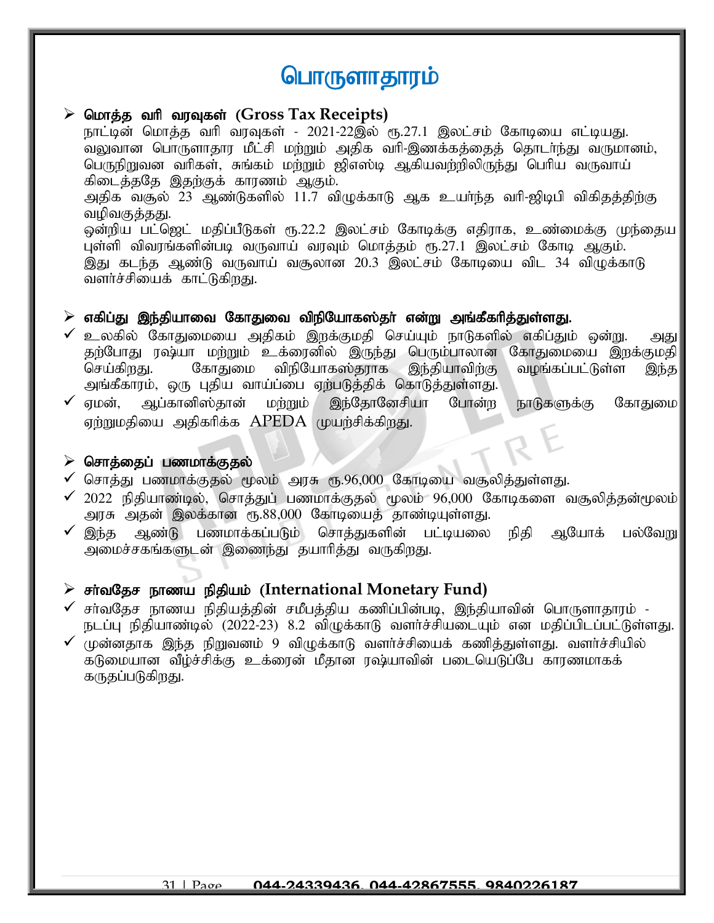# பொருளாதாரம்

#### $\triangleright$  மொத்த வரி வரவுகள் (Gross Tax Receipts)

நாட்டின் மொத்த வரி வரவுகள் - 2021-22இல் ரூ.27.1 இலட்சம் கோடியை எட்டியது. வலுவான பொருளாதார மீட்சி மற்றும் அதிக வரி-இணக்கக்கைக் தொடர்ந்து வருமானம், பெருநிறுவன வரிகள், சுங்கம் மற்றும் ஜிஎஸ்டி ஆகியவற்றிலிருந்து பெரிய வருவாய் கிடைத்ததே இதற்குக் காரணம் ஆகும். அதிக வசூல் 23 ஆண்டுகளில் 11.7 விழுக்காடு ஆக உயா்ந்த வாி-ஜிடிபி விகிதத்திற்கு வமிவகுத்தது. ஒன்றிய பட்ஜெட் மதிப்பீடுகள் ரூ.22.2 இலட்சம் கோடிக்கு எதிராக, உண்மைக்கு முந்தைய புள்ளி விவரங்களின்படி வருவாய் வரவும் மொக்கும் ரூ.27.1 இலட்சம் கோடி ஆகும். இது கடந்த ஆண்டு வருவாய் வசூலான 20.3 இலட்சம் கோடியை விட 34 விழுக்காடு வளர்ச்சியைக் காட்டுகிறது.

#### $\triangleright$  எகிப்து இந்தியாவை கோதுவை விநியோகஸ்தா் என்று அங்கீகாித்துள்ளது.

- $\checkmark$  உலகில் கோதுமையை அதிகம் இறக்குமதி செய்யும் நாடுகளில் எகிப்தும் ஒன்று. அது தற்போது ரஷ்யா மற்றும் உக்ரைனில் இருந்து பெரும்பாலான கோதுமையை இறக்குமதி செய்கிறது. கோதுமை விநியோகஸ்தராக இந்தியாவிற்கு வழங்கப்பட்டுள்ள இந்த அங்கீகாரம், ஒரு புதிய வாய்ப்பை ஏற்படுத்திக் கொடுத்துள்ளது.
- $\checkmark$  ஏமன், ஆப்கானிஸ்தான் மற்றும் இந்தோனேசியா போன்ற நாடுகளுக்கு கோதுமை ஏற்றுமதியை அதிகரிக்க  ${\rm APEDA}$  முயற்சிக்கிறது.

#### $\triangleright$  சொத்தைப் பணமாக்குதல்

- $\checkmark$  சொத்து பணமாக்குதல் மூலம் அரசு ரூ.96,000 கோடியை வசூலித்துள்ளது.
- $\checkmark$  2022 நிதியாண்டில், சொத்துப் பணமாக்குதல் மூலம் 96,000 கோடிகளை வசூலித்தன்மூலம் அரசு அதன் இலக்கான ரூ.88,000 கோடியைத் தாண்டியுள்ளது.
- $\checkmark$  இந்த ஆண்டு பணமாக்கப்படும் சொத்துகளின் பட்டியலை நிதி ஆயோக் பல்வேறு அமைச்சகங்களுடன் இணைந்து தயாரித்து வருகிறது.

#### $\triangleright$  சர்வதேச நாணய நிதியம் (International Monetary Fund)

- $\checkmark$  சா்வதேச நாணய நிதியத்தின் சமீபத்திய கணிப்பின்படி, இந்தியாவின் பொருளாதாரம் -நடப்பு நிதியாண்டில் (2022-23) 8.2 விழுக்காடு வளர்ச்சியடையும் என மதிப்பிடப்பட்டுள்ளது.
- $\checkmark$  முன்னதாக இந்த நிறுவனம் 9 விழுக்காடு வளர்ச்சியைக் கணித்துள்ளது. வளர்ச்சியில் கடுமையான வீழ்ச்சிக்கு உக்ரைன் மீதான ரஷ்யாவின் படையெடுப்பே காரணமாகக் கருதப்படுகிறது.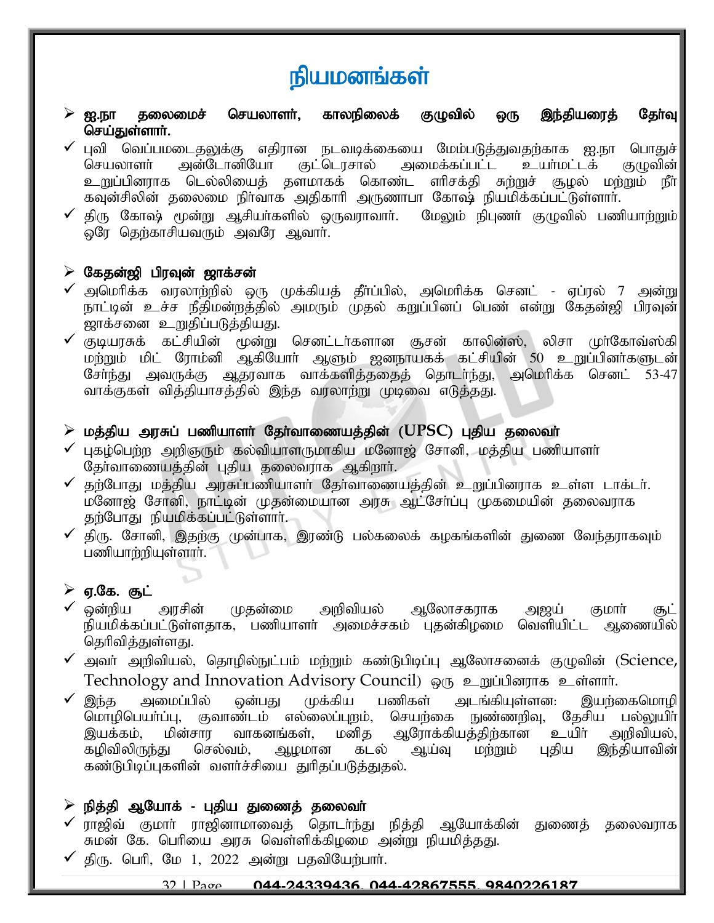# நியமனங்கள்

- $\triangleright$  ஐ.நா தலைமைச் செயலாளா், காலநிலைக் குழுவில் ஒரு இந்தியரைத் தோ்வு செய்துள்ளார்.
- ✔ புவி வெப்பமடைதலுக்கு எதிரான நடவடிக்கையை மேம்படுத்துவதற்காக ஐ.நா பொதுச்|<br>|கெயலாளா் அன்டோனியோ குட்டொசால் அமைக்கப்பட்ட உயா்மட்டக் குமுவின் செயலாளர் அன்டோனியோ குட்டொசால் அமைக்கப்பட்ட உயர்மட்டக் உறுப்பினராக டெல்லியைத் தளமாகக் கொண்ட எரிசக்தி சுற்றுச் சூழல் மற்றும் நீர் $\parallel$ கவுன்சிலின் தலைமை நிர்வாக அதிகாரி அருணாபா கோஷ் நியமிக்கப்பட்டுள்ளார்.
- $\checkmark$  திரு கோஷ் மூன்று ஆசியா்களில் ஒருவராவாா். மேலும் நிபுணா் குழுவில் பணியாற்றும் $\parallel$ ஓரே தெற்காசியவரும் அவரே ஆவார்.

#### $\triangleright$  கேதன்ஜி பிரவுன் ஜாக்சன்

- $\checkmark$  அமெரிக்க வரலாற்றில் ஒரு முக்கியத் தீா்ப்பில், அமெரிக்க செனட் ஏப்ரல் 7 அன்று $\parallel$ நாட்டின் உச்ச நீதிமன்றத்தில் அமரும் முதல் கறுப்பினப் பெண் என்று கேதன்ஜி பிரவுன் ஜாக்சனை உறுதிப்படுத்தியது.
- $\checkmark$  குடியரசுக் கட்சியின் மூன்று செனட்டர்களான சூசன் காலின்ஸ், லிசா முர்கோவ்ஸ்கி $\parallel$ மற்றும் மிட் ரோம்னி ஆகியோர் ஆளும் ஜனநாயகக் கட்சியின் 50 உறுப்பினர்களுடன் சேர்ந்து அவருக்கு ஆதரவாக வாக்களித்ததைத் தொடர்ந்து, அமெரிக்க செனட் 53-47 வாக்குகள் வித்தியாசத்தில் இந்த வரலாற்று முடிவை எடுத்தது.

#### $\triangleright$  மத்திய அரசுப் பணியாளர் தேர்வாணையத்தின் ( $\mathsf{UPSC}$ ) புதிய தலைவர்

- $\checkmark$  புகழ்பெற்ற அறிஞரும் கல்வியாளருமாகிய மனோஜ் சோனி, மத்திய பணியாளா் தேர்வாணையத்தின் புதிய தலைவராக ஆகிறார்.
- $\checkmark$  தற்போது மத்திய அரசுப்பணியாளர் தேர்வாணையத்தின் உறுப்பினராக உள்ள டாக்டர். மனோஜ் சோனி, நாட்டின் முதன்மையான அரசு ஆட்சேர்ப்பு முகமையின் தலைவராக தற்போது நியமிக்கப்பட்டுள்ளாா்.
- $\checkmark$  திரு. சோனி, இதற்கு முன்பாக, இரண்டு பல்கலைக் கழகங்களின் துணை வேந்தராகவும் பணியார்றியுள்ளார்.

# $>$  ஏ.கே. சூட்

- $\checkmark$  ஒன்றிய அரசின் முதன்மை அறிவியல் ஆலோசகராக அஜய் குமாா் சூட் நியமிக்கப்பட்டுள்ளதாக, பணியாளா் அமைச்சகம் புதன்கிழமை வெளியிட்ட ஆணையில் தெரிவித்துள்ளது.
- $\checkmark$  அவர் அறிவியல், தொழில்நுட்பம் மற்றும் கண்டுபிடிப்பு ஆலோசனைக் குழுவின் (Science, $\parallel$ Technology and Innovation Advisory Council) ஒரு உறுப்பினராக உள்ளார்.
- $\checkmark$  இந்த அமைப்பில் ஒன்பது முக்கிய பணிகள் அடங்கியுள்ளன: இயற்கைமொழி $\parallel$ மொழிபெயா்ப்பு, குவாண்டம் எல்லைப்புறம், செயற்கை நுண்ணறிவு, தேசிய பல்லுயிா்|<br>இயக்கம், மின்சார வாகனங்கள், மனிக ஆரோக்கியக்கிற்கான உயிா் அறிவியல்,| இயக்கம், மின்சார வாகனங்கள், மனித ஆரோக்கியத்திற்கான உயிா்<br>கழிவிலிருந்து செல்வம், ஆழமான கடல் ஆய்வு மற்றும் புதிய ஆய்வு மற்றும் புதிய இந்தியாவின்| கண்டுபிடிப்புகளின் வளர்ச்சியை துரிதப்படுத்துதல்.

#### $\triangleright$  நித்தி ஆயோக் - புதிய துணைத் தலைவா்

- $\checkmark$ ாரஜிவ் குமார் ராஜினாமாவைத் தொடர்ந்து நித்தி ஆயோக்கின் துணைத் தலைவராக $\parallel$ .<br>சுமன் கே. பெரியை அரசு வெள்ளிக்கிழமை அன்று நியமித்தது.
- $\checkmark$  திரு. பெரி, மே 1, 2022 அன்று பதவியேற்பார்.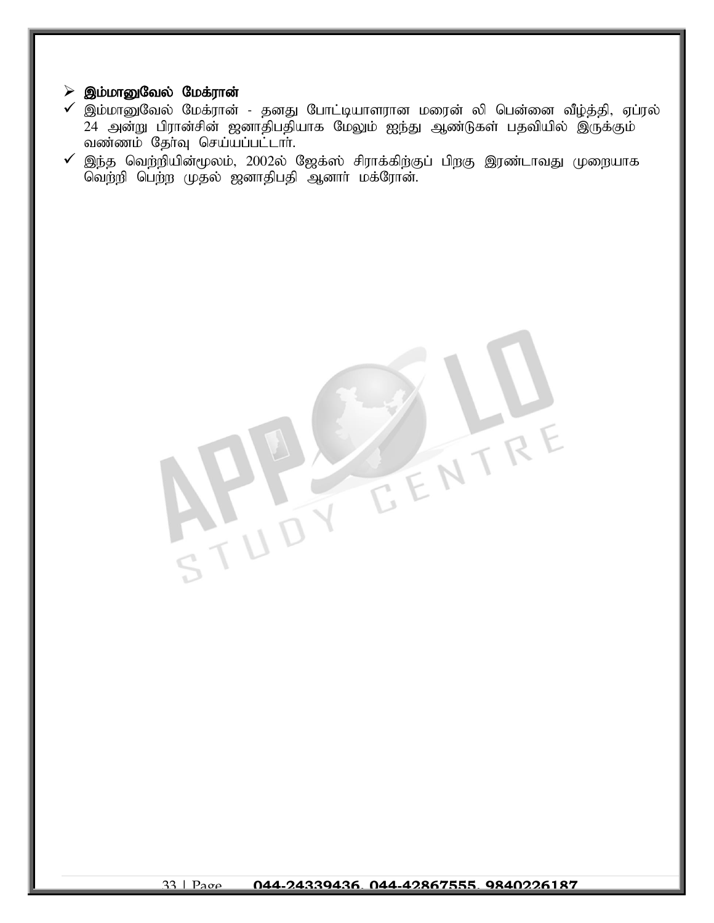#### $\triangleright$  இம்மானுவேல் மேக்ரான்

- $\checkmark$  இம்மானுவேல் மேக்ரான் தனது போட்டியாளரான மரைன் லி பென்னை வீழ்த்தி, ஏப்ரல் 24 அன்று பிரான்சின் ஜனாதிபதியாக மேலும் ஐந்து ஆண்டுகள் பதவியில் இருக்கும்  $\alpha$ ண்ணம் தேர்வு செய்யப்பட்டார்.
- $\checkmark$  இந்த வெற்றியின்மூலம், 2002ல் ஜேக்ஸ் சிராக்கிற்குப் பிறகு இரண்டாவது முறையாக வெற்றி பெற்ற முதல் ஜனாதிபதி ஆனார் மக்ரோன்.

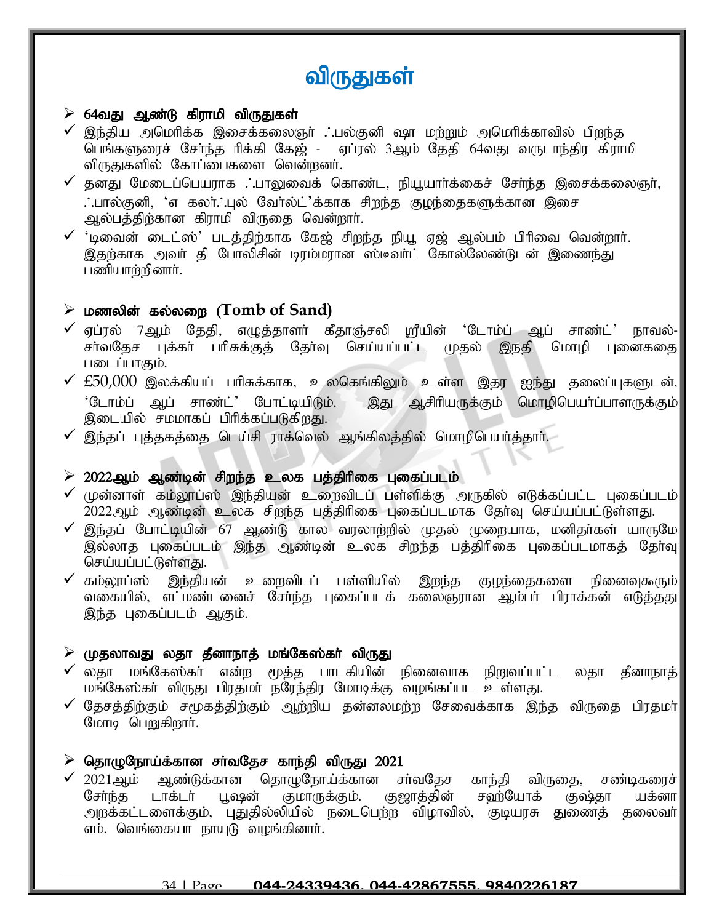# விருதுகள்

### $\triangleright$  64வது ஆண்டு கிராமி விருதுகள்

- $\checkmark$  இந்திய அமெரிக்க இசைக்கலைஞா் . பல்குனி ஷா மற்றும் அமெரிக்காவில் பிறந்த பெங்களுரைச் சேர்ந்த ரிக்கி கேஜ் - ஏப்ரல் 3ஆம் தேதி 64வது வருடாந்திர கிராமி விருதுகளில் கோப்பைகளை வென்றனர்.
- $\checkmark$  தனது மேடைப்பெயராக  $\dotsc$ பாலுவைக் கொண்ட, நியூயார்க்கைச் சேர்ந்த இசைக்கலைஞர், **்.**பால்குனி, 'எ கலர். புல் வேர்ல்ட்'க்காக சிறந்த குழந்தைகளுக்கான இசை ஆல்பத்திற்கான கிராமி விருதை வென்றார்.
- $\checkmark$  'டிவைன் டைட்ஸ்' படத்திற்காக கேஜ் சிறந்த நியூ ஏஜ் ஆல்பம் பிரிவை வென்றார். இதற்காக அவர் தி போலிசின் டிரம்மரான ஸ்டீவர்ட் கோல்லேண்டுடன் இணைந்து பணியார்றினார்.

# $\triangleright$  மணலின் கல்லறை (Tomb of Sand)

- ✔ ஏப்ரல் 7ஆம் தேதி, எழுத்தாளா் கீதாஞ்சலி ஸ்ரீயின் 'டோம்ப் ஆப் சாண்ட்' நாவல்-<br>சா்வதேச புக்கா் பாிசுக்குத் தோ்வு செய்யப்பட்ட முதல் இநதி மொழி புனைகதை சா்வகேச பக்கா் பாிசுக்குத் தோ்வு செய்யப்பட்ட முதல் இநதி படைப்பாகும்.
- $\checkmark$   $\pm$ 50,000 இலக்கியப் பரிசுக்காக, உலகெங்கிலும் உள்ள இதர ஐந்து தலைப்புகளுடன், $|$ 'டோம்ப் ஆப் சாண்ட்' போட்டியிடும். இது ஆசிரியருக்கும் மொழிபெயா்ப்பாளருக்கும் இடையில் சமமாகப் பிரிக்கப்படுகிறது.
- $\checkmark$  இந்தப் புத்தகத்தை டெய்சி ராக்வெல் ஆங்கிலத்தில் மொழிபெயர்க்கார்.

# $\geq 2022$ ஆம் ஆண்டின் சிறந்த உலக பத்திரிகை புகைப்படம்

- $\checkmark$  (முன்னாள் கம்லூப்ஸ் இந்தியன் உறைவிடப் பள்ளிக்கு அருகில் எடுக்கப்பட்ட புகைப்படம் $\parallel$ 2022ஆம் ஆண்டின் உலக சிறந்த பத்திரிகை புகைப்படமாக தேர்வு செய்யப்பட்டுள்ளது.
- $\checkmark$  இந்தப் போட்டியின் 67 ஆண்டு கால வரலாற்றில் முதல் முறையாக, மனிதர்கள் யாருமே $\parallel$ இல்லாத புகைப்படம் இந்த ஆண்டின் உலக சிறந்த பத்திரிகை புகைப்படமாகத் தேர்வு செய்யப்பட்டுள்ளது.
- $\checkmark$  கம்லூப்ஸ் இந்தியன் உறைவிடப் பள்ளியில் இறந்த குழந்தைகளை நினைவுகூரும் $\|$ வகையில், எட்மண்டனைச் சேர்ந்த புகைப்படக் கலைஞரான ஆம்பர் பிராக்கன் எடுத்தது| இந்த புகைப்படம் ஆகும்.

# $\triangleright$  (முதலாவது லதா தீனாநாத் மங்கேஸ்கா் விருது

- $\checkmark$  லதா மங்கேஸ்கா் என்ற மூத்த பாடகியின் நினைவாக நிறுவப்பட்ட லதா தீனாநாத் $\parallel$ மங்கேஸ்கா் விருது பிரதமா் நரேந்திர மோடிக்கு வழங்கப்பட உள்ளது.
- $\checkmark$  தேசத்திற்கும் சமூகத்திற்கும் ஆற்றிய தன்னலமற்ற சேவைக்காக இந்த விருதை பிரதமா் $\parallel$ மோடி பெறுகிறார்.

# $\triangleright$  தொழுநோய்க்கான சாவதேச காந்தி விருது 2021

✔ 2021ஆம் ஆண்டுக்கான தொழுநோய்க்கான சா்வதேச காந்தி விருதை, சண்டிகரைச்|<br>| சோ்ந்த டாக்டா் பஷன் குமாருக்கும். குஜாக்கின் சவா்யோக் குஷ்கா யக்னா பூஷன் குமாருக்கும். குஜாத்தின் சவர்யோக் குஷ்தா அறக்கட்டளைக்கும், புதுதில்லியில் நடைபெற்ற விழாவில், குடியரசு துணைத் தலைவா்| எம். வெங்கையா நாயுடு வழங்கினாா்.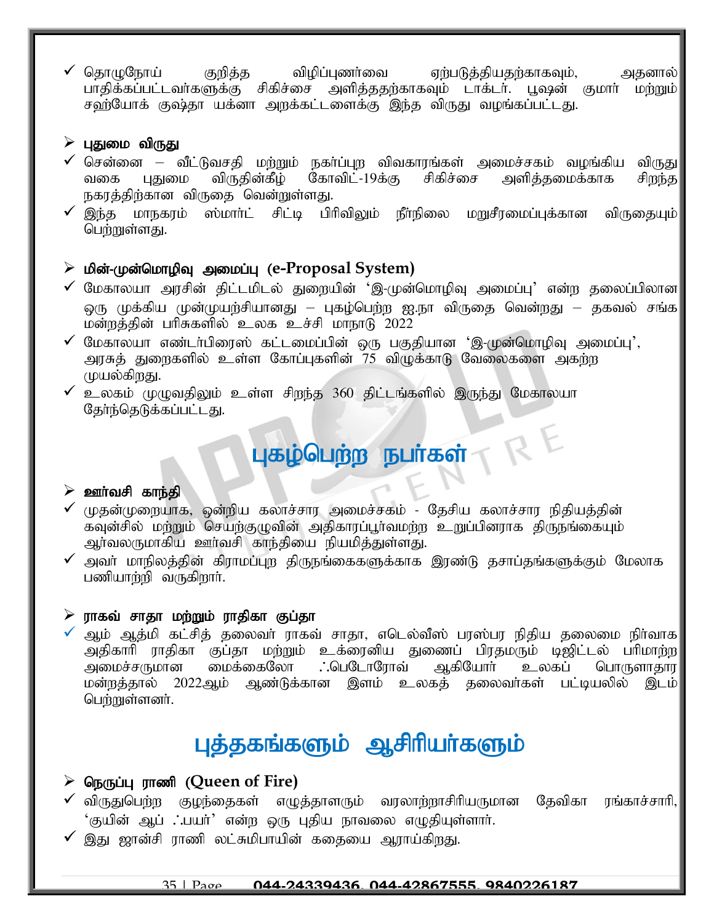$\checkmark$  தொழுநோய் குறித்த விழிப்புணர்வை ஏற்படுத்தியதற்காகவும், அதனால் பாதிக்கப்பட்டவா்களுக்கு சிகிச்சை அளித்ததற்காகவும் டாக்டா். பூஷன் குமாா் மற்றும்| சஹ்யோக் குஷ்தா யக்னா அறக்கட்டளைக்கு இந்த விருது வழங்கப்பட்டது.

### $\triangleright$  புதுமை விருது

- ✔ சென்னை வீட்டுவசதி மற்றும் நகா்ப்புற விவகாரங்கள் அமைச்சகம் வழங்கிய விருது<br>வகை புதுமை விருதின்கீழ் கோவிட்-19க்கு சிகிச்சை அளித்தமைக்காக சிறந்த வகை புதுமை விருதின்கீழ் கோவிட்-19க்கு சிகிச்சை அளித்தமைக்காக சிறந்த நகரத்திற்கான விருதை வென்றுள்ளது.
- $\checkmark$  இந்த மாநகரம் ஸ்மார்ட் சிட்டி பிரிவிலும் நீர்நிலை மறுசீரமைப்புக்கான விருகையும் $\parallel$ பெற்றுள்ளது.

# $\triangleright$  மின்-முன்மொழிவு அமைப்பு (e-Proposal System)

- $\checkmark$  மேகாலயா அரசின் திட்டமிடல் துறையின் 'இ-முன்மொழிவு அமைப்பு' என்ற தலைப்பிலான $\checkmark$ ஒரு முக்கிய முன்முயற்சியானது – புகழ்பெற்ற ஐ.நா விருதை வென்றது – தகவல் சங்க $\mid$ மன்றத்தின் பரிசுகளில் உலக உச்சி மாநாடு 2022
- $\checkmark$  மேகாலயா எண்டர்பிரைஸ் கட்டமைப்பின் ஒரு பகுதியான 'இ-முன்மொழிவு அமைப்பு', அரசுத் துறைகளில் உள்ள கோப்புகளின் 75 விழுக்காடு வேலைகளை அகற்ற முயல்கிறது.
- $\checkmark$  உலகம் முமுவகிலும் உள்ள சிறந்த 360 திட்டங்களில் இருந்து மேகாலயா தேர்ந்தெடுக்கப்பட்டது.

# புகழ்பெற்ற நபா்கள்<br>RES

#### $\triangleright$  ஊர்வசி காந்தி

- $\checkmark$  முதன்முறையாக, ஒன்றிய கலாச்சார அமைச்சகம் தேசிய கலாச்சார நிதியத்தின் கவுன்சில் மற்றும் செயற்குழுவின் அதிகாரப்பூர்வமற்ற உறுப்பினராக திருநங்கையும் அர்வலருமாகிய ஊர்வசி காந்தியை நியமித்துள்ளது.
- $\checkmark$  அவா் மாநிலத்தின் கிராமப்புற திருநங்கைகளுக்காக இரண்டு தசாப்தங்களுக்கும் மேலாக பணியாற்றி வருகிறார்.

#### $\triangleright$  ராகவ் சாதா மற்றும் ராதிகா குப்தா

ஆம் ஆத்மி கட்சித் தலைவா் ராகவ் சாதா, எடெல்வீஸ் பரஸ்பர நிதிய தலைமை நிா்வாக| அதிகாரி ராதிகா குப்தா மற்றும் உக்ரைனிய துணைப் பிரதமரும் டிஜிட்டல் பரிமாற்ற|<br>அமைச்சருமான மைக்கைலோ ∴பெடோரோவ் ஆகியோர் உலகப் பொருளாதார ் அமைச்சருமான மைக்கைலோ . .பெடோரோவ் ஆகியோா் உலகப் பொருளாதார மன்றத்தால் 2022ஆம் ஆண்டுக்கான இளம் உலகத் தலைவர்கள் பட்டியலில் இடம் பெற்றுள்ளனர்.

# புத்தகங்களும் ஆசிரியர்களும்

# **≻ நெருப்புராணி (Queen of Fire)**

- $\checkmark$  விருதுபெற்ற குழந்தைகள் எழுத்தாளரும் வரலாற்றாசிரியருமான தேவிகா ரங்காச்சாரி, 'குயின் ஆப் .'.பயர்' என்ற ஒரு புதிய நாவலை எழுதியுள்ளார்.
- $\checkmark$  இது ஜான்சி ராணி லட்சுமிபாயின் கதையை ஆராய்கிறது.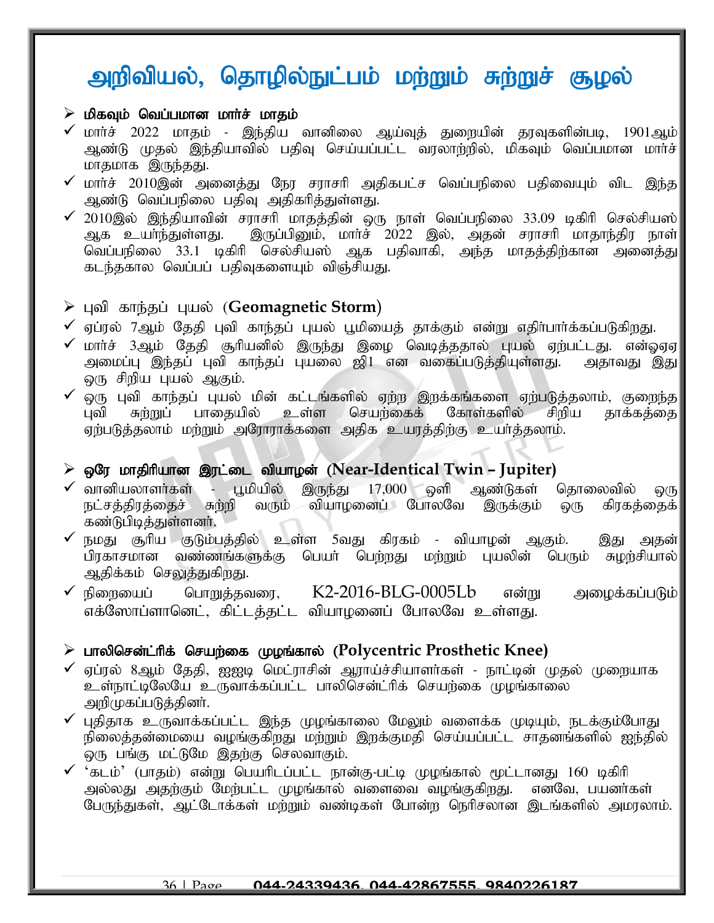# அறிவியல், தொழில்நுட்பம் மற்றும் சுற்றுச் சூழல்

#### $\triangleright$  மிகவும் வெப்பமான மார்ச் மாதம்

- $\checkmark$  மார்ச் 2022 மாதம் இந்திய வானிலை ஆய்வுத் துறையின் தரவுகளின்படி, 1901ஆம் $\parallel$ ஆண்டு முதல் இந்தியாவில் பதிவு செய்யப்பட்ட வரலாற்றில், மிகவும் வெப்பமான மார்ச் மாதமாக இருந்தது.
- $\checkmark$  மார்ச் 2010இன் அனைத்து நேர சராசரி அதிகபட்ச வெப்பநிலை பதிவையும் விட இந்த $\parallel$ அண்டு வெப்பநிலை பதிவு அதிகரித்துள்ளது.
- ✔ 2010இல் இந்தியாவின் சராசரி மாதத்தின் ஒரு நாள் வெப்பநிலை 33.09 டிகிரி செல்சியஸ் $\vert$ ஆக உயர்ந்துள்ளது. இருப்பிலும், மார்ச் 2022 இல், அதன் சராசரி மாதாந்திர நாள் ்இருப்பினும், மார்ச் 2022 இல், அதன் சராசரி மாதாந்திர நாள் வெப்பநிலை 33.1 டிகிரி செல்சியஸ் ஆக பதிவாகி, அந்த மாதத்திற்கான அனைத்து கடந்தகால வெப்பப் பதிவுகளையும் விஞ்சியது.

# > புவி காந்தப் புயல் ([Geomagnetic Storm](https://www.jagranjosh.com/current-affairs/geomagnetic-storm-2022-april-know-meaning-and-effect-on-earth-1649317951-1?ref=list_ca))

 $\checkmark$  ஏப்ரல் 7ஆம் தேதி புவி காந்தப் புயல் பூமியைத் தாக்கும் என்று எதிா்பாா்க்கப்படுகிறது.

- $\checkmark$  மார்ச் 3ஆம் தேதி சூரியனில் இருந்து இழை வெடித்ததால் புயல் ஏற்பட்டது. என்ஓஏஏ $\checkmark$ அமைப்பு இந்தப் புவி காந்தப் புயலை ஜி1 என வகைப்படுத்தியுள்ளது. அதாவது இது ஒரு சிறிய புயல் ஆகும்.
- ✔ ஒரு புவி காந்தப் புயல் மின் கட்டங்களில் ஏற்ற இறக்கங்களை ஏற்படுத்தலாம், குறைந்த|<br>பவி சும்முப் பாகையில் உள்ள செயம்கைக் கோள்களில் சிமிய காக்கக்கை புவி சுற்றுப் பாதையில் உள்ள செயற்கைக் கோள்களில் சிறிய தாக்கத்தை ஏற்படுத்தலாம் மற்றும் அரோராக்களை அதிக உயரத்திற்கு உயர்த்தலாம்.

# $\triangleright$  ஒரே மாதிரியான இரட்டை வியாழன் (Near-Identical Twin – Jupiter)

- ✔ வானியலாளா்கள் பூமியில் இருந்து 17,000 ஒளி ஆண்டுகள் தொலைவில் ஒரு<br>நட்சத்திரத்தைச் சுற்றி வரும் வியாழனைப் போலவே இருக்கும் ஒரு கிரகத்தைக் நட்சத்திரத்தைச் சுற்றி வரும் வியாழனைப் போலவே இருக்கும் ஒரு கண்டுபிடித்துள்ளனர்.
- நமது சூரிய குடும்பத்தில் உள்ள 5வது கிரகம் வியாழன் ஆகும். இது அதன் $|$ பிரகாசமான வண்ணங்களுக்கு பெயர் பெற்றது மற்றும் புயலின் பெரும் சுழற்சியால்| ஆதிக்கம் செலுத்துகிறது.
- $\checkmark$  நிறையைப் பொறுத்தவரை,  $K2$ -2016-BLG-0005Lb என்று அழைக்கப்படும் $\parallel$ எக்ஸோப்ளானெட், கிட்டத்தட்ட வியாழனைப் போலவே உள்ளது.

# ➢ ghypnrd;l;hpf; nraw;if Koq;fhy; (**Polycentric Prosthetic Knee)**

- $\checkmark$  ஏப்ரல் 8ஆம் தேதி, ஐஐடி மெட்ராசின் ஆராய்ச்சியாளர்கள் நாட்டின் முதல் முறையாக உள்நாட்டிலேயே உருவாக்கப்பட்ட பாலிசென்ட்ரிக் செயற்கை முழங்காலை அறிமுகப்படுத்தினர்.
- $\checkmark$  புதிதாக உருவாக்கப்பட்ட இந்த முழங்காலை மேலும் வளைக்க முடியும், நடக்கும்போது நிலைத்தன்மையை வழங்குகிறது மற்றும் இறக்குமதி செய்யப்பட்ட சாதனங்களில் ஐந்தில் லரு பங்கு மட்டுமே இதற்கு செலவாகும்.
- $\checkmark$  'கடம்' (பாகம்) என்று பெயரிடப்பட்ட நான்கு-பட்டி முழங்கால் மூட்டானது 160 டிகிரி அல்லது அதற்கும் மேற்பட்ட முழங்கால் வளைவை வழங்குகிறது. எனவே, பயனர்கள் பேருந்துகள், ஆட்டோக்கள் மற்றும் வண்டிகள் போன்ற நெரிசலான இடங்களில் அமரலாம்.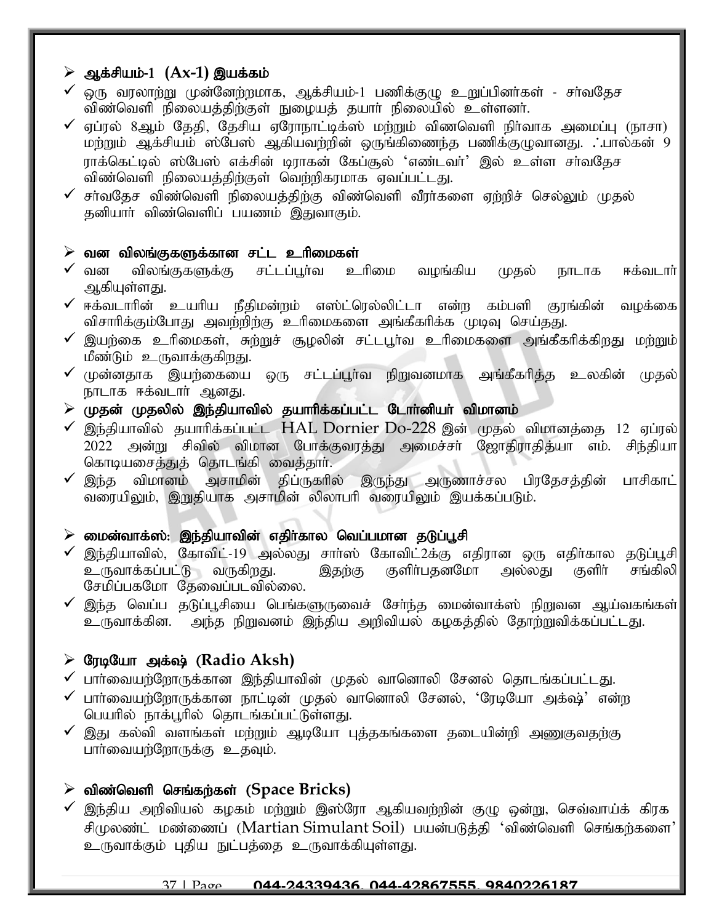# ≽ ஆக்சியம்-1 (Ax-1) இயக்கம்

- $\checkmark$  ஒரு வரலாற்று முன்னேற்றமாக, ஆக்சியம்-1 பணிக்குழு உறுப்பினர்கள் சர்வதேச விண்வெளி நிலையத்திற்குள் நுழையத் தயார் நிலையில் உள்ளனர்.
- $\checkmark$  ஏப்ரல் 8ஆம் தேதி, தேசிய ஏரோநாட்டிக்ஸ் மற்றும் விணவெளி நிர்வாக அமைப்பு (நாசா) மற்றும் ஆக்சியம் ஸ்பேஸ் ஆகியவற்றின் ஒருங்கிணைந்த பணிக்குழுவானது. . பால்கன் 9 ராக்கெட்டில் ஸ்பேஸ் எக்சின் டிராகன் கேப்சூல் 'எண்டவர்' இல் உள்ள சர்வதேச விண்வெளி நிலையத்திற்குள் வெற்றிகரமாக ஏவப்பட்டது.
- $\checkmark$  சா்வதேச விண்வெளி நிலையத்திற்கு விண்வெளி வீரா்களை ஏற்றிச் செல்லும் முதல் தனியார் விண்வெளிப் பயணம் இதுவாகும்.

### $\triangleright$  வன விலங்குகளுக்கான சட்ட உரிமைகள்

- $\checkmark$  வன விலங்குகளுக்கு சட்டப்பூர்வ உரிமை வழங்கிய முதல் நாடாக ஈக்வடார் ஆகியுள்ளது.
- $\checkmark$  ஈக்வடாரின் உயரிய நீதிமன்றம் எஸ்ட்ரெல்லிட்டா என்ற கம்பளி குரங்கின் வழக்கை $|$ விசாரிக்கும்போது அவற்றிற்கு உரிமைகளை அங்கீகரிக்க முடிவு செய்தது.
- $\checkmark$  இயற்கை உரிமைகள், சுற்றுச் சூழலின் சட்டபூர்வ உரிமைகளை அங்கீகரிக்கிறது மற்றும் $\checkmark$ மீண்டும் உருவாக்குகிறது.
- $\checkmark$  முன்னதாக இயற்கையை ஒரு சட்டப்பூர்வ நிறுவனமாக அங்கீகரித்த உலகின் முதல் $\parallel$ நாடாக ஈக்வடார் ஆனது.
- $\triangleright$  (முதன் முதலில் இந்தியாவில் தயாரிக்கப்பட்ட டோர்னியர் விமானம்
- $\checkmark$  இந்தியாவில் தயாரிக்கப்பட்ட  $HAL$  Dornier Do-228 இன் முதல் விமானத்தை 12 ஏப்ரல் 2022 அன்று சிவில் விமான போக்குவரத்து அமைச்சா் ஜோதிராதித்யா எம். சிந்தியா கொடியசைத்துத் தொடங்கி வைத்தார்.
- $\checkmark$  இந்த விமானம் அசாமின் திப்ருகரில் இருந்து அருணாச்சல பிரதேசத்தின் பாசிகாட் வரையிலும், இறுதியாக அசாமின் லிலாபரி வரையிலும் இயக்கப்படும்.

# $\triangleright$  மைன்வாக்ஸ்: இந்தியாவின் எதிர்கால வெப்பமான தடுப்பூசி

- ✓ இந்தியாவில், கோவிட்-19 அல்லது சாா்ஸ் கோவிட்2க்கு எதிரான ஒரு எதிா்கால தடுப்பூசி<br>உருவாக்கப்பட்டு வருகிறது. இதற்கு குளிா்பதனமோ அல்லது குளிா் சங்கிலி உருவாக்கப்பட்டு வருகிறது. இதற்கு குளிா்பதனமோ அல்லது சேமிப்பகமோ கேவைப்படவில்லை.
- $\checkmark$  இந்த வெப்ப தடுப்பூசியை பெங்களுருவைச் சேர்ந்த மைன்வாக்ஸ் நிறுவன ஆய்வகங்கள் $\parallel$ உருவாக்கின. அந்த நிறுவனம் இந்திய அறிவியல் கழகத்தில் தோற்றுவிக்கப்பட்டது.

# $\triangleright$  G<sub>II la</sub>Guin அக்ஷ் (Radio Aksh)

- $\checkmark$  பார்வையற்றோருக்கான இந்தியாவின் முதல் வானொலி சேனல் தொடங்கப்பட்டது.
- $\checkmark$  பார்வையற்றோருக்கான நாட்டின் முதல் வானொலி சேனல், 'ரேடியோ அக்ஷ்' என்ற பெயரில் நாக்பூரில் தொடங்கப்பட்டுள்ளது.
- $\checkmark$  இது கல்வி வளங்கள் மற்றும் ஆடியோ புத்தகங்களை தடையின்றி அணுகுவதற்கு பார்வையற்றோருக்கு உதவும்.

# $\triangleright$  விண்வெளி செங்கர்கள் (Space Bricks)

 $\checkmark$  இந்திய அறிவியல் கழகம் மற்றும் இஸ்ரோ ஆகியவற்றின் குழு ஒன்று, செவ்வாய்க் கிரக சிமுலண்ட் மண்ணைப் (Martian Simulant Soil) பயன்படுத்தி 'விண்வெளி செங்கர்களை' உருவாக்கும் புதிய நுட்பத்தை உருவாக்கியுள்ளது.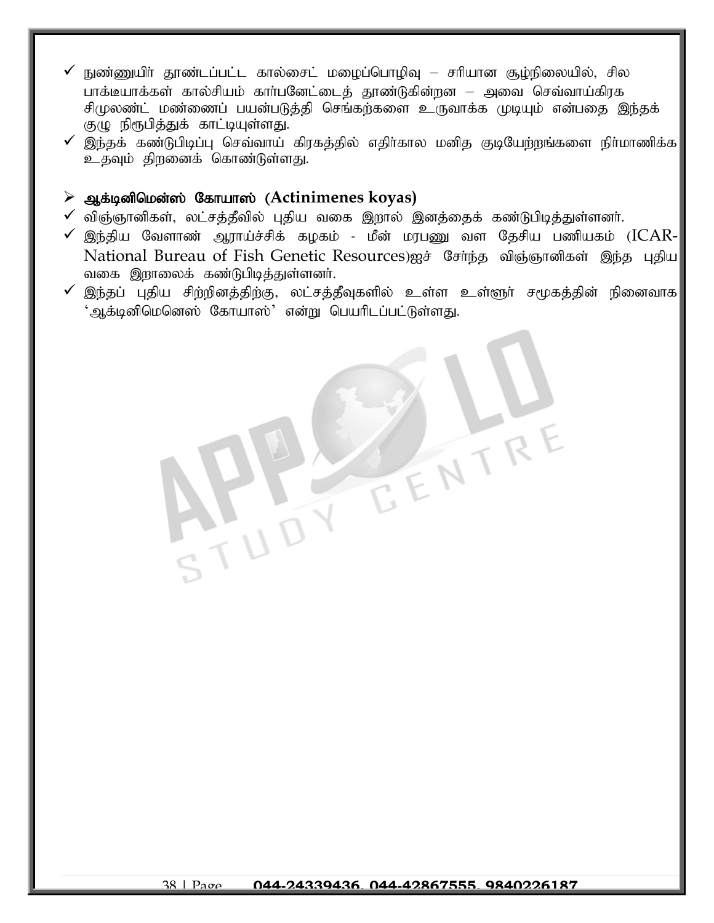- நுண்ணுயிர் தூண்டப்பட்ட கால்சைட் மழைப்பொழிவு சரியான சூழ்நிலையில், சில பாக்டீயாக்கள் கால்சியம் கார்பனேட்டைக் தாண்டுகின்றன – அவை செவ்வாய்கிரக சிமுலண்ட் மண்ணைப் பயன்படுத்தி செங்கற்களை உருவாக்க முடியும் என்பதை இந்தக் குழு நிரூபித்துக் காட்டியுள்ளது.
- $\checkmark$  இந்தக் கண்டுபிடிப்பு செவ்வாய் கிரகத்தில் எதிர்கால மனித குடியேற்றங்களை நிர்மாணிக்க $\checkmark$ உதவும் திறனைக் கொண்டுள்ளது.

### $\triangleright$  ஆக்டினிமென்ஸ் கோயாஸ் (Actinimenes koyas)

- $\checkmark$  விஞ்ஞானிகள், லட்சத்தீவில் புதிய வகை இறால் இனத்தைக் கண்டுபிடித்துள்ளனர்.
- $\checkmark$  இந்திய வேளாண் ஆராய்ச்சிக் கழகம் மீன் மரபணு வள தேசிய பணியகம் ( $ICAR$ -National Bureau of Fish Genetic Resources)ஐச் சேர்ந்த விஞ்ஞானிகள் இந்த புதிய வகை இறாலைக் கண்டுபிடித்துள்ளனர்.
- $\checkmark$  இந்தப் புதிய சிற்றினத்திற்கு, லட்சத்தீவுகளில் உள்ள உள்ளூா் சமூகத்தின் நினைவாக $\checkmark$ ்ஆக்டினிமெனெஸ் கோயாஸ்' என்று பெயரிடப்பட்டுள்ளது.

EENTR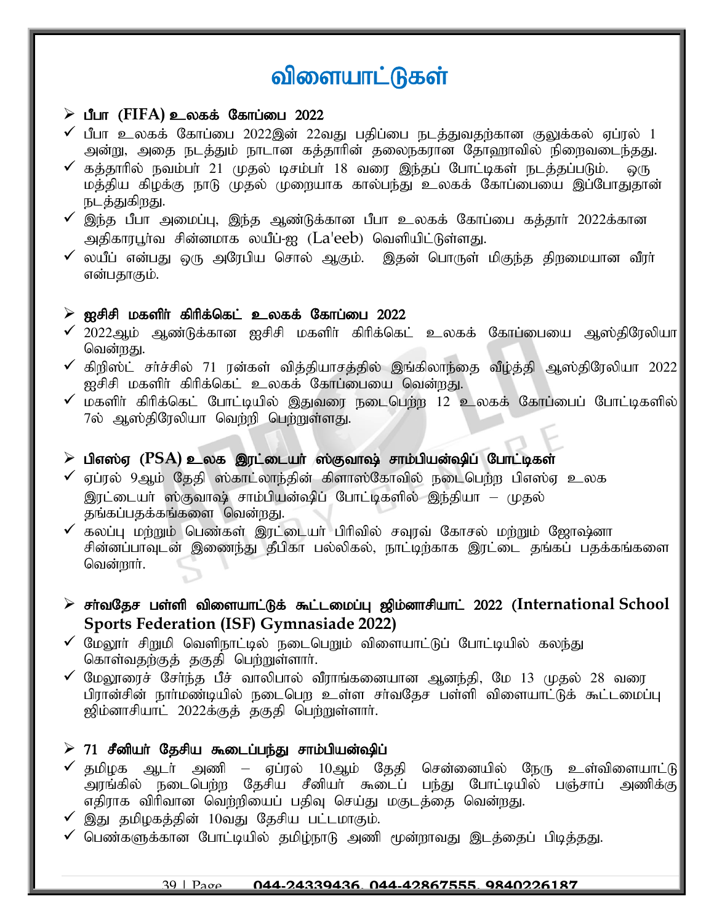# விளையாட்டுகள்

#### $\triangleright$  பீபா (FIFA) உலகக் கோப்பை 2022

- $\checkmark$  பீபா உலகக் கோப்பை 2022இன் 22வது பதிப்பை நடத்துவதற்கான குலுக்கல் ஏப்ரல் 1 அன்று, அதை நடத்தும் நாடான கத்தாரின் தலைநகரான தோஹாவில் நிறைவடைந்தது.
- $\checkmark$  கத்தாரில் நவம்பர் 21 முதல் டிசம்பர் 18 வரை இந்தப் போட்டிகள் நடத்தப்படும். மத்திய கிழக்கு நாடு முதல் முறையாக கால்பந்து உலகக் கோப்பையை இப்போதுதான் நடத்துகிறது.
- $\checkmark$  இந்த பீபா அமைப்பு, இந்த ஆண்டுக்கான பீபா உலகக் கோப்பை கத்தார் 2022க்கான அதிகாரபூர்வ சின்னமாக லயீப்-ஐ  $(La'eeb)$  வெளியிட்டுள்ளது.
- $\checkmark$  லயீப் என்பது ஒரு அரேபிய சொல் ஆகும். இதன் பொருள் மிகுந்த திறமையான வீரா் என்பதாகும்.

### $\triangleright$  ജசிசி மகளிர் கிரிக்கெட் உலகக் கோப்பை  $2022$

- $\checkmark$  2022ஆம் ஆண்டுக்கான ஐசிசி மகளிா் கிரிக்கெட் உலகக் கோப்பையை ஆஸ்திரேலியா வென்றது.
- $\checkmark$  கிறிஸ்ட் சர்ச்சில் 71 ரன்கள் வித்தியாசத்தில் இங்கிலாந்தை வீழ்த்தி ஆஸ்திரேலியா 2022 $\checkmark$ ஐசிசி மகளிர் கிரிக்கெட் உலகக் கோப்பையை வென்றது.
- மகளிா் கிரிக்கெட் போட்டியில் இதுவரை நடைபெற்ற 12 உலகக் கோப்பைப் போட்டிகளில் 7ல் ஆஸ்திரேலியா வெற்றி பெற்றுள்ளது.

### $\rho$  பிஎஸ்ஏ ( $PSA$ ) உலக இரட்டையா் ஸ்குவாஷ் சாம்பியன்ஷிப் போட்டிகள்

- $\checkmark$  ஏப்ரல் 9ஆம் தேதி ஸ்காட்லாந்தின் கிளாஸ்கோவில் நடைபெற்ற பிஎஸ்ஏ உலக இரட்டையா் ஸ்குவாஷ் சாம்பியன்ஷிப் போட்டிகளில் இந்தியா – முதல் தங்கப்பதக்கங்களை வென்றது.
- $\checkmark$  கலப்பு மற்றும் பெண்கள் இரட்டையர் பிரிவில் சவுரவ் கோசல் மற்றும் ஜோஷ்னா சின்னப்பாவுடன் இணைந்து தீபிகா பல்லிகல், நாட்டிற்காக இரட்டை தங்கப் பதக்கங்களை வென்றார்.

# $\triangleright$  சர்வதேச பள்ளி விளையாட்டுக் கூட்டமைப்பு ஜிம்னாசியாட் 2022 (International School **Sports Federation (ISF) Gymnasiade 2022)**

- $\checkmark$  மேலூர் சிறுமி வெளிநாட்டில் நடைபெறும் விளையாட்டுப் போட்டியில் கலந்து கொள்வதற்குத் தகுதி பெற்றுள்ளார்.
- $\checkmark$  மேலூரைச் சேர்ந்த பீச் வாலிபால் வீராங்கனையான ஆனந்தி, மே 13 முதல் 28 வரை பிரான்சின் நார்மண்டியில் நடைபெற உள்ள சர்வதேச பள்ளி விளையாட்டுக் கூட்டமைப்பு ஜிம்னாசியாட் 2022க்குத் தகுதி பெற்றுள்ளார்.

# $\geq 71$  சீனியா் தேசிய கூடைப்பந்து சாம்பியன்ஷிப்

- $\checkmark$  தமிழக ஆடர் அணி ஏப்ரல் 10ஆம் தேதி சென்னையில் நேரு உள்விளையாட்டு அரங்கில் நடைபெற்ற தேசிய சீனியா் கூடைப் பந்து போட்டியில் பஞ்சாப் அணிக்கு எதிராக விரிவான வெற்றியைப் பதிவு செய்து மகுடத்தை வென்றது.
- $\checkmark$  இது தமிழகத்தின் 10வது தேசிய பட்டமாகும்.
- $\checkmark$  பெண்களுக்கான போட்டியில் தமிழ்நாடு அணி மூன்றாவது இடத்தைப் பிடித்தது.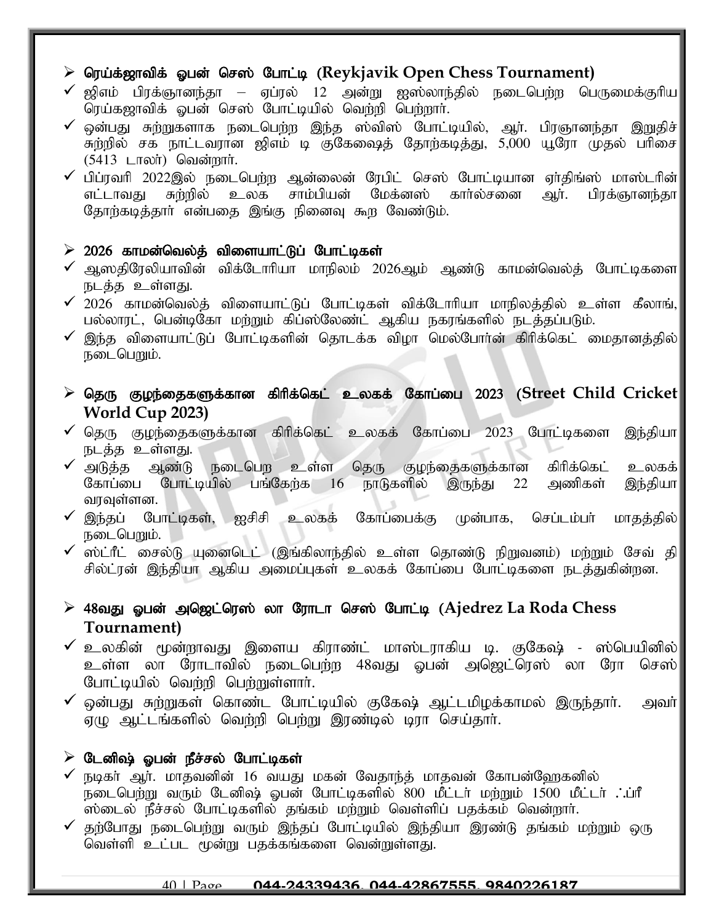# > ரெய்க்ஜாவிக் ஓபன் செஸ் போட்டி (Reykjavik Open Chess Tournament)

- $\checkmark$  ஜிஎம் பிரக்ஞானந்தா ஏப்ரல் 12 அன்று ஐஸ்லாந்தில் நடைபெற்ற பெருமைக்குரிய $\parallel$ ரெய்கஜாவிக் ஒபன் செஸ் போட்டியில் வெற்றி பெற்றார்.
- $\checkmark$  ஒன்பது சுற்றுகளாக நடைபெற்ற இந்த ஸ்விஸ் போட்டியில், ஆர். பிரஞானந்தா இறுதிச் $\parallel$ கற்றில் சக நாட்டவரான ஜிஎம் டி குகேவைத் தோற்கடித்து, 5,000 யூரோ முதல் பரிசை  $(5413$   $LT$ லா்) வென்றாா்.
- ✓ பிப்ரவரி 2022இல் நடைபெற்ற ஆன்லைன் ரேபிட் செஸ் போட்டியான ஏா்திங்ஸ் மாஸ்டரின் $\parallel$ எட்டாவது சுற்றில் உலக சாம்பியன் மேக்னஸ் காா்ல்சனை ஆா். பிரக்ஞானந்தா உலக சாம்பியன் மேக்னஸ் கார்ல்சனை ஆர். பிரக்ஞானந்தா| தோற்கடித்தார் என்பதை இங்கு நினைவு கூற வேண்டும்.

# $\geq 2026$  காமன்வெல்த் விளையாட்டுப் போட்டிகள்

- $\checkmark$  ஆஸதிரேலியாவின் விக்டோரியா மாநிலம் 2026ஆம் ஆண்டு காமன்வெல்த் போட்டிகளை $\parallel$ நடத்த உள்ளது.
- $\checkmark$  2026 காமன்வெல்த் விளையாட்டுப் போட்டிகள் விக்டோரியா மாநிலத்தில் உள்ள கீலாங், $\parallel$ பல்லாரட், பென்டிகோ மற்றும் கிப்ஸ்லேண்ட் ஆகிய நகரங்களில் நடத்தப்படும்.
- $\checkmark$  இந்த விளையாட்டுப் போட்டிகளின் தொடக்க விழா மெல்போர்ன் கிரிக்கெட் மைதானத்தில் $\parallel$ நடைபெறும்.
- $\triangleright$  தெரு குழந்தைகளுக்கான கிரிக்கெட் உலகக் கோப்பை 2023 (Street Child Cricket **World Cup 2023)**
- $\checkmark$  தெரு குழந்தைகளுக்கான கிரிக்கெட் உலகக் கோப்பை 2023 போட்டிகளை இந்தியா
- நடத்த உள்ளது.<br>✔ அடுத்த ஆண்டு அடுத்த ஆண்டு நடைபெற உள்ள தெரு குழந்தைகளுக்கான கிரிக்கெட் உலகக்<br>கோப்பை போட்டியில் பங்கேர்க 16 நாடுகளில் இருந்து 22 அணிகள் இந்தியா போட்டியில் பங்கேற்க 16 நாடுகளில் இருந்து 22 அணிகள் வரவுள்ளன.
- $\checkmark$  இந்தப் போட்டிகள், ஐசிசி உலகக் கோப்பைக்கு முன்பாக, செப்டம்பா் மாதத்தில் $\parallel$ நடைபெறும்.
- $\checkmark$  ஸ்ட்ரீட் சைல்டு யுனைடெட் (இங்கிலாந்தில் உள்ள தொண்டு நிறுவனம்) மற்றும் சேவ் தி $\parallel$ சில்ட்ரன் இந்தியா ஆகிய அமைப்புகள் உலகக் கோப்பை போட்டிகளை நடத்துகின்றன.
- > 48வது ஓபன் அஜெட்ரெஸ் லா ரோடா செஸ் போட்டி (Ajedrez La Roda Chess **Tournament)**
- $\checkmark$  உலகின் மூன்றாவது இளைய கிராண்ட் மாஸ்டராகிய டி. குகேஷ் ஸ்பெயினில் $|$ உள்ள லா ரோடாவில் நடைபெற்ற 48வது ஓபன் அஜெட்ரெஸ் லா ரோ செஸ் $\mid$ போட்டியில் வெற்றி பெற்றுள்ளார்.
- $\checkmark$  ஒன்பது சுற்றுகள் கொண்ட போட்டியில் குகேஷ் ஆட்டமிழக்காமல் இருந்தாா். அவா் $\parallel$ ஏமு ஆட்டங்களில் வெற்றி பெற்று இரண்டில் டிரா செய்தார்.

# $\triangleright$  டேனிஷ் ஓபன் நீச்சல் போட்டிகள்

- $\checkmark$  நடிகர் ஆர். மாதவனின் 16 வயது மகன் வேதாந்த் மாதவன் கோபன்வேரகனில் ் நடைபெற்று வரும் டேனிஷ் ஓபன் போட்டிகளில் 800 மீட்டர் மற்றும் 1500 மீட்டர் . ப்ரீ .<br>ஸ்டைல் நீச்சல் போட்டிகளில் தங்கம் மற்றும் வெள்ளிப் பதக்கம் வென்றார்.
- $\checkmark$  தற்போது நடைபெற்று வரும் இந்தப் போட்டியில் இந்தியா இரண்டு தங்கம் மற்றும் ஒரு வெள்ளி உட்பட மூன்று பதக்கங்களை வென்றுள்ளது.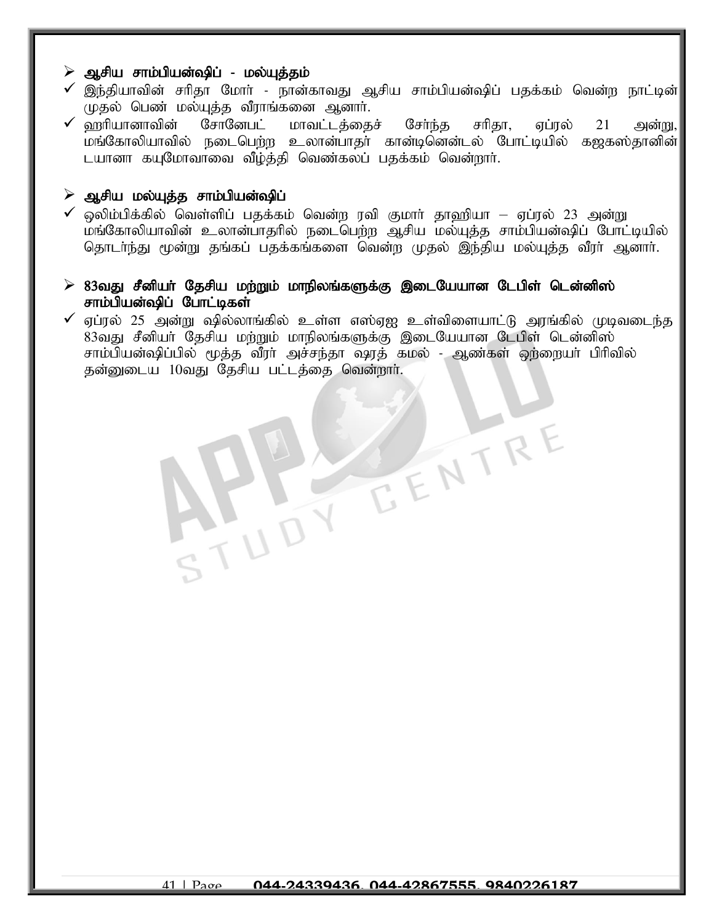#### $\triangleright$  ஆசிய சாம்பியன்ஷிப் - மல்யுத்தம்

- $\checkmark$  இந்தியாவின் சரிதா மோர் நான்காவது ஆசிய சாம்பியன்ஷிப் பதக்கம் வென்ற நாட்டின் $\parallel$ முதல் பெண் மல்யுத்த வீராங்கனை ஆனார்.
- $\checkmark$  ஹரியானாவின் சோனேபட் மாவட்டத்தைச் சேர்ந்த சரிதா, ஏப்ரல் 21 அன்று, $\parallel$ மங்கோலியாவில் நடைபெற்ற உலான்பாதா் கான்டினென்டல் போட்டியில் கஜகஸ்தானின் $\rVert$ டயானா கயுமோவாவை வீழ்த்தி வெண்கலப் பதக்கம் வென்றார்.

#### $\triangleright$  ஆசிய மல்யுத்த சாம்பியன்ஷிப்

J

- $\checkmark$  ஒலிம்பிக்கில் வெள்ளிப் பதக்கம் வென்ற ரவி குமார் தாஹியா ஏப்ரல் 23 அன்று மங்கோலியாவின் உலான்பாதரில் நடைபெற்ற ஆசிய மல்யுத்த சாம்பியன்ஷிப் போட்டியில் தொடர்ந்து மூன்று தங்கப் பதக்கங்களை வென்ற முதல் இந்திய மல்யுத்த வீரர் ஆனார்.
- $\triangleright$  83வது சீனியர் தேசிய மற்றும் மாநிலங்களுக்கு இடையேயான டேபிள் டென்னிஸ் சாம்பியன்ஷிப் போட்டிகள்
- $\checkmark$  ஏப்ரல் 25 அன்று ஷில்லாங்கில் உள்ள எஸ்ஏஐ உள்விளையாட்டு அரங்கில் முடிவடைந்த 83வது சீனியர் தேசிய மற்றும் மாநிலங்களுக்கு இடையேயான டேபிள் டென்னிஸ் சாம்பியன்ஷிப்பில் மூத்த வீரா் அச்சந்தா ஷரத் கமல் - ஆண்கள் ஒற்றையா் பிரிவில் தன்னுடைய 10வது தேசிய பட்டத்தை வென்றார்.

EENTR'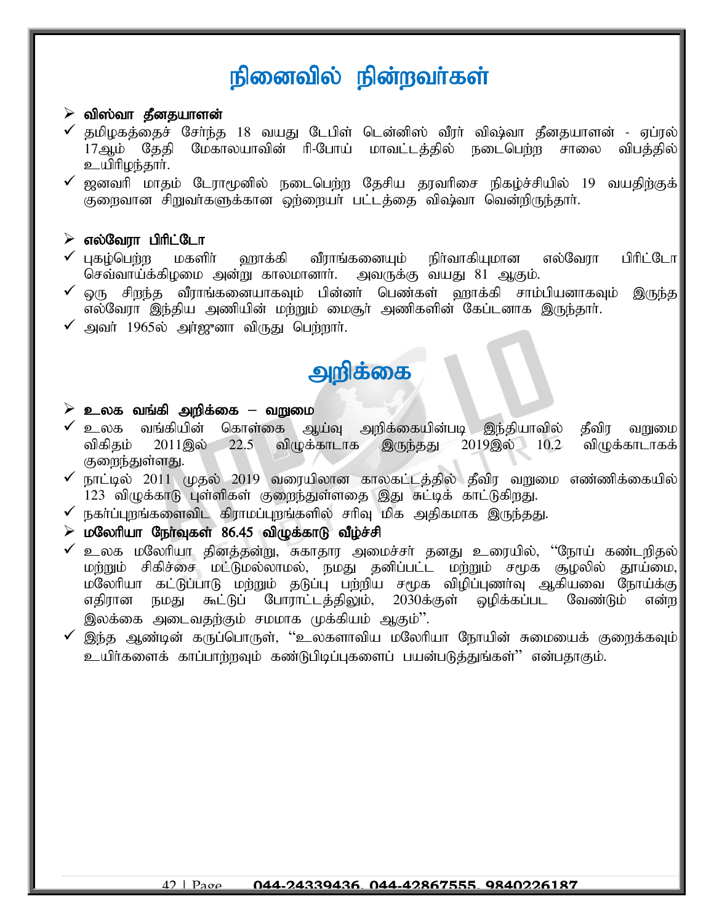# நினைவில் நின்றவர்கள்

#### $\triangleright$  விஸ்வா தீனதயாளன்

- $\checkmark$  தமிமகக்கைச் சேர்ந்த 18 வயது டேபிள் டென்னிஸ் வீரர் விஷ்வா தீனதயாளன் ஏப்ரல் $\mid$ 17ஆம் தேதி மேகாலயாவின் ரி-போய் மாவட்டத்தில் நடைபெற்ற சாலை விபத்தில் உயிரிழந்தார்.
- $\checkmark$  ஜனவரி மாதம் டோாமூனில் நடைபெற்ற தேசிய தரவரிசை நிகழ்ச்சியில் 19 வயதிற்குக் குறைவான சிறுவர்களுக்கான ஒற்றையர் பட்டத்தை விஷ்வா வென்றிருந்தார்.

#### $\triangleright$  எல்வேரா பிரிட்டோ

- $\checkmark$  புகழ்பெற்ற மகளிர் ஹாக்கி வீராங்கனையும் நிர்வாகியுமான எல்வேரா பிரிட்டோ செவ்வாய்க்கிழமை அன்று காலமானார். அவருக்கு வயது 81 ஆகும்.
- $\checkmark$  ஒரு சிறந்த வீராங்கனையாகவும் பின்னா் பெண்கள் ஹாக்கி சாம்பியனாகவும் இருந்த எல்வேரா இந்திய அணியின் மற்றும் மைசூர் அணிகளின் கேப்டனாக இருந்தார்.
- $\checkmark$  அவர் 1965ல் அர்ஜுனா விருது பெற்றார்.

# அறிக்கை

#### $\triangleright$  **உ**லக வங்கி அறிக்கை – வறுமை

- ✔ உலக வங்கியின் கொள்கை ஆய்வு அறிக்கையின்படி இந்தியாவில் தீவிர வறுமை<br>விகிதம் 2011இல் 22.5 விழுக்காடாக இருந்தது 2019இல் 10.2 விழுக்காடாகக் விகிதம் 2011இல் 22.5 விழுக்காடாக இருந்தது 2019இல் 10.2 விழுக்காடாகக் குறைந்துள்ளது.
- $\checkmark$  நாட்டில் 2011 முதல் 2019 வரையிலான காலகட்டத்தில் தீவிர வறுமை எண்ணிக்கையில் 123 விழுக்காடு புள்ளிகள் குறைந்துள்ளதை இது சுட்டிக் காட்டுகிறது.
- $\checkmark$  நகா்ப்புறங்களைவிட கிராமப்புறங்களில் சாிவு மிக அதிகமாக இருந்தது.
- $\triangleright$  மலேரியா நேர்வுகள்  $86.45$  விழுக்காடு வீழ்ச்சி
- $\checkmark$  உலக மலேரியா தினத்தன்று, சுகாதார அமைச்சர் தனது உரையில், ''நோய் கண்டறிதல் $\mid$ மர்றும் சிகிச்சை மட்டுமல்லாமல், நமது தனிப்பட்ட மற்றும் சமூக சூழலில் தூய்மை, மலேரியா கட்டுப்பாடு மற்றும் தடுப்பு பற்றிய சமூக விழிப்புணர்வு ஆகியவை நோய்க்கு எதிரான நமது கூட்டுப் போராட்டத்திலும், 2030க்குள் ஒழிக்கப்பட வேண்டும் என்ற இலக்கை அடைவதற்கும் சமமாக முக்கியம் ஆகும்''.
- $\checkmark$  இந்த ஆண்டின் கருப்பொருள், ''உலகளாவிய மலேரியா நோயின் சுமையைக் குறைக்கவும் $|$ உயிர்களைக் காப்பாற்றவும் கண்டுபிடிப்புகளைப் பயன்படுத்துங்கள்'' என்பதாகும்.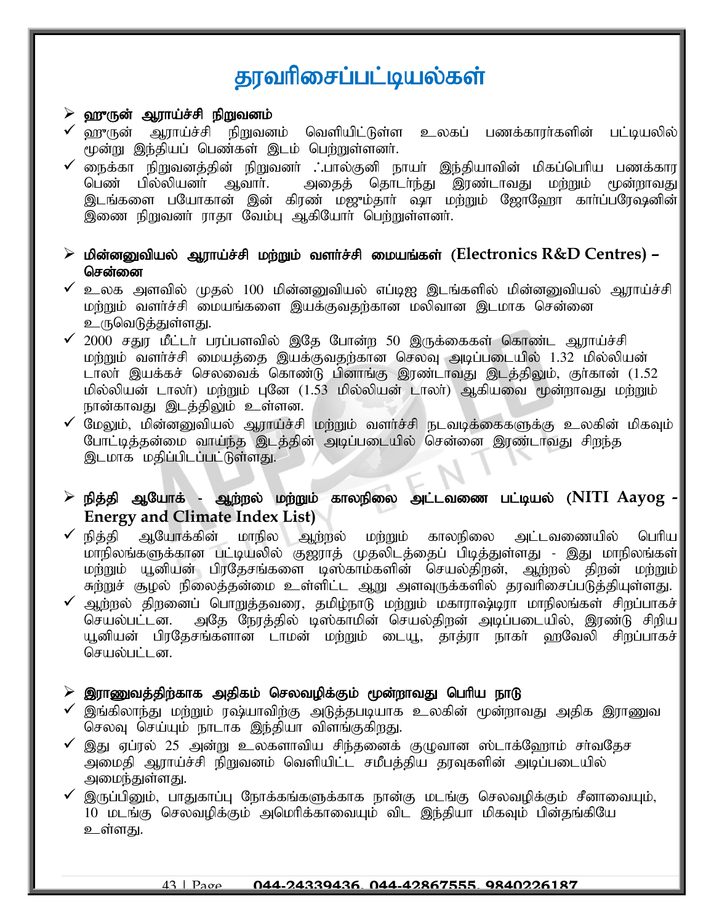# தரவரிசைப்பட்டியல்கள்

#### $\triangleright$  ஹுருன் ஆராய்ச்சி நிறுவனம்

- ் ஹுருன் ஆராய்ச்சி நிறுவனம் வெளியிட்டுள்ள உலகப் பணக்காரா்களின் பட்டியலில் மூன்று இந்தியப் பெண்கள் இடம் பெற்றுள்ளனர்.
- நைக்கா நிறுவனத்தின் நிறுவனா் .<sup>-</sup>.பால்குனி நாயா் இந்தியாவின் மிகப்பெரிய பணக்கார பெண் பில்லியனர் ஆவார். அதைத் தொடர்ந்து இரண்டாவது மற்றும் மூன்றாவது இடங்களை பயோகான் இன் கிரண் மஜும்தார் ஷா மற்றும் ஜோஹோ கார்ப்பரேஷனின் இணை நிறுவனர் ராதா வேம்பு ஆகியோர் பெற்றுள்ளனர்.
- $\triangleright$  மின்னனுவியல் ஆராய்ச்சி மற்றும் வளர்ச்சி மையங்கள் (Electronics R&D Centres) சென்னை
- $\checkmark$  உலக அளவில் முதல் 100 மின்னனுவியல் எப்டிஐ இடங்களில் மின்னனுவியல் அராய்ச்சி மர்றும் வளர்ச்சி மையங்களை இயக்குவதற்கான மலிவான இடமாக சென்னை உருவெடுத்துள்ளது.
- $\checkmark$  2000 சதுர மீட்டர் பரப்பளவில் இதே போன்ற 50 இருக்கைகள் கொண்ட ஆராய்ச்சி மற்றும் வளர்ச்சி மையத்தை இயக்குவதற்கான செலவு அடிப்படையில் 1.32 மில்லியன் டாலா் இயக்கச் செலவைக் கொண்டு பினாங்கு இரண்டாவது இடத்திலும், குா்கான் (1.52 மில்லியன் டாலா்) மற்றும் புனே (1.53 மில்லியன் டாலா்) ஆகியவை மூன்றாவது மற்றும் நான்காவது இடத்திலும் உள்ளன.
- $\checkmark$  மேலும், மின்னனுவியல் ஆராய்ச்சி மற்றும் வளர்ச்சி நடவடிக்கைகளுக்கு உலகின் மிகவும் போட்டித்தன்மை வாய்ந்த இடத்தின் அடிப்படையில் சென்னை இரண்டாவது சிறந்த இடமாக மதிப்பிடப்பட்டுள்ளது.
- ➢ epj;jp MNahf; Mw;wy; kw;Wk; fhyepiy ml;ltiz gl;bay; (**NITI Aayog - Energy and Climate Index List)**
- $\checkmark$  நித்தி ஆயோக்கின் மாநில ஆற்றல் மற்றும் காலநிலை அட்டவணையில் பெரிய $\parallel$ khepyq;fSf;fhd gl;baypy; F[uhj; Kjyplj;ijg; gpbj;Js;sJ - ,J khepyq;fs; மற்றும் யூனியன் பிரதேசங்களை டிஸ்காம்களின் செயல்திறன், ஆற்றல் திறன் மற்றும் .<br>சுற்றுச் சூமல் நிலைத்தன்மை உள்ளிட்ட ஆறு அளவுருக்களில் தரவரிசைப்படுத்தியுள்ளது.
- ✔ ஆற்றல் திறனைப் பொறுத்தவரை, தமிழ்நாடு மற்றும் மகாராஷ்டிரா மாநிலங்கள் சிறப்பாகச் $\mid$ செயல்பட்டன. அதே நேரத்தில் டிஸ்காமின் செயல்திரன் அடிப்படையில், இரண்டு சிறிய அதே நேரத்தில் டிஸ்காமின் செயல்திறன் அடிப்படையில், இரண்டு சிறிய யூனியன் பிரதேசங்களான டாமன் மற்றும் டையூ, தாத்ரா நாகர் ஹவேலி சிறப்பாகச் $\,$ செயல்பட்டன.

#### $\triangleright$  இராணுவத்திற்காக அதிகம் செலவழிக்கும் மூன்றாவது பெரிய நாடு

- $\checkmark$  இங்கிலாந்து மற்றும் ரஷ்யாவிற்கு அடுத்தபடியாக உலகின் மூன்றாவது அதிக இராணுவ செலவு செய்யும் நாடாக இந்தியா விளங்குகிறது.
- $\checkmark$  இது ஏப்ரல் 25 அன்று உலகளாவிய சிந்தனைக் குழுவான ஸ்டாக்ஹோம் சர்வதேச அமைதி ஆராய்ச்சி நிறுவனம் வெளியிட்ட சமீபத்திய தரவுகளின் அடிப்படையில் அமைந்துள்ளது.
- $\checkmark$  இருப்பினும், பாதுகாப்பு நோக்கங்களுக்காக நான்கு மடங்கு செலவழிக்கும் சீனாவையும், 10 மடங்கு செலவழிக்கும் அமெரிக்காவையும் விட இந்தியா மிகவும் பின்தங்கியே உள்ளது.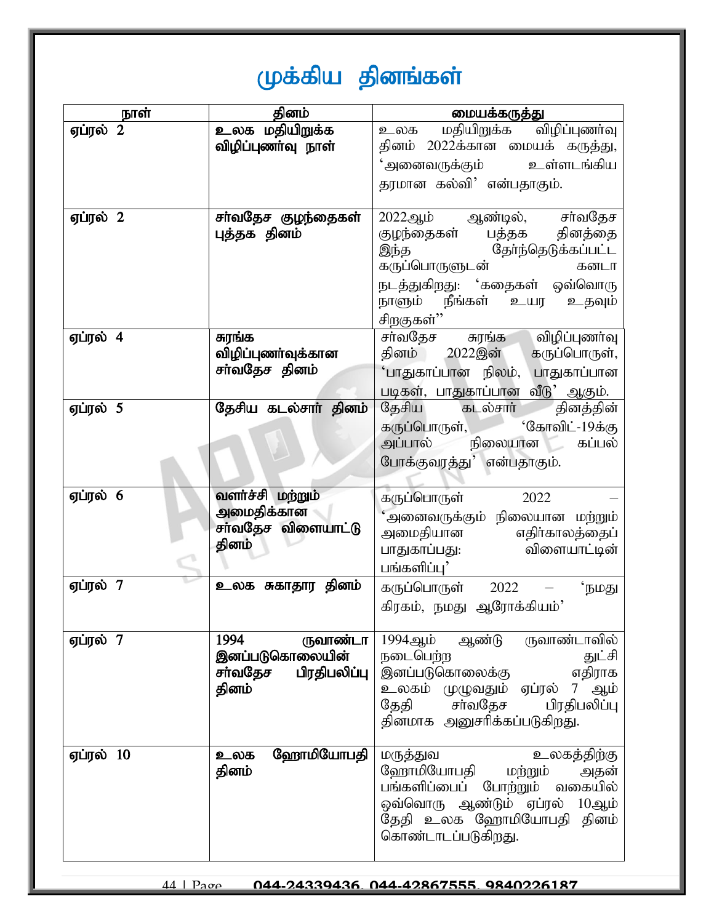# முக்கிய தினங்கள்

| நாள்      | தினம்                   | மையக்கருத்து                                                   |
|-----------|-------------------------|----------------------------------------------------------------|
| ஏப்ரல் 2  | உலக மதியிறுக்க          | உலக மதியிறுக்க விழிப்புணர்வு                                   |
|           | விழிப்புணா்வு நாள்      | தினம் 2022க்கான மையக் கருத்து,                                 |
|           |                         | 'அனைவருக்கும் உள்ளடங்கிய                                       |
|           |                         | தரமான கல்வி' என்பதாகும்.                                       |
|           |                         |                                                                |
| ஏப்ரல் 2  | சா்வதேச குழந்தைகள்      | 2022ஆம் ஆண்டில், சா்வதேச                                       |
|           | புத்தக தினம்            | குழந்தைகள் பத்தக தினத்தை                                       |
|           |                         |                                                                |
|           |                         | ஆளது முறை<br>தந்த தோந்தெடுக்கப்பட்ட<br>கருப்பொருளுடன் கனடா     |
|           |                         | நடத்துகிறது: 'கதைகள் ஒவ்வொரு                                   |
|           |                         | நாளும் நீங்கள் உயர<br>உதவும்                                   |
|           |                         | <u>சிறகுகள்''</u>                                              |
| ஏப்ரல் 4  | சுரங்க                  | சா்வதேச சுரங்க விழிப்புணா்வு                                   |
|           | விழிப்புணா்வுக்கான      | தினம் 2022இன் கருப்பொருள்,                                     |
|           | சா்வதேச தினம்           | 'பாதுகாப்பான நிலம், பாதுகாப்பான                                |
|           |                         | படிகள், பாதுகாப்பான வீடு' ஆகும்.                               |
| ஏப்ரல் 5  | தேசிய கடல்சார் தினம்    | தேசிய கடல்சாா் தினத்தின்                                       |
|           |                         | கருப்பொருள், மார்கோவிட்-19க்கு                                 |
|           |                         | அப்பால் நிலையான கப்பல்                                         |
|           |                         |                                                                |
|           |                         | போக்குவரத்து' என்பதாகும்.                                      |
| ஏப்ரல் 6  | வளர்ச்சி மற்றும்        |                                                                |
|           | அமைதிக்கான              | கருப்பொருள்<br>2022                                            |
|           | சா்வதேச விளையாட்டு      | 'அனைவருக்கும் நிலையான மற்றும்                                  |
|           | தினம்                   | அமைதியான எதிர்காலத்தைப்<br>பாதுகாப்பது. விளையாட்டின்           |
|           |                         |                                                                |
|           |                         | பங்களிப்பு'                                                    |
| ஏப்ரல் 7  | உலக சுகாதார தினம்       | <b>'</b> நமது<br>கருப்பொருள் 2022                              |
|           |                         | கிரகம், நமது ஆரோக்கியம்'                                       |
|           |                         |                                                                |
| ஏப்ரல் 7  | 1994<br>ருவாண்டா        | ருவாண்டாவில்<br>1994ஆம்<br>ஆண்டு                               |
|           | இனப்படுகொலையின்         | நடைபெற்ற<br>துட்சி                                             |
|           | பிரதிபலிப்பு<br>சா்வதேச | இனப்படுகொலைக்கு<br>எதிராக                                      |
|           | தினம்                   | உலகம் முழுவதும் ஏப்ரல் 7 ஆம்                                   |
|           |                         | சர்வதேச<br>தேதி<br>பிரதிபலிப்பு<br>தினமாக அனுசரிக்கப்படுகிறது. |
|           |                         |                                                                |
| ஏப்ரல் 10 | ஹோமியோபதி<br>உலக        | உலகத்திற்கு<br>மருத்துவ                                        |
|           | தினம்                   | ஹோமியோபதி<br>மற்றும்<br>அதன்                                   |
|           |                         | பங்களிப்பைப்<br>போற்றும் வகையில்                               |
|           |                         | ஒவ்வொரு ஆண்டும் ஏப்ரல் 10ஆம்                                   |
|           |                         | தேதி உலக ஹோமியோபதி தினம்                                       |
|           |                         | கொண்டாடப்படுகிறது.                                             |
|           |                         |                                                                |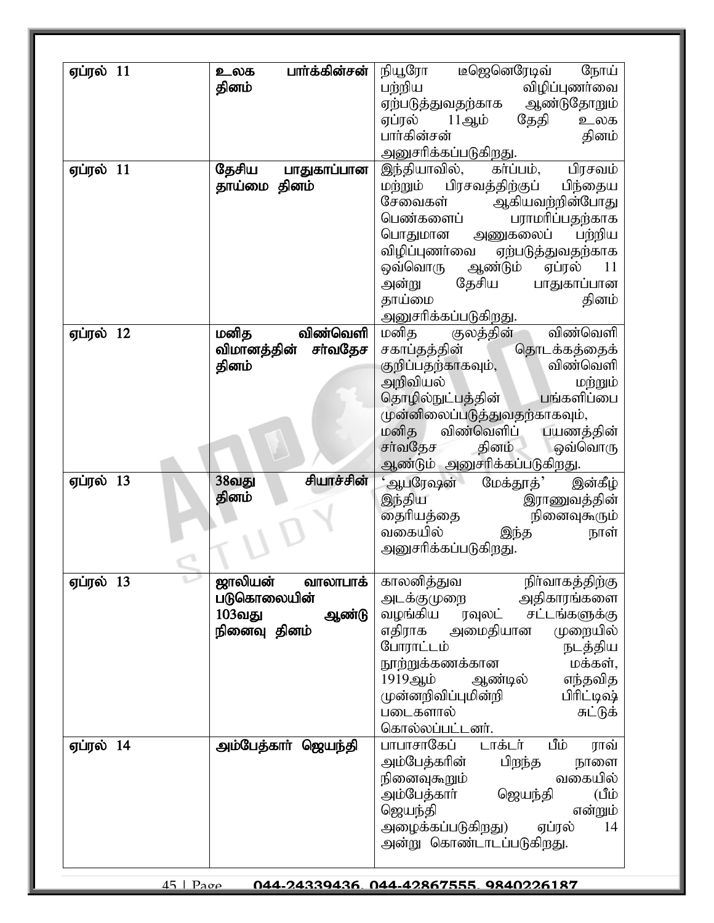| ஏப்ரல் 11 | பார்க்கின்சன்<br>உலக   | டீஜெனெரேடிவ்<br>நியூரோ<br>நோய்                   |
|-----------|------------------------|--------------------------------------------------|
|           | தினம்                  | விழிப்புணர்வை<br>பற்றிய                          |
|           |                        | ஆண்டுதோறும்<br>ஏற்படுத்துவதற்காக                 |
|           |                        | தேதி<br>ஏப்ரல்<br>11ஆம்<br>உலக                   |
|           |                        | பார்கின்சன்<br>தினம்                             |
|           |                        | அனுசரிக்கப்படுகிறது.                             |
| ஏப்ரல் 11 | தேசிய<br>பாதுகாப்பான   | இந்தியாவில்,<br>கர்ப்பம்,<br>பிரசவம்             |
|           | தாய்மை தினம்           | மற்றும் பிரசவத்திற்குப்<br>பிந்தைய               |
|           |                        | சேவைகள்<br>ஆகியவற்றின்போது<br>பெண்களைப்          |
|           |                        | பராமரிப்பதற்காக<br>அணுகலைப் பற்றிய<br>பொதுமான    |
|           |                        | விழிப்புணர்வை<br>ஏற்படுத்துவதற்காக               |
|           |                        | ஒவ்வொரு<br>ஆண்டும்<br>ஏப்ரல்<br>11               |
|           |                        | தேசிய<br>பாதுகாப்பான<br>அன்று                    |
|           |                        | தாய்மை<br>தினம்                                  |
|           |                        | அனுசரிக்கப்படுகிறது.                             |
| ஏப்ரல் 12 | விண்வெளி<br>மனித       | விண்வெளி<br>மனித<br>குலத்தின்                    |
|           | சர்வதேச<br>விமானத்தின் | சகாப்தத்தின்<br>தொடக்கத்தைக்                     |
|           | தினம்                  | விண்வெளி<br>குறிப்பதற்காகவும்,                   |
|           |                        | அறிவியல்<br>மற்றும்                              |
|           |                        | பங்களிப்பை<br>தொழில்நுட்பத்தின்                  |
|           |                        | முன்னிலைப்படுத்துவதற்காகவும்,                    |
|           |                        | விண்வெளிப் பயணத்தின்<br>மனித<br>சர்வதேச<br>தினம் |
|           |                        | ஒவ்வொரு<br>ஆண்டும் அனுசரிக்கப்படுகிறது.          |
| ஏப்ரல் 13 | சியாச்சின்<br>38வது    | ஆபரேஷன்<br>மேக்தூத்'<br>இன்கீழ்                  |
|           | தினம்                  | இந்திய<br>இராணுவத்தின்                           |
|           |                        | தைரியத்தை<br>நினைவுகூரும்                        |
|           |                        | வகையில்<br>இந்த<br>நாள்                          |
|           |                        | அனுசரிக்கப்படுகிறது.                             |
|           |                        |                                                  |
|           |                        |                                                  |
| ஏப்ரல் 13 | ஜாலியன்<br>வாலாபாக்    | காலனித்துவ<br>நிர்வாகத்திற்கு                    |
|           | படுகொலையின்            | அதிகாரங்களை<br>அடக்குமுறை                        |
|           | 103வது<br>ஆண்டு        | வழங்கிய<br>சட்டங்களுக்கு<br>ரவுலட்               |
|           | நினைவு தினம்           | முறையில்<br>எதிராக<br>அமைதியான                   |
|           |                        | போராட்டம்<br>நடத்திய                             |
|           |                        | நூற்றுக்கணக்கான<br>மக்கள்,<br>1919ஆம்<br>ஆண்டில் |
|           |                        | எந்தவித<br>பிரிட்டிஷ்<br>முன்னறிவிப்புமின்றி     |
|           |                        | படைகளால்<br>சுட்டுக்                             |
|           |                        | கொல்லப்பட்டனர்.                                  |
| ஏப்ரல் 14 | அம்பேத்காா் ஜெயந்தி    | பாபாசாகேப்<br>டாக்டர்<br>மீம்<br>ராவ்            |
|           |                        | அம்பேத்கரின்<br>பிறந்த<br>நாளை                   |
|           |                        | வகையில்<br>நினைவுகூறும்                          |
|           |                        | யீப்)<br>அம்பேத்காா்<br>ஜெயந்தி                  |
|           |                        | ஜெயந்தி<br>என்றும்                               |
|           |                        | ஏப்ரல்<br>அழைக்கப்படுகிறது)<br>14                |
|           |                        | அன்று கொண்டாடப்படுகிறது.                         |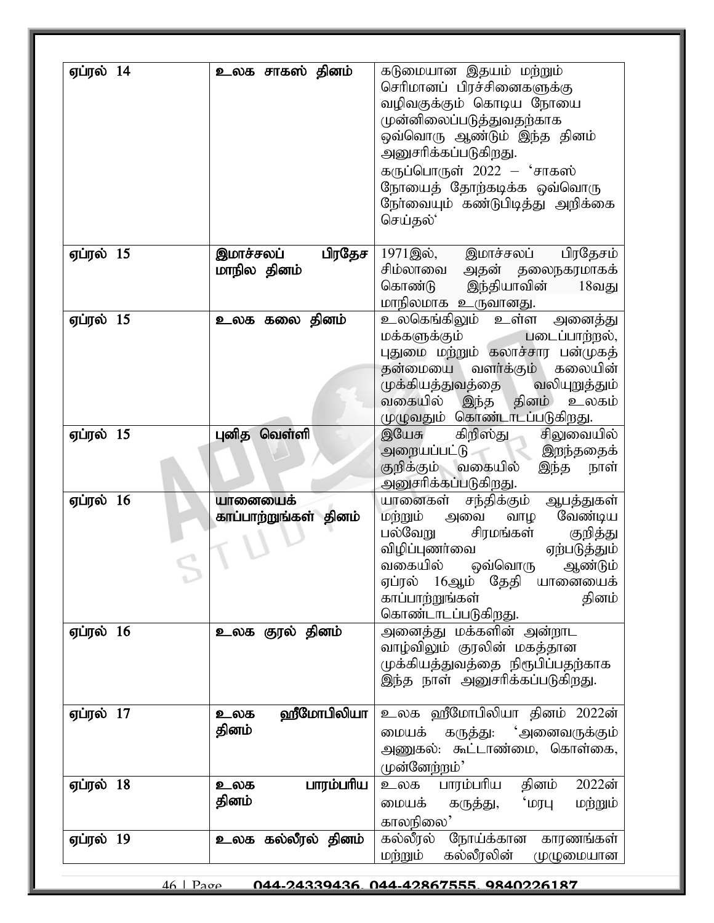| ஏப்ரல் 14              | உலக சாகஸ் தினம்           | கடுமையான இதயம் மற்றும்                                                                                                                                                                                                                                                                    |
|------------------------|---------------------------|-------------------------------------------------------------------------------------------------------------------------------------------------------------------------------------------------------------------------------------------------------------------------------------------|
|                        |                           | செரிமானப் பிரச்சினைகளுக்கு                                                                                                                                                                                                                                                                |
|                        |                           | வழிவகுக்கும் கொடிய நோயை                                                                                                                                                                                                                                                                   |
|                        |                           | முன்னிலைப்படுத்துவதற்காக                                                                                                                                                                                                                                                                  |
|                        |                           | ஒவ்வொரு ஆண்டும் இந்த தினம்                                                                                                                                                                                                                                                                |
|                        |                           | அனுசரிக்கப்படுகிறது.                                                                                                                                                                                                                                                                      |
|                        |                           | கருப்பொருள் $2022 - 4$ சாகஸ்                                                                                                                                                                                                                                                              |
|                        |                           | நோயைத் தோற்கடிக்க ஒவ்வொரு                                                                                                                                                                                                                                                                 |
|                        |                           | நேர்வையும் கண்டுபிடித்து அறிக்கை                                                                                                                                                                                                                                                          |
|                        |                           | செய்தல்'                                                                                                                                                                                                                                                                                  |
| ஏப்ரல் $15$            | பிரதேச  <br>இமாச்சலப்     | 1971இல்,<br>இமாச்சலப்<br>பிரதேசம்                                                                                                                                                                                                                                                         |
|                        | மாநில தினம்               | சிம்லாவை<br>அதன் தலைநகரமாகக்                                                                                                                                                                                                                                                              |
|                        |                           | கொண்டு<br>இந்தியாவின் 18வது                                                                                                                                                                                                                                                               |
|                        |                           | மாநிலமாக உருவானது.                                                                                                                                                                                                                                                                        |
| <b>ஏப்ரல் 15</b>       | உலக கலை தினம்             | <u>உலகெங்கிலும் உள்ள</u><br>அனைத்து                                                                                                                                                                                                                                                       |
|                        |                           | மக்களுக்கும்<br>படைப்பாற்றல்,                                                                                                                                                                                                                                                             |
|                        |                           | புதுமை மற்றும் கலாச்சார பன்முகத்                                                                                                                                                                                                                                                          |
|                        |                           | தன்மையை வளர்க்கும் கலையின்                                                                                                                                                                                                                                                                |
|                        |                           | முக்கியத்துவத்தை<br>வலியுறுத்தும்                                                                                                                                                                                                                                                         |
|                        |                           | வகையில்<br>இந்த தினம்<br>உலகம்                                                                                                                                                                                                                                                            |
|                        |                           | முழுவதும் கொண்டாடப்படுகிறது.                                                                                                                                                                                                                                                              |
| ஏப்ரல் $15$            | புனித வெள்ளி              | இயேசு<br>கிறிஸ்து<br>சிலுவையில்                                                                                                                                                                                                                                                           |
|                        |                           | அறையப்பட்டு<br><b>இறந்ததைக்</b>                                                                                                                                                                                                                                                           |
|                        |                           | குறிக்கும் வகையில்<br>இந்த<br>நாள்                                                                                                                                                                                                                                                        |
| ஏப்ரல் 16              | யானையைக்                  | அனுசரிக்கப்படுகிறது.<br>யானைகள் சந்திக்கும்                                                                                                                                                                                                                                               |
|                        | காப்பாற்றுங்கள் தினம்     | ஆபத்துகள்<br>வேண்டிய<br>மற்றும்<br>அவை<br>வாழ                                                                                                                                                                                                                                             |
|                        |                           | பல்வேறு<br>சிரமங்கள்<br>குறித்து                                                                                                                                                                                                                                                          |
|                        |                           | விழிப்புணர்வை<br>ஏற்படுத்தும்                                                                                                                                                                                                                                                             |
|                        |                           | வகையில்<br>ஒவ்வொரு<br>ஆண்டும்                                                                                                                                                                                                                                                             |
|                        |                           | ஏப்ரல் 16ஆம்<br>தேதி<br>யானையைக்                                                                                                                                                                                                                                                          |
|                        |                           | காப்பாற்றுங்கள்<br>தினம்                                                                                                                                                                                                                                                                  |
|                        |                           | கொண்டாடப்படுகிறது.                                                                                                                                                                                                                                                                        |
| ஏப்ரல் 16              | உலக குரல் தினம்           | அனைத்து மக்களின் அன்றாட                                                                                                                                                                                                                                                                   |
|                        |                           |                                                                                                                                                                                                                                                                                           |
|                        |                           |                                                                                                                                                                                                                                                                                           |
|                        |                           |                                                                                                                                                                                                                                                                                           |
|                        | உலக                       |                                                                                                                                                                                                                                                                                           |
|                        | தினம்                     |                                                                                                                                                                                                                                                                                           |
|                        |                           |                                                                                                                                                                                                                                                                                           |
|                        |                           |                                                                                                                                                                                                                                                                                           |
|                        | உலக                       | 2022ன்<br>தினம்<br>உலக                                                                                                                                                                                                                                                                    |
|                        | தினம்                     |                                                                                                                                                                                                                                                                                           |
|                        |                           |                                                                                                                                                                                                                                                                                           |
|                        |                           |                                                                                                                                                                                                                                                                                           |
| ஏப்ரல் 19              | உலக கல்லீரல் தினம்        | நோய்க்கான<br>கல்லீரல்<br>காரணங்கள்                                                                                                                                                                                                                                                        |
| ஏப்ரல் 17<br>ஏப்ரல் 18 | ஹீமோபிலியா  <br>பாரம்பரிய | வாழ்விலும் குரலின் மகத்தான<br>முக்கியத்துவத்தை நிரூபிப்பதற்காக<br>இந்த நாள் அனுசரிக்கப்படுகிறது.<br>உலக ஹீமோபிலியா தினம் 2022ன்<br>'அனைவருக்கும்<br>மையக்<br>கருத்து:<br>அணுகல்: கூட்டாண்மை, கொள்கை,<br>(முன்னேற்றம்'<br>பாரம்பரிய<br>$"$ шли<br>மையக்<br>மற்றும்<br>கருத்து,<br>காலநிலை' |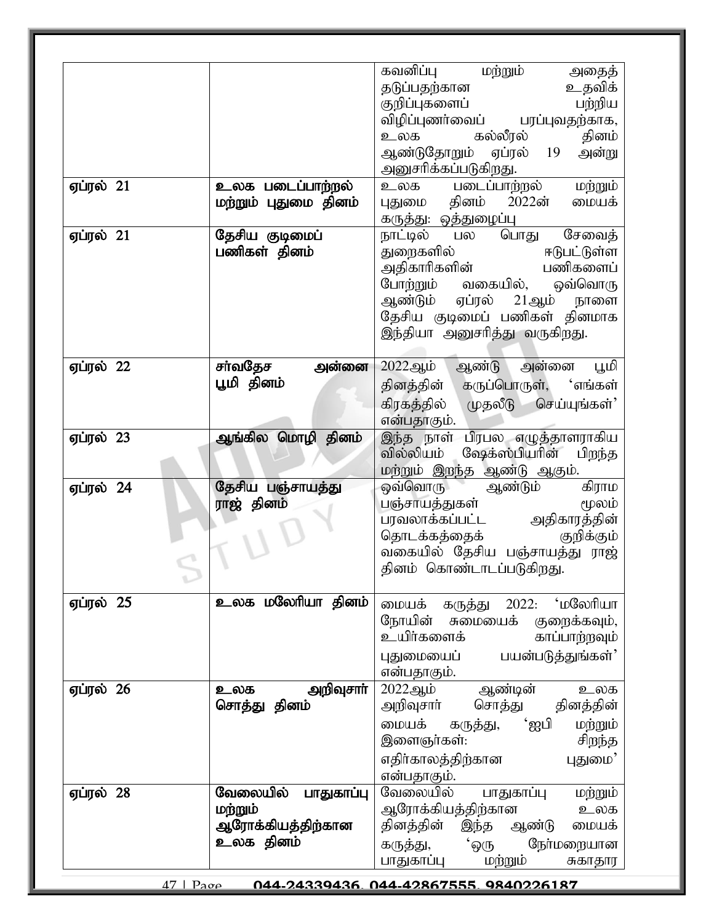|                                |                                                                     | கவனிப்பு மற்றும்<br>அதைத்<br>தடுப்பதற்கான<br>உதவிக்<br>பற்றிய<br>குறிப்புகளைப்<br>விழிப்புணர்வைப் பரப்புவதற்காக,                                                                                                       |
|--------------------------------|---------------------------------------------------------------------|------------------------------------------------------------------------------------------------------------------------------------------------------------------------------------------------------------------------|
|                                |                                                                     | உலக கல்லீரல்<br>தினம்<br>ஆண்டுதோறும்<br>ஏப்ரல்<br>19<br>அன்று<br>அனுசரிக்கப்படுகிறது.                                                                                                                                  |
| <b>ஏப்ரல் 21</b>               | உலக படைப்பாற்றல்<br>மற்றும் புதுமை தினம்                            | உலக படைப்பா <u>ற்</u> றல்<br>மற்றும்<br>புதுமை தினம் 2022ன்<br>மையக்<br>கருத்து: ஒத்துழைப்பு                                                                                                                           |
| ஏப்ரல் $21$                    | தேசிய குடிமைப்<br>பணிகள் தினம்                                      | சேவைத்<br>நாட்டில் பல<br>பொது<br>ஈடுபட்டுள்ள<br>துறைகளில்<br>அதிகாரிகளின்<br>பணிகளைப்<br>வகையில், ஒவ்வொரு<br>போற்றும்<br>ஆண்டும் ஏப்ரல் 21ஆம் நாளை<br>தேசிய குடிமைப் பணிகள் தினமாக<br>இந்தியா அனுசரித்து வருகிறது.     |
| ஏப்ரல் 22                      | சா்வதேச<br>அன்னை<br>பூமி தினம்                                      | ஆண்டு அன்னை<br>2022ஆம்<br>பூமி<br>கருப்பொருள், 'எங்கள்<br>தினத்தின்<br>கிரகத்தில்<br>முதலீடு செய்யுங்கள்'<br>என்பதாகும்.                                                                                               |
| ஏப்ரல் $23$                    | ஆங்கில மொழி தினம்                                                   | இந்த நாள் பிரபல எழுத்தாளராகிய<br>வில்லியம்<br>ஷேக்ஸ்பியரின்<br>பிறந்த<br>மற்றும் இறந்த ஆண்டு ஆகும்.                                                                                                                    |
| ஏப்ரல் 24                      | தேசிய பஞ்சாயத்து<br>ராஜ் தினம்                                      | கிராம<br>ஒவ்வொரு<br>ஆண்டும்<br>பஞ்சாயத்துகள்<br>மூலம்<br>பரவலாக்கப்பட்ட அதிகாரத்தின்<br>தொடக்கத்தைக்<br>குறிக்கும்<br>வகையில் தேசிய பஞ்சாயத்து ராஜ்<br>தினம் கொண்டாடப்படுகிறது.                                        |
| ஏப்ரல் 25                      | உலக மலேரியா தினம்                                                   | ்மலேரியா<br>மையக்<br>2022:<br>கருத்து<br>நோயின்<br>சுமையைக்<br>குறைக்கவும்,<br>உயிர்களைக்<br>காப்பாற்றவும்<br>பயன்படுத்துங்கள்'<br>புதுமையைப்<br>என்பதாகும்.                                                           |
| ஏப்ரல் 26                      | அறிவுசாா்<br>உலக<br>சொத்து தினம்                                    | ஆண்டின்<br>2022ஆம்<br>உலக<br>சொத்து தினத்தின்<br>அறிவுசார்<br>்ஐபி<br>மையக்<br>மற்றும்<br>கருத்து,<br>இளைஞர்கள்:<br>சிறந்த<br>எதிர்காலத்திற்கான<br>புதுமை'<br>என்பதாகும்.                                              |
| ஏப்ரல் 28<br>$47 \mid p_{300}$ | வேலையில்<br>பாதுகாப்பு<br>மற்றும்<br>ஆரோக்கியத்திற்கான<br>உலக தினம் | வேலையில்<br>பாதுகாப்பு<br>மற்றும்<br>ஆரோக்கியத்திற்கான<br>உலக<br>தினத்தின்<br>இந்த ஆண்டு<br>மையக்<br><b>'</b> ஒரு<br>நோ்மறையான<br>கருத்து,<br>மற்றும்<br>பாதுகாப்பு<br>சுகாதார<br>044.04330436 044.40867555 0840006187 |